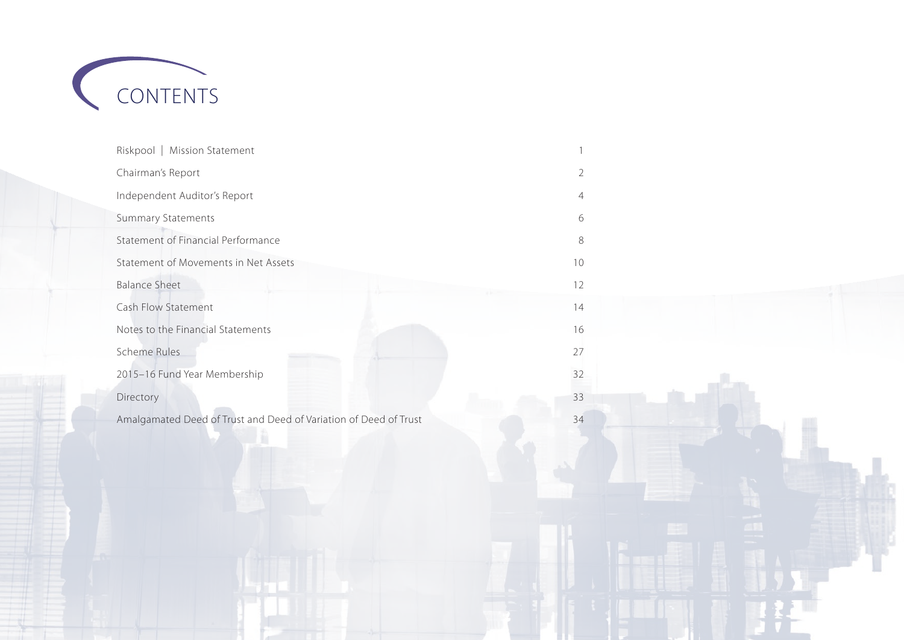

| Riskpool   Mission Statement                                     |                |
|------------------------------------------------------------------|----------------|
| Chairman's Report                                                | 2              |
| Independent Auditor's Report                                     | $\overline{4}$ |
| <b>Summary Statements</b>                                        | 6              |
| Statement of Financial Performance                               | $\,8\,$        |
| Statement of Movements in Net Assets                             | 10             |
| <b>Balance Sheet</b>                                             | 12             |
| Cash Flow Statement                                              | 14             |
| Notes to the Financial Statements                                | 16             |
| Scheme Rules                                                     | 27             |
| 2015-16 Fund Year Membership                                     | 32             |
| Directory                                                        | 33             |
| Amalgamated Deed of Trust and Deed of Variation of Deed of Trust | 34             |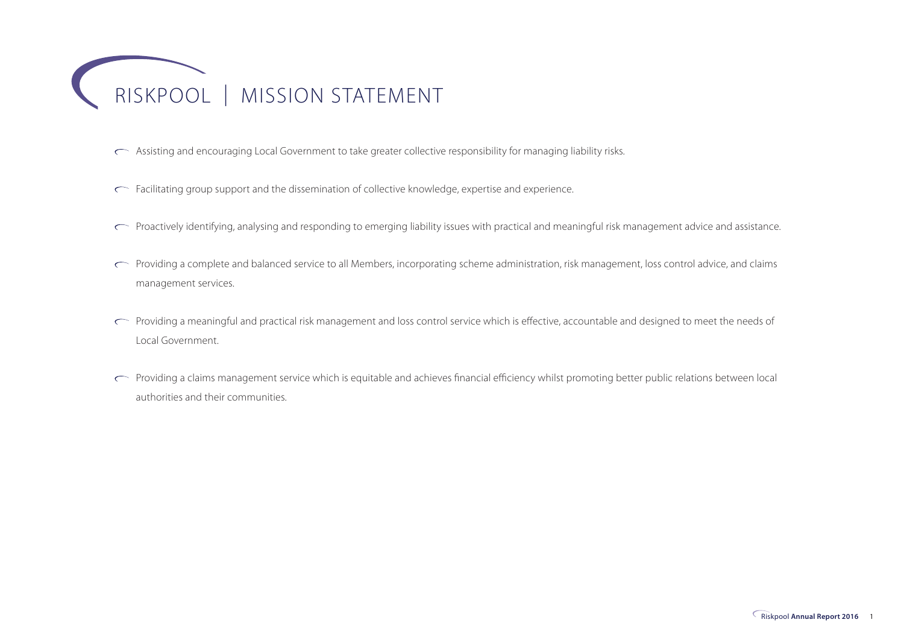

- Assisting and encouraging Local Government to take greater collective responsibility for managing liability risks.
- Facilitating group support and the dissemination of collective knowledge, expertise and experience.
- Proactively identifying, analysing and responding to emerging liability issues with practical and meaningful risk management advice and assistance.
- Providing a complete and balanced service to all Members, incorporating scheme administration, risk management, loss control advice, and claims management services.
- Providing a meaningful and practical risk management and loss control service which is effective, accountable and designed to meet the needs of Local Government.
- Providing a claims management service which is equitable and achieves financial efficiency whilst promoting better public relations between local authorities and their communities.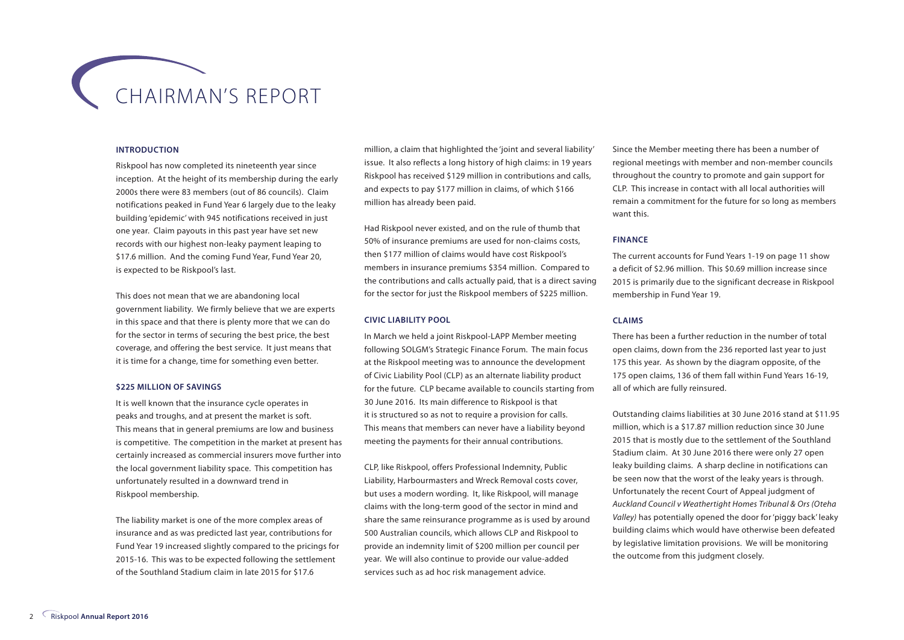## CHAIRMAN'S REPORT

#### **INTRODUCTION**

Riskpool has now completed its nineteenth year since inception. At the height of its membership during the early 2000s there were 83 members (out of 86 councils). Claim notifications peaked in Fund Year 6 largely due to the leaky building 'epidemic' with 945 notifications received in just one year. Claim payouts in this past year have set new records with our highest non-leaky payment leaping to \$17.6 million. And the coming Fund Year, Fund Year 20, is expected to be Riskpool's last.

This does not mean that we are abandoning local government liability. We firmly believe that we are experts in this space and that there is plenty more that we can do for the sector in terms of securing the best price, the best coverage, and offering the best service. It just means that it is time for a change, time for something even better.

#### **\$225 MILLION OF SAVINGS**

It is well known that the insurance cycle operates in peaks and troughs, and at present the market is soft. This means that in general premiums are low and business is competitive. The competition in the market at present has certainly increased as commercial insurers move further into the local government liability space. This competition has unfortunately resulted in a downward trend in Riskpool membership.

The liability market is one of the more complex areas of insurance and as was predicted last year, contributions for Fund Year 19 increased slightly compared to the pricings for 2015-16. This was to be expected following the settlement of the Southland Stadium claim in late 2015 for \$17.6

million, a claim that highlighted the 'joint and several liability' issue. It also reflects a long history of high claims: in 19 years Riskpool has received \$129 million in contributions and calls, and expects to pay \$177 million in claims, of which \$166 million has already been paid.

Had Riskpool never existed, and on the rule of thumb that 50% of insurance premiums are used for non-claims costs, then \$177 million of claims would have cost Riskpool's members in insurance premiums \$354 million. Compared to the contributions and calls actually paid, that is a direct saving for the sector for just the Riskpool members of \$225 million.

#### **CIVIC LIABILITY POOL**

In March we held a joint Riskpool-LAPP Member meeting following SOLGM's Strategic Finance Forum. The main focus at the Riskpool meeting was to announce the development of Civic Liability Pool (CLP) as an alternate liability product for the future. CLP became available to councils starting from 30 June 2016. Its main difference to Riskpool is that it is structured so as not to require a provision for calls. This means that members can never have a liability beyond meeting the payments for their annual contributions.

CLP, like Riskpool, offers Professional Indemnity, Public Liability, Harbourmasters and Wreck Removal costs cover, but uses a modern wording. It, like Riskpool, will manage claims with the long-term good of the sector in mind and share the same reinsurance programme as is used by around 500 Australian councils, which allows CLP and Riskpool to provide an indemnity limit of \$200 million per council per year. We will also continue to provide our value-added services such as ad hoc risk management advice.

Since the Member meeting there has been a number of regional meetings with member and non-member councils throughout the country to promote and gain support for CLP. This increase in contact with all local authorities will remain a commitment for the future for so long as members want this.

#### **FINANCE**

The current accounts for Fund Years 1-19 on page 11 show a deficit of \$2.96 million. This \$0.69 million increase since 2015 is primarily due to the significant decrease in Riskpool membership in Fund Year 19.

#### **CLAIMS**

There has been a further reduction in the number of total open claims, down from the 236 reported last year to just 175 this year. As shown by the diagram opposite, of the 175 open claims, 136 of them fall within Fund Years 16-19, all of which are fully reinsured.

Outstanding claims liabilities at 30 June 2016 stand at \$11.95 million, which is a \$17.87 million reduction since 30 June 2015 that is mostly due to the settlement of the Southland Stadium claim. At 30 June 2016 there were only 27 open leaky building claims. A sharp decline in notifications can be seen now that the worst of the leaky years is through. Unfortunately the recent Court of Appeal judgment of *Auckland Council v Weathertight Homes Tribunal & Ors (Oteha Valley)* has potentially opened the door for 'piggy back' leaky building claims which would have otherwise been defeated by legislative limitation provisions. We will be monitoring the outcome from this judgment closely.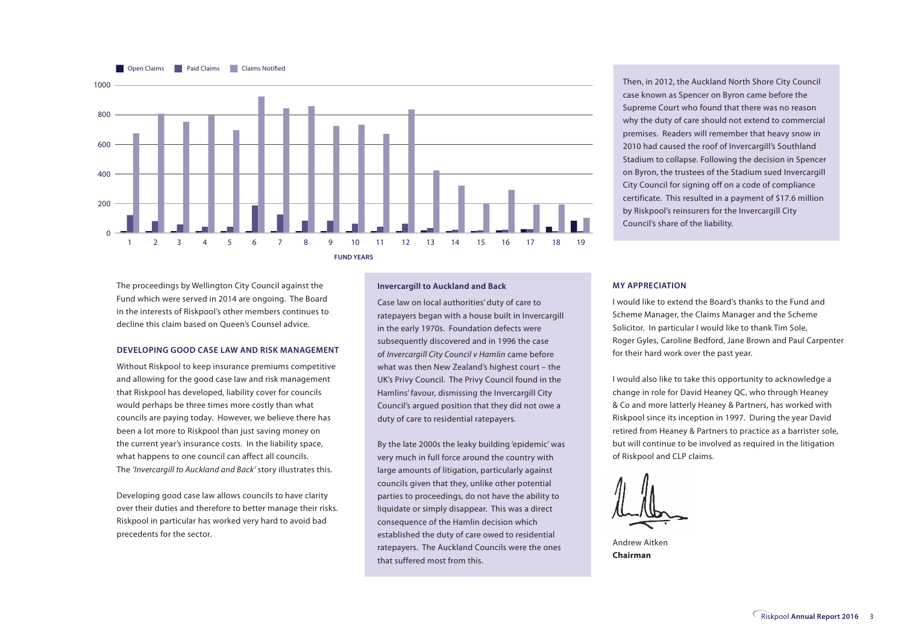

Then, in 2012, the Auckland North Shore City Council case known as Spencer on Byron came before the Supreme Court who found that there was no reason why the duty of care should not extend to commercial premises. Readers will remember that heavy snow in 2010 had caused the roof of Invercargill's Southland Stadium to collapse. Following the decision in Spencer on Byron, the trustees of the Stadium sued Invercargill City Council for signing off on a code of compliance certificate. This resulted in a payment of \$17.6 million by Riskpool's reinsurers for the Invercargill City Council's share of the liability.

The proceedings by Wellington City Council against the Fund which were served in 2014 are ongoing. The Board in the interests of Riskpool's other members continues to decline this claim based on Queen's Counsel advice.

#### **DEVELOPING GOOD CASE LAW AND RISK MANAGEMENT**

Without Riskpool to keep insurance premiums competitive and allowing for the good case law and risk management that Riskpool has developed, liability cover for councils would perhaps be three times more costly than what councils are paying today. However, we believe there has been a lot more to Riskpool than just saving money on the current year's insurance costs. In the liability space, what happens to one council can affect all councils. The *'Invercargill to Auckland and Back'* story illustrates this.

Developing good case law allows councils to have clarity over their duties and therefore to better manage their risks. Riskpool in particular has worked very hard to avoid bad precedents for the sector.

#### **Invercargill to Auckland and Back**

Case law on local authorities' duty of care to ratepayers began with a house built in Invercargill in the early 1970s. Foundation defects were subsequently discovered and in 1996 the case of *Invercargill City Council v Hamlin* came before what was then New Zealand's highest court – the UK's Privy Council. The Privy Council found in the Hamlins' favour, dismissing the Invercargill City Council's argued position that they did not owe a duty of care to residential ratepayers.

By the late 2000s the leaky building 'epidemic' was very much in full force around the country with large amounts of litigation, particularly against councils given that they, unlike other potential parties to proceedings, do not have the ability to liquidate or simply disappear. This was a direct consequence of the Hamlin decision which established the duty of care owed to residential ratepayers. The Auckland Councils were the ones that suffered most from this.

#### **MY APPRECIATION**

I would like to extend the Board's thanks to the Fund and Scheme Manager, the Claims Manager and the Scheme Solicitor. In particular I would like to thank Tim Sole, Roger Gyles, Caroline Bedford, Jane Brown and Paul Carpenter for their hard work over the past year.

I would also like to take this opportunity to acknowledge a change in role for David Heaney QC, who through Heaney & Co and more latterly Heaney & Partners, has worked with Riskpool since its inception in 1997. During the year David retired from Heaney & Partners to practice as a barrister sole, but will continue to be involved as required in the litigation of Riskpool and CLP claims.

Andrew Aitken **Chairman**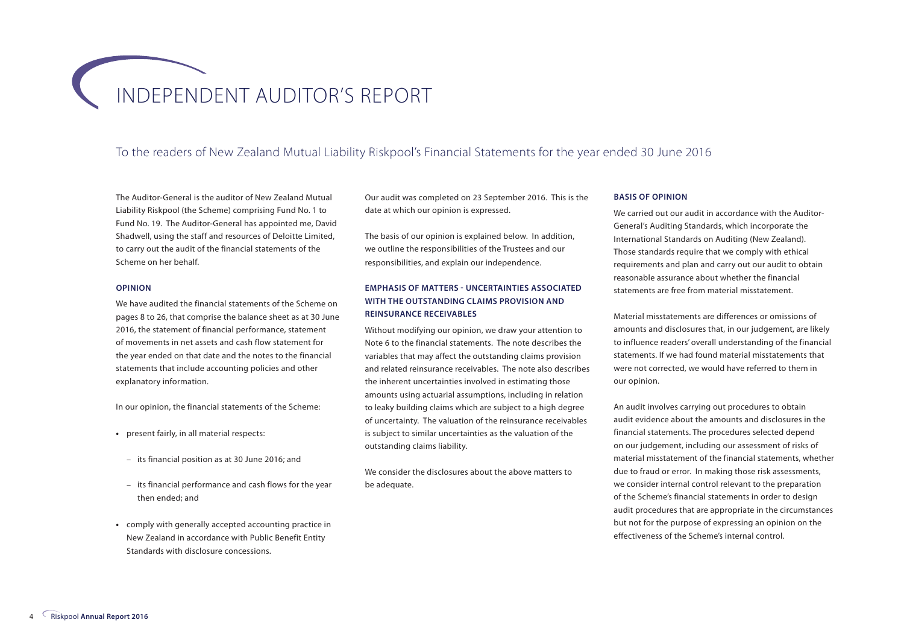## INDEPENDENT AUDITOR'S REPORT

#### To the readers of New Zealand Mutual Liability Riskpool's Financial Statements for the year ended 30 June 2016

The Auditor-General is the auditor of New Zealand Mutual Liability Riskpool (the Scheme) comprising Fund No. 1 to Fund No. 19. The Auditor-General has appointed me, David Shadwell, using the staff and resources of Deloitte Limited, to carry out the audit of the financial statements of the Scheme on her behalf.

#### **OPINION**

We have audited the financial statements of the Scheme on pages 8 to 26, that comprise the balance sheet as at 30 June 2016, the statement of financial performance, statement of movements in net assets and cash flow statement for the year ended on that date and the notes to the financial statements that include accounting policies and other explanatory information.

In our opinion, the financial statements of the Scheme:

- **•** present fairly, in all material respects:
- its financial position as at 30 June 2016; and
- its financial performance and cash flows for the year then ended; and
- **•** comply with generally accepted accounting practice in New Zealand in accordance with Public Benefit Entity Standards with disclosure concessions.

Our audit was completed on 23 September 2016. This is the date at which our opinion is expressed.

The basis of our opinion is explained below. In addition, we outline the responsibilities of the Trustees and our responsibilities, and explain our independence.

#### **EMPHASIS OF MATTERS - UNCERTAINTIES ASSOCIATED WITH THE OUTSTANDING CLAIMS PROVISION AND REINSURANCE RECEIVABLES**

Without modifying our opinion, we draw your attention to Note 6 to the financial statements. The note describes the variables that may affect the outstanding claims provision and related reinsurance receivables. The note also describes the inherent uncertainties involved in estimating those amounts using actuarial assumptions, including in relation to leaky building claims which are subject to a high degree of uncertainty. The valuation of the reinsurance receivables is subject to similar uncertainties as the valuation of the outstanding claims liability.

We consider the disclosures about the above matters to be adequate.

#### **BASIS OF OPINION**

We carried out our audit in accordance with the Auditor-General's Auditing Standards, which incorporate the International Standards on Auditing (New Zealand). Those standards require that we comply with ethical requirements and plan and carry out our audit to obtain reasonable assurance about whether the financial statements are free from material misstatement.

Material misstatements are differences or omissions of amounts and disclosures that, in our judgement, are likely to influence readers' overall understanding of the financial statements. If we had found material misstatements that were not corrected, we would have referred to them in our opinion.

An audit involves carrying out procedures to obtain audit evidence about the amounts and disclosures in the financial statements. The procedures selected depend on our judgement, including our assessment of risks of material misstatement of the financial statements, whether due to fraud or error. In making those risk assessments, we consider internal control relevant to the preparation of the Scheme's financial statements in order to design audit procedures that are appropriate in the circumstances but not for the purpose of expressing an opinion on the effectiveness of the Scheme's internal control.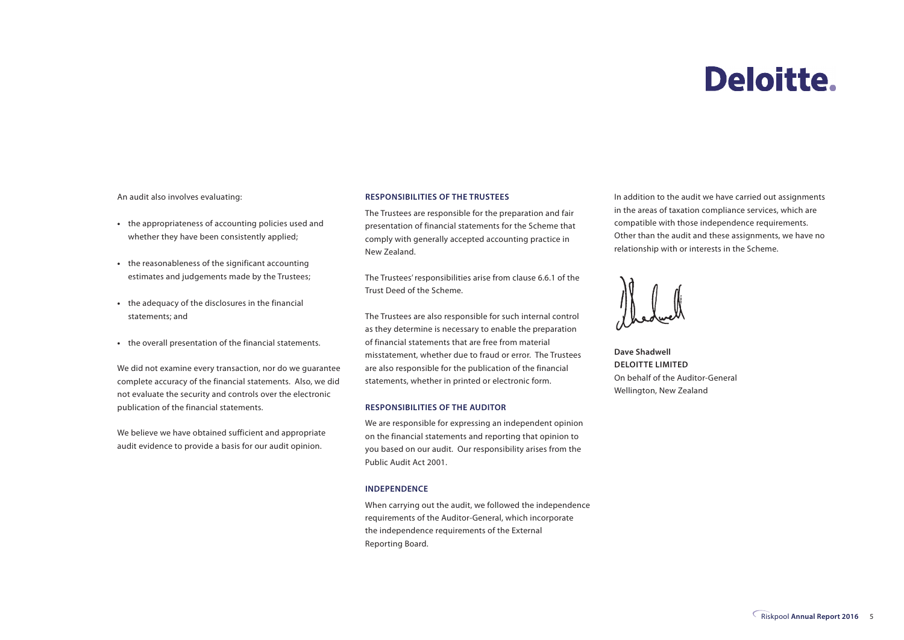## **Deloitte.**

An audit also involves evaluating:

- **•** the appropriateness of accounting policies used and whether they have been consistently applied;
- **•** the reasonableness of the significant accounting estimates and judgements made by the Trustees;
- **•** the adequacy of the disclosures in the financial statements; and
- **•** the overall presentation of the financial statements.

We did not examine every transaction, nor do we guarantee complete accuracy of the financial statements. Also, we did not evaluate the security and controls over the electronic publication of the financial statements.

We believe we have obtained sufficient and appropriate audit evidence to provide a basis for our audit opinion.

#### **RESPONSIBILITIES OF THE TRUSTEES**

The Trustees are responsible for the preparation and fair presentation of financial statements for the Scheme that comply with generally accepted accounting practice in New Zealand.

The Trustees' responsibilities arise from clause 6.6.1 of the Trust Deed of the Scheme.

The Trustees are also responsible for such internal control as they determine is necessary to enable the preparation of financial statements that are free from material misstatement, whether due to fraud or error. The Trustees are also responsible for the publication of the financial statements, whether in printed or electronic form.

#### **RESPONSIBILITIES OF THE AUDITOR**

We are responsible for expressing an independent opinion on the financial statements and reporting that opinion to you based on our audit. Our responsibility arises from the Public Audit Act 2001.

#### **INDEPENDENCE**

When carrying out the audit, we followed the independence requirements of the Auditor-General, which incorporate the independence requirements of the External Reporting Board.

In addition to the audit we have carried out assignments in the areas of taxation compliance services, which are compatible with those independence requirements. Other than the audit and these assignments, we have no relationship with or interests in the Scheme.



**Dave Shadwell DELOITTE LIMITED** On behalf of the Auditor-General Wellington, New Zealand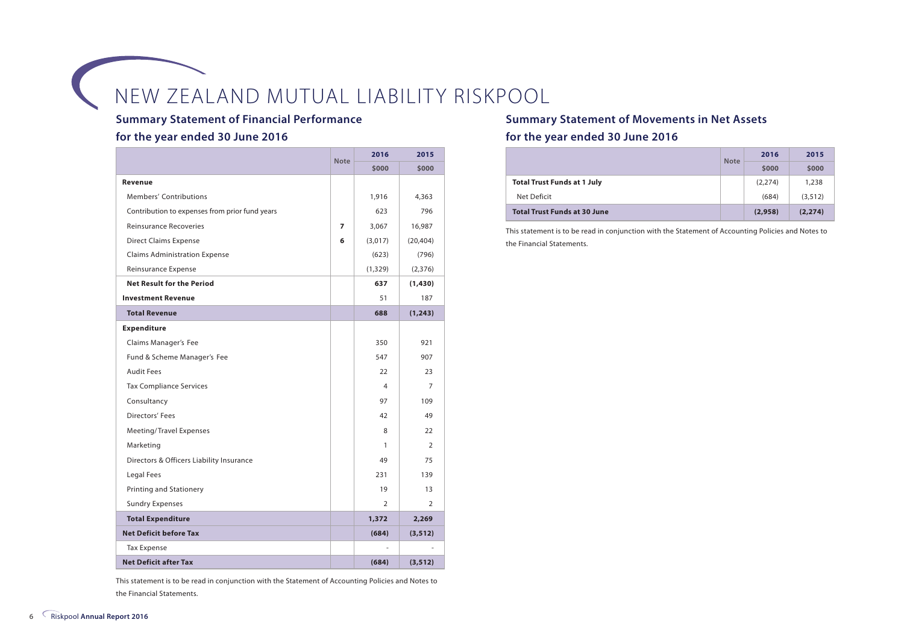#### **Summary Statement of Financial Performance**

#### **for the year ended 30 June 2016**

|                                                | <b>Note</b> | 2016     | 2015      |
|------------------------------------------------|-------------|----------|-----------|
|                                                |             | \$000    | \$000     |
| Revenue                                        |             |          |           |
| Members' Contributions                         |             | 1,916    | 4,363     |
| Contribution to expenses from prior fund years |             | 623      | 796       |
| <b>Reinsurance Recoveries</b>                  | 7           | 3,067    | 16,987    |
| <b>Direct Claims Expense</b>                   | 6           | (3,017)  | (20, 404) |
| <b>Claims Administration Expense</b>           |             | (623)    | (796)     |
| Reinsurance Expense                            |             | (1, 329) | (2,376)   |
| <b>Net Result for the Period</b>               |             | 637      | (1, 430)  |
| <b>Investment Revenue</b>                      |             | 51       | 187       |
| <b>Total Revenue</b>                           |             | 688      | (1, 243)  |
| <b>Expenditure</b>                             |             |          |           |
| Claims Manager's Fee                           |             | 350      | 921       |
| Fund & Scheme Manager's Fee                    |             | 547      | 907       |
| <b>Audit Fees</b>                              |             | 22       | 23        |
| <b>Tax Compliance Services</b>                 |             | 4        | 7         |
| Consultancy                                    |             | 97       | 109       |
| Directors' Fees                                |             | 42       | 49        |
| Meeting/Travel Expenses                        |             | 8        | 22        |
| Marketing                                      |             | 1        | 2         |
| Directors & Officers Liability Insurance       |             | 49       | 75        |
| Legal Fees                                     |             | 231      | 139       |
| <b>Printing and Stationery</b>                 |             | 19       | 13        |
| <b>Sundry Expenses</b>                         |             | 2        | 2         |
| <b>Total Expenditure</b>                       |             | 1,372    | 2,269     |
| <b>Net Deficit before Tax</b>                  |             | (684)    | (3, 512)  |
| <b>Tax Expense</b>                             |             |          |           |
| <b>Net Deficit after Tax</b>                   |             | (684)    | (3, 512)  |

This statement is to be read in conjunction with the Statement of Accounting Policies and Notes to the Financial Statements.

#### **Summary Statement of Movements in Net Assets**

#### **for the year ended 30 June 2016**

|                                     | <b>Note</b> | 2016    | 2015     |
|-------------------------------------|-------------|---------|----------|
|                                     |             | \$000   | \$000    |
| <b>Total Trust Funds at 1 July</b>  |             | (2,274) | 1,238    |
| Net Deficit                         |             | (684)   | (3, 512) |
| <b>Total Trust Funds at 30 June</b> |             | (2,958) | (2, 274) |

This statement is to be read in conjunction with the Statement of Accounting Policies and Notes to the Financial Statements.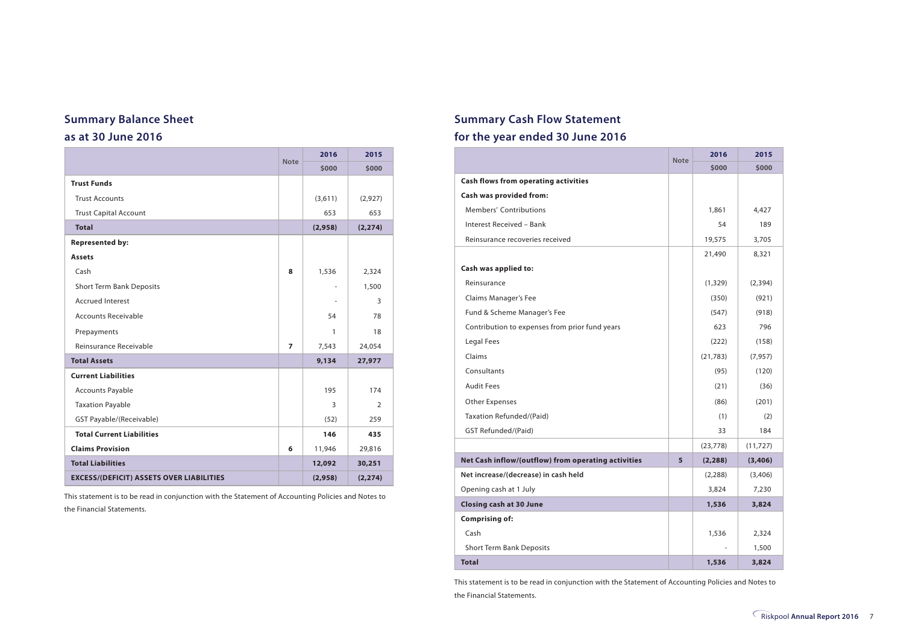#### **Summary Balance Sheet**

#### **as at 30 June 2016**

|                                                 | <b>Note</b> | 2016    | 2015           |
|-------------------------------------------------|-------------|---------|----------------|
|                                                 |             | \$000   | \$000          |
| <b>Trust Funds</b>                              |             |         |                |
| <b>Trust Accounts</b>                           |             | (3,611) | (2,927)        |
| <b>Trust Capital Account</b>                    |             | 653     | 653            |
| <b>Total</b>                                    |             | (2,958) | (2, 274)       |
| <b>Represented by:</b>                          |             |         |                |
| <b>Assets</b>                                   |             |         |                |
| Cash                                            | 8           | 1,536   | 2,324          |
| <b>Short Term Bank Deposits</b>                 |             | ٠       | 1,500          |
| <b>Accrued Interest</b>                         |             |         | 3              |
| <b>Accounts Receivable</b>                      |             | 54      | 78             |
| Prepayments                                     |             | 1       | 18             |
| Reinsurance Receivable                          | 7           | 7,543   | 24,054         |
| <b>Total Assets</b>                             |             | 9,134   | 27,977         |
| <b>Current Liabilities</b>                      |             |         |                |
| <b>Accounts Payable</b>                         |             | 195     | 174            |
| <b>Taxation Payable</b>                         |             | 3       | $\overline{2}$ |
| GST Payable/(Receivable)                        |             | (52)    | 259            |
| <b>Total Current Liabilities</b>                |             | 146     | 435            |
| <b>Claims Provision</b>                         | 6           | 11,946  | 29,816         |
| <b>Total Liabilities</b>                        |             | 12,092  | 30,251         |
| <b>EXCESS/(DEFICIT) ASSETS OVER LIABILITIES</b> |             | (2,958) | (2, 274)       |

This statement is to be read in conjunction with the Statement of Accounting Policies and Notes to the Financial Statements.

#### **Summary Cash Flow Statement for the year ended 30 June 2016**

|                                                     | <b>Note</b> | 2016      | 2015      |
|-----------------------------------------------------|-------------|-----------|-----------|
|                                                     |             | \$000     | \$000     |
| <b>Cash flows from operating activities</b>         |             |           |           |
| Cash was provided from:                             |             |           |           |
| <b>Members' Contributions</b>                       |             | 1,861     | 4,427     |
| Interest Received - Bank                            |             | 54        | 189       |
| Reinsurance recoveries received                     |             | 19,575    | 3,705     |
|                                                     |             | 21,490    | 8,321     |
| Cash was applied to:                                |             |           |           |
| Reinsurance                                         |             | (1, 329)  | (2, 394)  |
| Claims Manager's Fee                                |             | (350)     | (921)     |
| Fund & Scheme Manager's Fee                         |             | (547)     | (918)     |
| Contribution to expenses from prior fund years      |             | 623       | 796       |
| Legal Fees                                          |             | (222)     | (158)     |
| Claims                                              |             | (21, 783) | (7, 957)  |
| Consultants                                         |             | (95)      | (120)     |
| <b>Audit Fees</b>                                   |             | (21)      | (36)      |
| Other Expenses                                      |             | (86)      | (201)     |
| Taxation Refunded/(Paid)                            |             | (1)       | (2)       |
| GST Refunded/(Paid)                                 |             | 33        | 184       |
|                                                     |             | (23, 778) | (11, 727) |
| Net Cash inflow/(outflow) from operating activities | 5           | (2, 288)  | (3,406)   |
| Net increase/(decrease) in cash held                |             | (2, 288)  | (3,406)   |
| Opening cash at 1 July                              |             | 3,824     | 7,230     |
| <b>Closing cash at 30 June</b>                      |             | 1,536     | 3,824     |
| <b>Comprising of:</b>                               |             |           |           |
| Cash                                                |             | 1,536     | 2,324     |
| <b>Short Term Bank Deposits</b>                     |             |           | 1,500     |
| <b>Total</b>                                        |             | 1,536     | 3,824     |

This statement is to be read in conjunction with the Statement of Accounting Policies and Notes to the Financial Statements.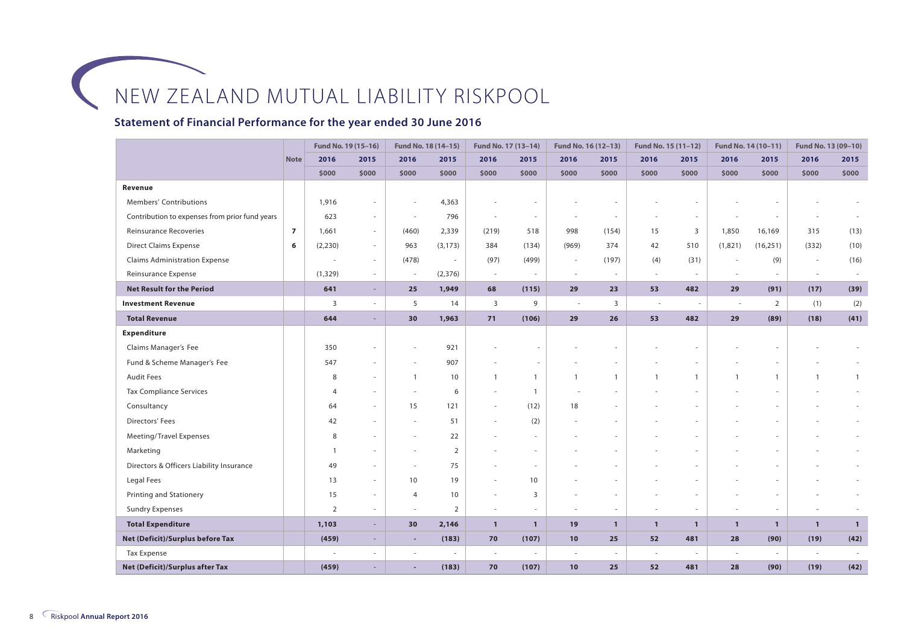#### **Statement of Financial Performance for the year ended 30 June 2016**

|                                                |                | Fund No. 19 (15-16) |                          | Fund No. 18 (14-15)      |                | Fund No. 17 (13-14)      |                          | Fund No. 16 (12-13)      |              | Fund No. 15 (11-12) |              |                | Fund No. 14 (10-11)      | Fund No. 13 (09-10) |              |
|------------------------------------------------|----------------|---------------------|--------------------------|--------------------------|----------------|--------------------------|--------------------------|--------------------------|--------------|---------------------|--------------|----------------|--------------------------|---------------------|--------------|
|                                                | <b>Note</b>    | 2016                | 2015                     | 2016                     | 2015           | 2016                     | 2015                     | 2016                     | 2015         | 2016                | 2015         | 2016           | 2015                     | 2016                | 2015         |
|                                                |                | \$000               | \$000                    | \$000                    | \$000          | \$000                    | \$000                    | \$000                    | \$000        | \$000               | \$000        | \$000          | \$000                    | \$000               | \$000        |
| Revenue                                        |                |                     |                          |                          |                |                          |                          |                          |              |                     |              |                |                          |                     |              |
| Members' Contributions                         |                | 1,916               |                          |                          | 4,363          |                          |                          |                          |              |                     |              |                |                          |                     |              |
| Contribution to expenses from prior fund years |                | 623                 | $\sim$                   |                          | 796            |                          |                          |                          |              |                     |              |                |                          |                     |              |
| <b>Reinsurance Recoveries</b>                  | $\overline{7}$ | 1,661               | $\sim$                   | (460)                    | 2,339          | (219)                    | 518                      | 998                      | (154)        | 15                  | 3            | 1,850          | 16,169                   | 315                 | (13)         |
| <b>Direct Claims Expense</b>                   | 6              | (2,230)             | $\sim$                   | 963                      | (3, 173)       | 384                      | (134)                    | (969)                    | 374          | 42                  | 510          | (1,821)        | (16, 251)                | (332)               | (10)         |
| <b>Claims Administration Expense</b>           |                |                     | $\sim$                   | (478)                    | $\sim$         | (97)                     | (499)                    | $\sim$                   | (197)        | (4)                 | (31)         | ٠              | (9)                      | $\sim$              | (16)         |
| Reinsurance Expense                            |                | (1, 329)            | $\sim$                   |                          | (2, 376)       | $\sim$                   |                          | $\sim$                   | $\sim$       | $\sim$              |              |                | $\overline{\phantom{a}}$ | $\sim$              |              |
| <b>Net Result for the Period</b>               |                | 641                 | $\overline{\phantom{a}}$ | 25                       | 1,949          | 68                       | (115)                    | 29                       | 23           | 53                  | 482          | 29             | (91)                     | (17)                | (39)         |
| <b>Investment Revenue</b>                      |                | $\overline{3}$      | $\overline{\phantom{a}}$ | 5                        | 14             | $\overline{3}$           | 9                        | $\sim$                   | 3            | $\sim$              |              |                | $\overline{2}$           | (1)                 | (2)          |
| <b>Total Revenue</b>                           |                | 644                 |                          | 30                       | 1,963          | 71                       | (106)                    | 29                       | 26           | 53                  | 482          | 29             | (89)                     | (18)                | (41)         |
| Expenditure                                    |                |                     |                          |                          |                |                          |                          |                          |              |                     |              |                |                          |                     |              |
| Claims Manager's Fee                           |                | 350                 |                          |                          | 921            |                          |                          |                          |              |                     |              |                |                          |                     |              |
| Fund & Scheme Manager's Fee                    |                | 547                 | $\sim$                   |                          | 907            |                          |                          |                          |              |                     |              |                |                          |                     |              |
| <b>Audit Fees</b>                              |                | 8                   | $\sim$                   | $\overline{1}$           | 10             | $\overline{1}$           | $\mathbf{1}$             | $\overline{1}$           | $\mathbf{1}$ | $\overline{1}$      | $\mathbf{1}$ | $\overline{1}$ | $\overline{1}$           | $\mathbf{1}$        | $\mathbf{1}$ |
| <b>Tax Compliance Services</b>                 |                | $\overline{4}$      | $\sim$                   | $\sim$                   | 6              |                          | $\overline{1}$           |                          |              |                     |              |                |                          |                     |              |
| Consultancy                                    |                | 64                  | $\sim$                   | 15                       | 121            | $\sim$                   | (12)                     | 18                       |              |                     |              |                |                          |                     |              |
| Directors' Fees                                |                | 42                  | $\sim$                   | $\sim$                   | 51             | $\sim$                   | (2)                      |                          | $\sim$       |                     |              |                |                          |                     |              |
| Meeting/Travel Expenses                        |                | 8                   | $\overline{\phantom{a}}$ |                          | 22             |                          |                          |                          |              |                     |              |                |                          |                     |              |
| Marketing                                      |                | $\overline{1}$      | $\overline{\phantom{a}}$ | $\sim$                   | $\overline{2}$ |                          | $\overline{\phantom{a}}$ |                          |              |                     |              |                |                          |                     |              |
| Directors & Officers Liability Insurance       |                | 49                  | $\sim$                   | $\sim$                   | 75             |                          | $\sim$                   |                          |              |                     |              |                |                          |                     |              |
| Legal Fees                                     |                | 13                  | $\sim$                   | 10                       | 19             |                          | 10                       |                          |              |                     |              |                |                          |                     |              |
| Printing and Stationery                        |                | 15                  | ×.                       | $\overline{4}$           | 10             |                          | 3                        |                          |              |                     |              |                |                          |                     |              |
| <b>Sundry Expenses</b>                         |                | $\overline{2}$      | $\sim$                   | $\overline{\phantom{a}}$ | 2              | $\overline{\phantom{a}}$ | $\sim$                   | $\overline{\phantom{a}}$ | $\sim$       | $\sim$              | $\sim$       | $\sim$         | $\sim$                   |                     |              |
| <b>Total Expenditure</b>                       |                | 1,103               | $\sim$                   | 30                       | 2,146          | $\mathbf{1}$             | $\mathbf{1}$             | 19                       | $\mathbf{1}$ | $\mathbf{1}$        | $\mathbf{1}$ | $\mathbf{1}$   | $\mathbf{1}$             | $\mathbf{1}$        | $\mathbf{1}$ |
| Net (Deficit)/Surplus before Tax               |                | (459)               | $\sim$                   | $\overline{\phantom{a}}$ | (183)          | 70                       | (107)                    | 10                       | 25           | 52                  | 481          | 28             | (90)                     | (19)                | (42)         |
| <b>Tax Expense</b>                             |                |                     | $\sim$                   |                          |                | ×.                       |                          | ÷,                       | $\sim$       | $\sim$              |              | $\sim$         |                          |                     |              |
| Net (Deficit)/Surplus after Tax                |                | (459)               |                          |                          | (183)          | 70                       | (107)                    | 10                       | 25           | 52                  | 481          | 28             | (90)                     | (19)                | (42)         |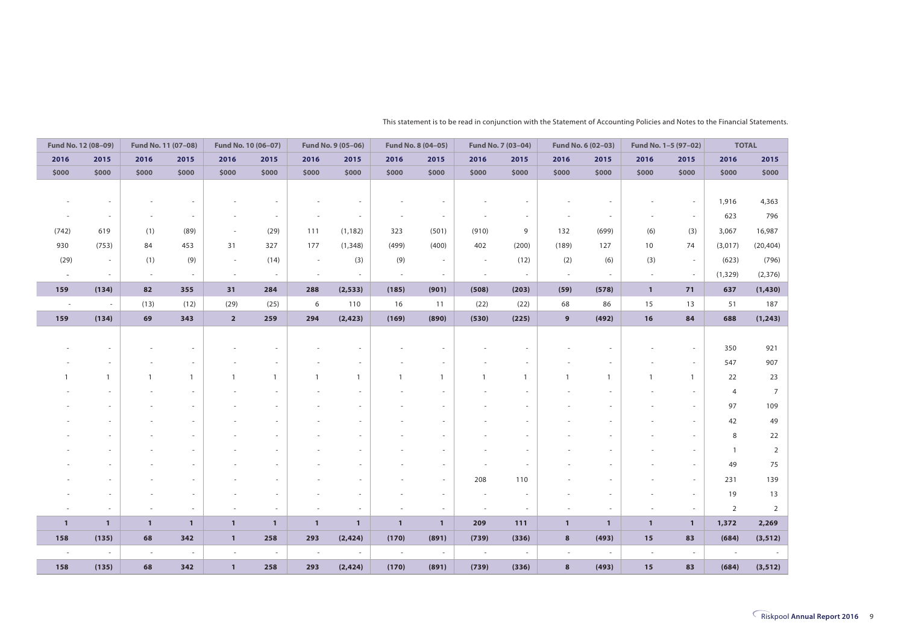| Fund No. 12 (08-09)      |                          | Fund No. 11 (07-08) |              | Fund No. 10 (06-07)      |                          |              | Fund No. 9 (05-06)       |              | Fund No. 8 (04-05)       |                          | Fund No. 7 (03-04) |                          | Fund No. 6 (02-03) | Fund No. 1-5 (97-02)     |                          | <b>TOTAL</b>             |                |
|--------------------------|--------------------------|---------------------|--------------|--------------------------|--------------------------|--------------|--------------------------|--------------|--------------------------|--------------------------|--------------------|--------------------------|--------------------|--------------------------|--------------------------|--------------------------|----------------|
| 2016                     | 2015                     | 2016                | 2015         | 2016                     | 2015                     | 2016         | 2015                     | 2016         | 2015                     | 2016                     | 2015               | 2016                     | 2015               | 2016                     | 2015                     | 2016                     | 2015           |
| \$000                    | \$000                    | \$000               | \$000        | \$000                    | \$000                    | \$000        | \$000                    | \$000        | \$000                    | \$000                    | \$000              | \$000                    | \$000              | \$000                    | \$000                    | \$000                    | \$000          |
|                          |                          |                     |              |                          |                          |              |                          |              |                          |                          |                    |                          |                    |                          |                          |                          |                |
|                          |                          |                     |              |                          |                          |              |                          |              | ÷,                       |                          |                    |                          |                    |                          | $\overline{\phantom{a}}$ | 1,916                    | 4,363          |
|                          |                          |                     |              |                          |                          |              | ٠                        |              | $\sim$                   |                          |                    |                          |                    |                          | $\sim$                   | 623                      | 796            |
| (742)                    | 619                      | (1)                 | (89)         | $\overline{\phantom{a}}$ | (29)                     | 111          | (1, 182)                 | 323          | (501)                    | (910)                    | 9                  | 132                      | (699)              | (6)                      | (3)                      | 3,067                    | 16,987         |
| 930                      | (753)                    | 84                  | 453          | 31                       | 327                      | 177          | (1, 348)                 | (499)        | (400)                    | 402                      | (200)              | (189)                    | 127                | 10                       | 74                       | (3,017)                  | (20, 404)      |
| (29)                     | $\overline{\phantom{a}}$ | (1)                 | (9)          | $\overline{\phantom{a}}$ | (14)                     | $\sim$       | (3)                      | (9)          | $\sim$                   | $\sim$                   | (12)               | (2)                      | (6)                | (3)                      | $\sim$                   | (623)                    | (796)          |
| $\sim$                   | $\sim$                   | $\sim$              | $\sim$       | $\sim$                   | $\overline{\phantom{a}}$ | $\sim$       | $\sim$                   | $\sim$       | $\sim$                   | $\overline{\phantom{a}}$ | $\sim$             | $\overline{\phantom{a}}$ | $\sim$             | $\overline{\phantom{a}}$ | $\sim$                   | (1, 329)                 | (2, 376)       |
| 159                      | (134)                    | 82                  | 355          | 31                       | 284                      | 288          | (2, 533)                 | (185)        | (901)                    | (508)                    | (203)              | (59)                     | (578)              | $\mathbf{1}$             | 71                       | 637                      | (1,430)        |
| $\overline{\phantom{a}}$ | $\sim$                   | (13)                | (12)         | (29)                     | (25)                     | 6            | 110                      | 16           | 11                       | (22)                     | (22)               | 68                       | 86                 | 15                       | 13                       | 51                       | 187            |
| 159                      | (134)                    | 69                  | 343          | $\overline{\mathbf{2}}$  | 259                      | 294          | (2, 423)                 | (169)        | (890)                    | (530)                    | (225)              | 9                        | (492)              | 16                       | 84                       | 688                      | (1, 243)       |
|                          |                          |                     |              |                          |                          |              |                          |              |                          |                          |                    |                          |                    |                          |                          |                          |                |
|                          |                          |                     |              |                          |                          |              |                          |              |                          |                          |                    |                          |                    |                          | $\overline{\phantom{a}}$ | 350                      | 921            |
|                          |                          |                     |              |                          |                          |              | ٠                        |              | $\overline{\phantom{a}}$ |                          |                    |                          |                    |                          | $\sim$                   | 547                      | 907            |
|                          | $\mathbf{1}$             |                     | $\mathbf{1}$ | $\overline{1}$           | $\mathbf{1}$             |              | $\mathbf{1}$             |              | $\mathbf{1}$             |                          | $\overline{1}$     |                          |                    |                          | $\mathbf{1}$             | 22                       | 23             |
|                          |                          |                     |              |                          |                          |              |                          |              |                          |                          |                    |                          |                    |                          | $\sim$                   | 4                        | $\overline{7}$ |
|                          |                          |                     |              |                          |                          |              |                          |              |                          |                          |                    |                          |                    |                          | ×.                       | 97                       | 109            |
|                          |                          |                     |              |                          |                          |              |                          |              |                          |                          |                    |                          |                    |                          | $\overline{\phantom{a}}$ | 42                       | 49             |
|                          |                          |                     |              |                          |                          |              |                          |              |                          |                          |                    |                          |                    |                          | $\overline{\phantom{a}}$ | 8                        | 22             |
|                          |                          |                     |              |                          |                          |              |                          |              |                          |                          |                    |                          |                    |                          | $\overline{\phantom{a}}$ | $\overline{1}$           | $\overline{2}$ |
|                          |                          |                     |              |                          |                          |              |                          |              |                          |                          |                    |                          |                    |                          | $\overline{\phantom{a}}$ | 49                       | 75             |
|                          |                          |                     |              |                          |                          |              |                          |              | $\overline{\phantom{a}}$ | 208                      | 110                |                          |                    |                          | $\overline{\phantom{a}}$ | 231                      | 139            |
|                          |                          |                     |              |                          |                          |              |                          |              | ×,                       |                          |                    |                          |                    |                          | $\sim$                   | 19                       | 13             |
|                          |                          |                     |              |                          |                          |              | ٠                        |              | $\overline{\phantom{a}}$ | $\sim$                   | $\sim$             |                          |                    |                          | $\sim$                   | $\overline{2}$           | $\overline{2}$ |
| $\mathbf{1}$             | $\mathbf{1}$             | $\mathbf{1}$        | $\mathbf{1}$ | $\mathbf{1}$             | $\mathbf{1}$             | $\mathbf{1}$ | $\mathbf{1}$             | $\mathbf{1}$ | $\mathbf{1}$             | 209                      | 111                | $\mathbf{1}$             | $\mathbf{1}$       | $\mathbf{1}$             | $\mathbf{1}$             | 1,372                    | 2,269          |
| 158                      | (135)                    | 68                  | 342          | $\mathbf{1}$             | 258                      | 293          | (2, 424)                 | (170)        | (891)                    | (739)                    | (336)              | $\boldsymbol{8}$         | (493)              | 15                       | 83                       | (684)                    | (3, 512)       |
| $\sim$                   | $\sim$                   | $\sim$              | $\sim$       | $\sim$                   | $\sim$                   | $\sim$       | $\overline{\phantom{a}}$ | $\sim$       | $\overline{\phantom{a}}$ | $\sim$                   | $\sim$             | $\sim$                   | $\sim$             | $\sim$                   | $\sim$                   | $\overline{\phantom{a}}$ |                |
| 158                      | (135)                    | 68                  | 342          | $\mathbf{1}$             | 258                      | 293          | (2, 424)                 | (170)        | (891)                    | (739)                    | (336)              | 8                        | (493)              | 15                       | 83                       | (684)                    | (3, 512)       |

This statement is to be read in conjunction with the Statement of Accounting Policies and Notes to the Financial Statements.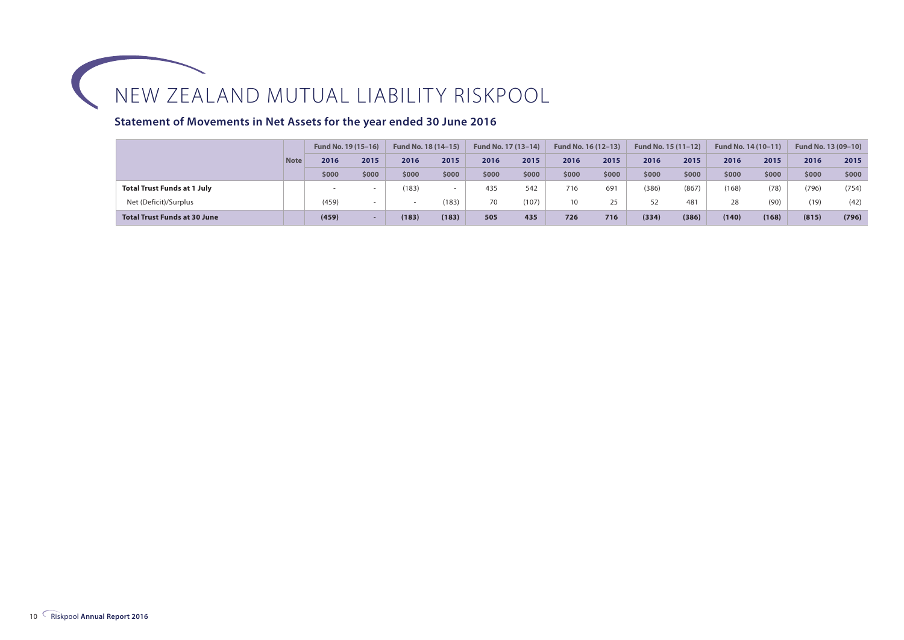#### **Statement of Movements in Net Assets for the year ended 30 June 2016**

|                                     |             | Fund No. 19 (15-16) |       | Fund No. 18 (14-15) |       | Fund No. 17 (13-14) |       | Fund No. 16 (12-13) |       | Fund No. 15 (11-12) |       | Fund No. 14 (10-11) |       | Fund No. 13 (09-10) |       |
|-------------------------------------|-------------|---------------------|-------|---------------------|-------|---------------------|-------|---------------------|-------|---------------------|-------|---------------------|-------|---------------------|-------|
|                                     | <b>Note</b> | 2016                | 2015  | 2016                | 2015  | 2016                | 2015  | 2016                | 2015  | 2016                | 2015  | 2016                | 2015  | 2016                | 2015  |
|                                     |             | \$000               | \$000 | \$000               | \$000 | \$000               | \$000 | \$000               | \$000 | \$000               | \$000 | \$000               | \$000 | \$000               | \$000 |
| <b>Total Trust Funds at 1 July</b>  |             |                     |       | (183)               |       | 435                 | 542   | 716                 | 691   | (386)               | (867) | (168)               | (78)  | (796)               | (754) |
| Net (Deficit)/Surplus               |             | (459)               |       |                     | (183) | 70                  | (107) | 10                  | 25    | 52                  | 481   | 28                  | (90)  | (19)                | (42)  |
| <b>Total Trust Funds at 30 June</b> |             | (459)               |       | (183)               | (183) | 505                 | 435   | 726                 | 716   | (334)               | (386) | (140)               | (168) | (815)               | (796) |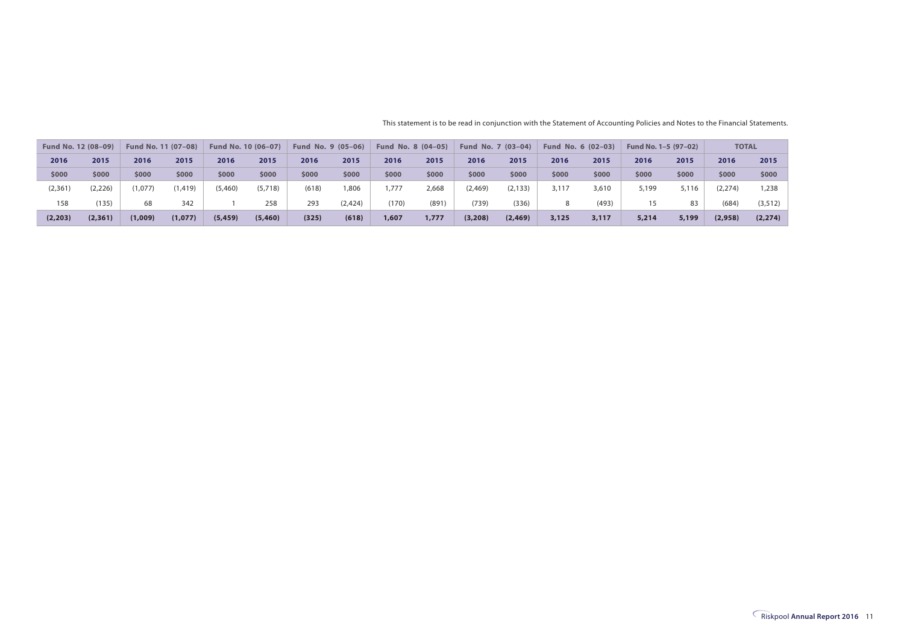| Fund No. 12 (08-09) |          | Fund No. 11 (07-08) |          |          | Fund No. 10 (06-07) |       | Fund No. 9 (05-06) | Fund No. 8 (04-05) |       | Fund No. 7 (03-04) |          | Fund No. 6 (02-03) |       | Fund No. 1-5 (97-02) |       | <b>TOTAL</b> |          |
|---------------------|----------|---------------------|----------|----------|---------------------|-------|--------------------|--------------------|-------|--------------------|----------|--------------------|-------|----------------------|-------|--------------|----------|
| 2016                | 2015     | 2016                | 2015     | 2016     | 2015                | 2016  | 2015               | 2016               | 2015  | 2016               | 2015     | 2016               | 2015  | 2016                 | 2015  | 2016         | 2015     |
| \$000               | \$000    | \$000               | \$000    | \$000    | \$000               | \$000 | \$000              | \$000              | \$000 | \$000              | \$000    | \$000              | \$000 | \$000                | \$000 | \$000        | \$000    |
| (2,361)             | (2,226)  | (1,077)             | (1, 419) | (5,460)  | (5,718)             | (618) | 1,806              | 1.777              | 2,668 | (2, 469)           | (2, 133) | 3.117              | 3,610 | 5,199                | 5,116 | (2, 274)     | ,238     |
| 158                 | (135)    | 68                  | 342      |          | 258                 | 293   | (2, 424)           | (170)              | (891) | (739)              | (336)    |                    | (493) | 15                   | 83    | (684)        | (3, 512) |
| (2, 203)            | (2, 361) | (1,009)             | (1,077)  | (5, 459) | (5,460)             | (325) | (618)              | 1,607              | 1,777 | (3,208)            | (2, 469) | 3,125              | 3,117 | 5,214                | 5,199 | (2,958)      | (2, 274) |

This statement is to be read in conjunction with the Statement of Accounting Policies and Notes to the Financial Statements.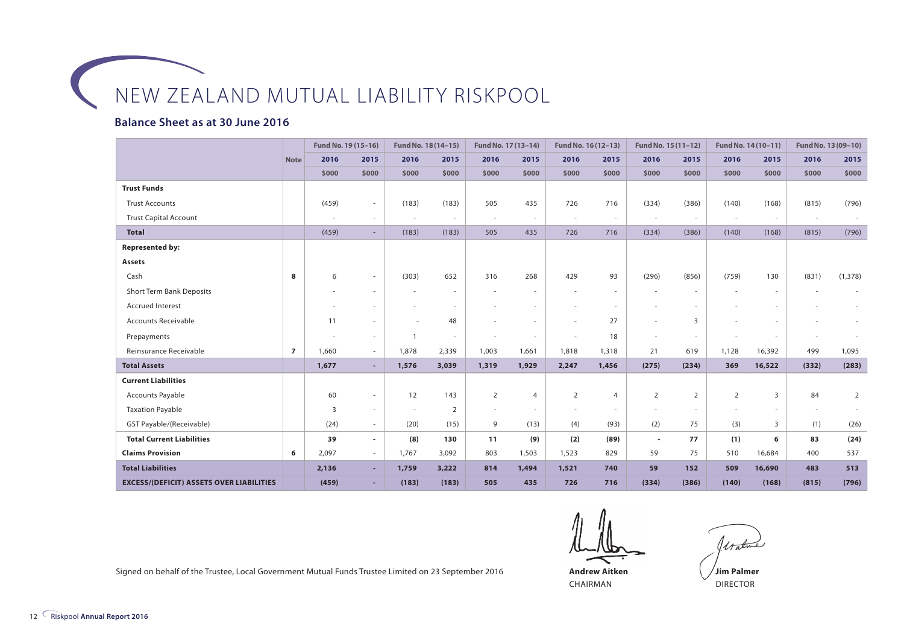#### **Balance Sheet as at 30 June 2016**

|                                                 |                | Fund No. 19 (15-16) |                          |                | Fund No. 18 (14-15)      |                          | Fund No. 17 (13-14)      | Fund No. 16 (12-13)      |                          | Fund No. 15 (11-12)      |        |            | Fund No. 14 (10-11) |            | Fund No. 13 (09-10) |
|-------------------------------------------------|----------------|---------------------|--------------------------|----------------|--------------------------|--------------------------|--------------------------|--------------------------|--------------------------|--------------------------|--------|------------|---------------------|------------|---------------------|
|                                                 | <b>Note</b>    | 2016                | 2015                     | 2016           | 2015                     | 2016                     | 2015                     | 2016                     | 2015                     | 2016                     | 2015   | 2016       | 2015                | 2016       | 2015                |
|                                                 |                | \$000               | \$000                    | \$000          | \$000                    | \$000                    | \$000                    | \$000                    | \$000                    | \$000                    | \$000  | \$000      | \$000               | \$000      | \$000               |
| <b>Trust Funds</b>                              |                |                     |                          |                |                          |                          |                          |                          |                          |                          |        |            |                     |            |                     |
| <b>Trust Accounts</b>                           |                | (459)               |                          | (183)          | (183)                    | 505                      | 435                      | 726                      | 716                      | (334)                    | (386)  | (140)      | (168)               | (815)      | (796)               |
| <b>Trust Capital Account</b>                    |                |                     |                          |                | $\sim$                   | $\overline{\phantom{a}}$ | $\overline{\phantom{a}}$ | $\overline{\phantom{a}}$ | $\overline{\phantom{a}}$ | $\overline{\phantom{a}}$ | $\sim$ | <b>COL</b> | <b>COL</b>          | <b>COL</b> |                     |
| <b>Total</b>                                    |                | (459)               | $\overline{\phantom{a}}$ | (183)          | (183)                    | 505                      | 435                      | 726                      | 716                      | (334)                    | (386)  | (140)      | (168)               | (815)      | (796)               |
| <b>Represented by:</b>                          |                |                     |                          |                |                          |                          |                          |                          |                          |                          |        |            |                     |            |                     |
| <b>Assets</b>                                   |                |                     |                          |                |                          |                          |                          |                          |                          |                          |        |            |                     |            |                     |
| Cash                                            | 8              | 6                   | $\sim$                   | (303)          | 652                      | 316                      | 268                      | 429                      | 93                       | (296)                    | (856)  | (759)      | 130                 | (831)      | (1, 378)            |
| <b>Short Term Bank Deposits</b>                 |                |                     |                          |                | $\overline{\phantom{a}}$ |                          |                          |                          | $\sim$                   |                          |        |            |                     |            |                     |
| <b>Accrued Interest</b>                         |                |                     |                          |                |                          |                          |                          |                          |                          |                          |        |            |                     |            |                     |
| <b>Accounts Receivable</b>                      |                | 11                  |                          |                | 48                       |                          |                          |                          | 27                       |                          | 3      |            |                     |            |                     |
| Prepayments                                     |                |                     | $\sim$                   | $\overline{1}$ | $\sim$                   |                          | $\sim$                   | $\overline{\phantom{a}}$ | 18                       | $\sim$                   |        |            |                     |            |                     |
| Reinsurance Receivable                          | $\overline{7}$ | 1,660               | $\sim$                   | 1,878          | 2,339                    | 1,003                    | 1,661                    | 1,818                    | 1,318                    | 21                       | 619    | 1,128      | 16,392              | 499        | 1,095               |
| <b>Total Assets</b>                             |                | 1,677               | $\overline{\phantom{a}}$ | 1,576          | 3,039                    | 1,319                    | 1,929                    | 2,247                    | 1,456                    | (275)                    | (234)  | 369        | 16,522              | (332)      | (283)               |
| <b>Current Liabilities</b>                      |                |                     |                          |                |                          |                          |                          |                          |                          |                          |        |            |                     |            |                     |
| <b>Accounts Payable</b>                         |                | 60                  | $\sim$                   | 12             | 143                      | 2                        | $\overline{4}$           | $\overline{2}$           | 4                        | 2                        | 2      | 2          | 3                   | 84         | 2                   |
| <b>Taxation Payable</b>                         |                | 3                   | $\sim$                   | $\sim$         | $\overline{2}$           | $\sim$                   |                          | $\sim$                   | $\sim$                   |                          | $\sim$ |            | $\sim$              |            |                     |
| GST Payable/(Receivable)                        |                | (24)                | $\sim$                   | (20)           | (15)                     | 9                        | (13)                     | (4)                      | (93)                     | (2)                      | 75     | (3)        | 3                   | (1)        | (26)                |
| <b>Total Current Liabilities</b>                |                | 39                  | $\blacksquare$           | (8)            | 130                      | 11                       | (9)                      | (2)                      | (89)                     | $\overline{\phantom{a}}$ | 77     | (1)        | 6                   | 83         | (24)                |
| <b>Claims Provision</b>                         | 6              | 2,097               | $\sim$                   | 1,767          | 3,092                    | 803                      | 1,503                    | 1,523                    | 829                      | 59                       | 75     | 510        | 16,684              | 400        | 537                 |
| <b>Total Liabilities</b>                        |                | 2,136               |                          | 1,759          | 3,222                    | 814                      | 1,494                    | 1,521                    | 740                      | 59                       | 152    | 509        | 16,690              | 483        | 513                 |
| <b>EXCESS/(DEFICIT) ASSETS OVER LIABILITIES</b> |                | (459)               |                          | (183)          | (183)                    | 505                      | 435                      | 726                      | 716                      | (334)                    | (386)  | (140)      | (168)               | (815)      | (796)               |

**Andrew Aitken** CHAIRMAN

Watme

DIRECTOR

Signed on behalf of the Trustee, Local Government Mutual Funds Trustee Limited on 23 September 2016 **Andrew Aitken**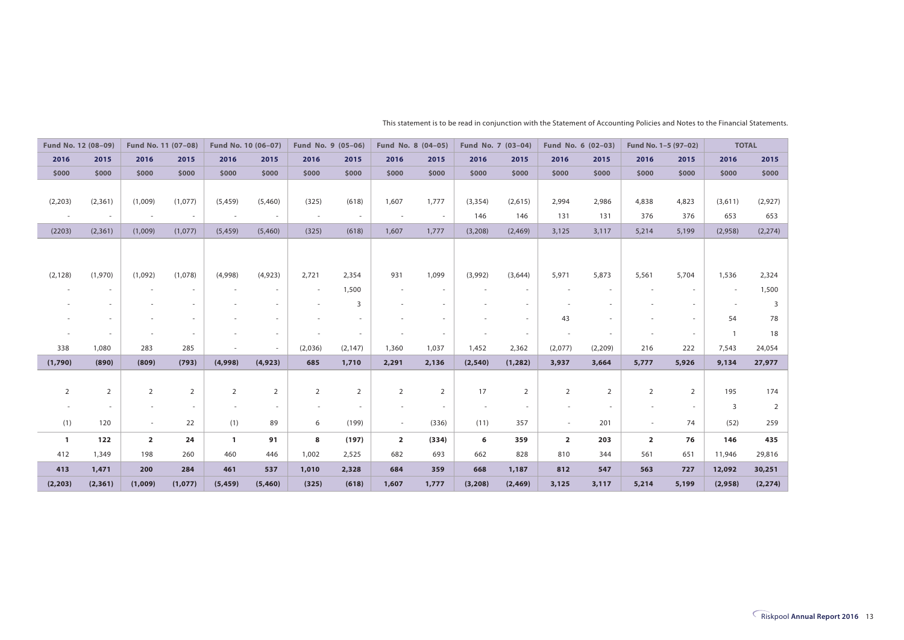| Fund No. 12 (08-09) |                          | Fund No. 11 (07-08)      |                          | Fund No. 10 (06-07)      |                | Fund No. 9 (05-06)       |                          | Fund No. 8 (04-05)       |                          | Fund No. 7 (03-04) |                | Fund No. 6 (02-03) |                | Fund No. 1-5 (97-02)    |                | <b>TOTAL</b>             |          |
|---------------------|--------------------------|--------------------------|--------------------------|--------------------------|----------------|--------------------------|--------------------------|--------------------------|--------------------------|--------------------|----------------|--------------------|----------------|-------------------------|----------------|--------------------------|----------|
| 2016                | 2015                     | 2016                     | 2015                     | 2016                     | 2015           | 2016                     | 2015                     | 2016                     | 2015                     | 2016               | 2015           | 2016               | 2015           | 2016                    | 2015           | 2016                     | 2015     |
| \$000               | \$000                    | \$000                    | \$000                    | \$000                    | \$000          | \$000                    | \$000                    | \$000                    | \$000                    | \$000              | \$000          | \$000              | \$000          | \$000                   | \$000          | \$000                    | \$000    |
|                     |                          |                          |                          |                          |                |                          |                          |                          |                          |                    |                |                    |                |                         |                |                          |          |
| (2,203)             | (2, 361)                 | (1,009)                  | (1,077)                  | (5, 459)                 | (5,460)        | (325)                    | (618)                    | 1,607                    | 1,777                    | (3, 354)           | (2,615)        | 2,994              | 2,986          | 4,838                   | 4,823          | (3,611)                  | (2,927)  |
| $\sim$              | $\overline{\phantom{a}}$ | $\overline{\phantom{a}}$ | $\overline{\phantom{a}}$ | ÷                        |                | $\overline{\phantom{a}}$ | $\sim$                   | $\overline{\phantom{a}}$ | $\overline{\phantom{a}}$ | 146                | 146            | 131                | 131            | 376                     | 376            | 653                      | 653      |
| (2203)              | (2,361)                  | (1,009)                  | (1,077)                  | (5, 459)                 | (5,460)        | (325)                    | (618)                    | 1,607                    | 1,777                    | (3,208)            | (2,469)        | 3,125              | 3,117          | 5,214                   | 5,199          | (2,958)                  | (2, 274) |
|                     |                          |                          |                          |                          |                |                          |                          |                          |                          |                    |                |                    |                |                         |                |                          |          |
|                     |                          |                          |                          |                          |                |                          |                          |                          |                          |                    |                |                    |                |                         |                |                          |          |
| (2, 128)            | (1,970)                  | (1,092)                  | (1,078)                  | (4,998)                  | (4,923)        | 2,721                    | 2,354                    | 931                      | 1,099                    | (3,992)            | (3,644)        | 5,971              | 5,873          | 5,561                   | 5,704          | 1,536                    | 2,324    |
|                     | $\sim$                   | $\overline{\phantom{a}}$ | $\sim$                   | ٠                        |                | $\sim$                   | 1,500                    | $\overline{\phantom{a}}$ | $\overline{\phantom{a}}$ |                    | $\sim$         |                    |                | ٠                       | $\sim$         | $\overline{\phantom{a}}$ | 1,500    |
|                     |                          |                          |                          |                          |                |                          | 3                        |                          | $\overline{\phantom{a}}$ |                    | $\sim$         |                    |                |                         |                |                          | 3        |
|                     |                          | ٠                        | $\sim$                   |                          |                |                          | $\sim$                   |                          | $\overline{\phantom{a}}$ |                    | $\sim$         | 43                 |                |                         | $\sim$         | 54                       | 78       |
|                     |                          |                          |                          |                          |                |                          | $\overline{\phantom{a}}$ |                          | $\overline{\phantom{a}}$ |                    | $\sim$         |                    |                |                         | $\sim$         |                          | 18       |
| 338                 | 1,080                    | 283                      | 285                      | ٠                        | $\sim$         | (2,036)                  | (2, 147)                 | 1,360                    | 1,037                    | 1,452              | 2,362          | (2,077)            | (2,209)        | 216                     | 222            | 7,543                    | 24,054   |
| (1,790)             | (890)                    | (809)                    | (793)                    | (4,998)                  | (4, 923)       | 685                      | 1,710                    | 2,291                    | 2,136                    | (2, 540)           | (1, 282)       | 3,937              | 3,664          | 5,777                   | 5,926          | 9,134                    | 27,977   |
|                     |                          |                          |                          |                          |                |                          |                          |                          |                          |                    |                |                    |                |                         |                |                          |          |
| $\overline{2}$      | $\overline{2}$           | $\overline{2}$           | $\overline{2}$           | $\overline{2}$           | $\overline{2}$ | $\overline{2}$           | $\overline{2}$           | $\overline{2}$           | $\overline{2}$           | 17                 | $\overline{2}$ | $\overline{2}$     | $\overline{2}$ | $\overline{2}$          | $\overline{2}$ | 195                      | 174      |
|                     |                          | $\overline{\phantom{m}}$ | $\sim$                   | $\overline{\phantom{a}}$ | $\sim$         |                          | $\sim$                   | $\sim$                   | $\sim$                   | $\sim$             | $\sim$         |                    | $\sim$         |                         | $\sim$         | 3                        | 2        |
| (1)                 | 120                      | $\sim$                   | 22                       | (1)                      | 89             | 6                        | (199)                    | $\sim$                   | (336)                    | (11)               | 357            | $\sim$             | 201            | $\sim$                  | 74             | (52)                     | 259      |
|                     | 122                      | $\overline{2}$           | 24                       | $\mathbf{1}$             | 91             | 8                        | (197)                    | $\overline{2}$           | (334)                    |                    | 359            | $\overline{2}$     | 203            | $\overline{\mathbf{2}}$ | 76             | 146                      | 435      |
| $\mathbf{1}$<br>412 | 1,349                    | 198                      | 260                      | 460                      | 446            | 1,002                    | 2,525                    | 682                      | 693                      | 6<br>662           | 828            | 810                | 344            | 561                     | 651            | 11,946                   | 29,816   |
|                     |                          |                          |                          |                          |                |                          |                          |                          |                          |                    |                |                    |                |                         |                |                          |          |
| 413                 | 1,471                    | 200                      | 284                      | 461                      | 537            | 1,010                    | 2,328                    | 684                      | 359                      | 668                | 1,187          | 812                | 547            | 563                     | 727            | 12,092                   | 30,251   |
| (2, 203)            | (2, 361)                 | (1,009)                  | (1,077)                  | (5, 459)                 | (5,460)        | (325)                    | (618)                    | 1,607                    | 1,777                    | (3, 208)           | (2, 469)       | 3,125              | 3,117          | 5,214                   | 5,199          | (2,958)                  | (2, 274) |

This statement is to be read in conjunction with the Statement of Accounting Policies and Notes to the Financial Statements.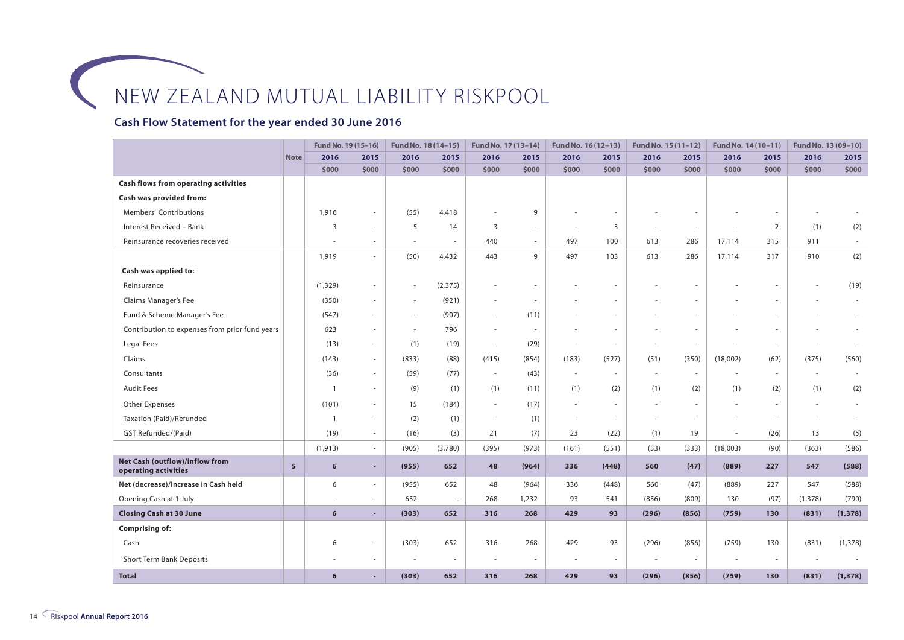#### **Cash Flow Statement for the year ended 30 June 2016**

|                                                        |                | Fund No. 19 (15-16)      |                          | Fund No. 18 (14-15)      |          | Fund No. 17 (13-14)      |                          | Fund No. 16 (12-13) |                          | Fund No. 15 (11-12) |        | Fund No. 14 (10-11) |        | Fund No. 13 (09-10) |          |
|--------------------------------------------------------|----------------|--------------------------|--------------------------|--------------------------|----------|--------------------------|--------------------------|---------------------|--------------------------|---------------------|--------|---------------------|--------|---------------------|----------|
|                                                        | <b>Note</b>    | 2016                     | 2015                     | 2016                     | 2015     | 2016                     | 2015                     | 2016                | 2015                     | 2016                | 2015   | 2016                | 2015   | 2016                | 2015     |
|                                                        |                | \$000                    | \$000                    | \$000                    | \$000    | \$000                    | \$000                    | \$000               | \$000                    | \$000               | \$000  | \$000               | \$000  | \$000               | \$000    |
| <b>Cash flows from operating activities</b>            |                |                          |                          |                          |          |                          |                          |                     |                          |                     |        |                     |        |                     |          |
| Cash was provided from:                                |                |                          |                          |                          |          |                          |                          |                     |                          |                     |        |                     |        |                     |          |
| Members' Contributions                                 |                | 1,916                    |                          | (55)                     | 4,418    |                          | 9                        |                     |                          |                     |        |                     |        |                     |          |
| Interest Received - Bank                               |                | 3                        | $\sim$                   | 5                        | 14       | 3                        | $\sim$                   | $\sim$              | 3                        | ÷.                  | $\sim$ |                     | 2      | (1)                 | (2)      |
| Reinsurance recoveries received                        |                | $\overline{\phantom{a}}$ | $\sim$                   | $\sim$                   | $\sim$   | 440                      | $\sim$                   | 497                 | 100                      | 613                 | 286    | 17,114              | 315    | 911                 | $\sim$   |
|                                                        |                | 1,919                    | $\sim$                   | (50)                     | 4,432    | 443                      | 9                        | 497                 | 103                      | 613                 | 286    | 17,114              | 317    | 910                 | (2)      |
| Cash was applied to:                                   |                |                          |                          |                          |          |                          |                          |                     |                          |                     |        |                     |        |                     |          |
| Reinsurance                                            |                | (1, 329)                 | $\sim$                   | $\sim$                   | (2, 375) |                          |                          |                     |                          |                     |        |                     |        |                     | (19)     |
| Claims Manager's Fee                                   |                | (350)                    | $\sim$                   | $\sim$                   | (921)    |                          | $\overline{\phantom{a}}$ |                     | ٠                        |                     |        |                     |        |                     |          |
| Fund & Scheme Manager's Fee                            |                | (547)                    | $\sim$                   | $\sim$                   | (907)    | $\overline{\phantom{a}}$ | (11)                     |                     | ٠                        |                     |        |                     |        |                     |          |
| Contribution to expenses from prior fund years         |                | 623                      | $\overline{\phantom{a}}$ | $\overline{\phantom{a}}$ | 796      | ÷,                       | $\sim$                   |                     | $\overline{\phantom{a}}$ |                     |        |                     |        |                     |          |
| Legal Fees                                             |                | (13)                     | $\overline{\phantom{a}}$ | (1)                      | (19)     | $\sim$                   | (29)                     | $\sim$              | $\sim$                   | ٠                   | $\sim$ |                     | $\sim$ |                     |          |
| Claims                                                 |                | (143)                    | $\sim$                   | (833)                    | (88)     | (415)                    | (854)                    | (183)               | (527)                    | (51)                | (350)  | (18,002)            | (62)   | (375)               | (560)    |
| Consultants                                            |                | (36)                     | $\sim$                   | (59)                     | (77)     | $\sim$                   | (43)                     | ×.                  | $\sim$                   | $\sim$              | $\sim$ |                     | $\sim$ | $\sim$              |          |
| <b>Audit Fees</b>                                      |                | $\mathbf{1}$             | $\sim$                   | (9)                      | (1)      | (1)                      | (11)                     | (1)                 | (2)                      | (1)                 | (2)    | (1)                 | (2)    | (1)                 | (2)      |
| Other Expenses                                         |                | (101)                    | $\sim$                   | 15                       | (184)    | $\sim$                   | (17)                     | ×.                  | $\sim$                   | $\sim$              | $\sim$ |                     | $\sim$ |                     |          |
| Taxation (Paid)/Refunded                               |                | $\mathbf{1}$             | ×.                       | (2)                      | (1)      | ×                        | (1)                      | $\sim$              | ×.                       | $\sim$              | ×.     |                     | $\sim$ |                     |          |
| GST Refunded/(Paid)                                    |                | (19)                     | $\overline{\phantom{a}}$ | (16)                     | (3)      | 21                       | (7)                      | 23                  | (22)                     | (1)                 | 19     | $\sim$              | (26)   | 13                  | (5)      |
|                                                        |                | (1, 913)                 | $\sim$                   | (905)                    | (3,780)  | (395)                    | (973)                    | (161)               | (551)                    | (53)                | (333)  | (18,003)            | (90)   | (363)               | (586)    |
| Net Cash (outflow)/inflow from<br>operating activities | 5 <sup>5</sup> | 6                        | $\sim$                   | (955)                    | 652      | 48                       | (964)                    | 336                 | (448)                    | 560                 | (47)   | (889)               | 227    | 547                 | (588)    |
| Net (decrease)/increase in Cash held                   |                | 6                        | $\sim$                   | (955)                    | 652      | 48                       | (964)                    | 336                 | (448)                    | 560                 | (47)   | (889)               | 227    | 547                 | (588)    |
| Opening Cash at 1 July                                 |                | $\sim$                   | $\overline{\phantom{a}}$ | 652                      | $\sim$   | 268                      | 1,232                    | 93                  | 541                      | (856)               | (809)  | 130                 | (97)   | (1, 378)            | (790)    |
| <b>Closing Cash at 30 June</b>                         |                | 6                        | $\sim$                   | (303)                    | 652      | 316                      | 268                      | 429                 | 93                       | (296)               | (856)  | (759)               | 130    | (831)               | (1, 378) |
| <b>Comprising of:</b>                                  |                |                          |                          |                          |          |                          |                          |                     |                          |                     |        |                     |        |                     |          |
| Cash                                                   |                | 6                        |                          | (303)                    | 652      | 316                      | 268                      | 429                 | 93                       | (296)               | (856)  | (759)               | 130    | (831)               | (1, 378) |
| Short Term Bank Deposits                               |                |                          |                          | $\sim$                   | ÷,       | ٠                        | ٠                        | $\sim$              | $\overline{\phantom{a}}$ | $\sim$              | $\sim$ |                     | $\sim$ |                     |          |
| <b>Total</b>                                           |                | 6                        |                          | (303)                    | 652      | 316                      | 268                      | 429                 | 93                       | (296)               | (856)  | (759)               | 130    | (831)               | (1, 378) |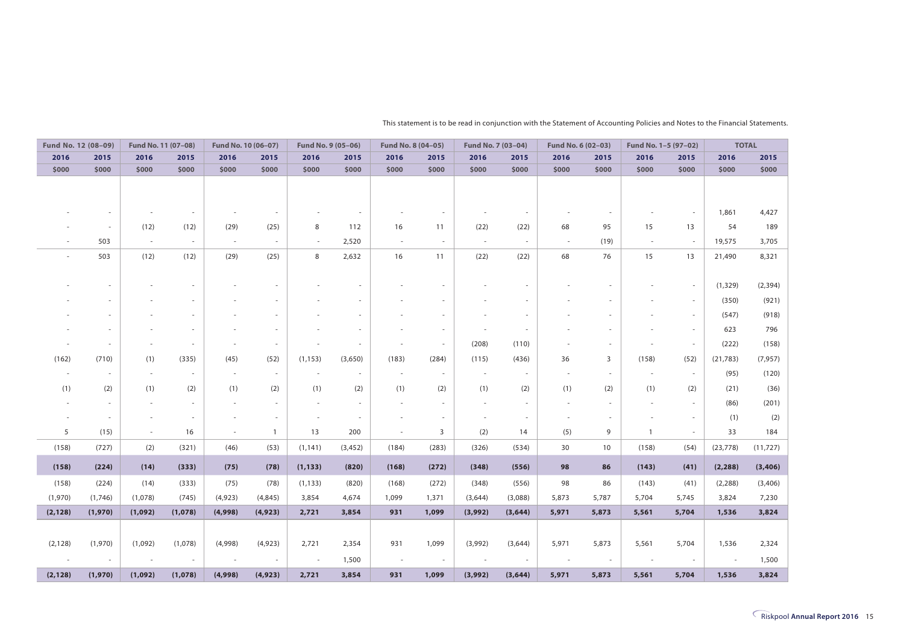|          | Fund No. 12 (08-09)      | Fund No. 11 (07-08) |                          | Fund No. 10 (06-07) |                          | Fund No. 9 (05-06) |          | Fund No. 8 (04-05)       |                          | Fund No. 7 (03-04)       |          | Fund No. 6 (02-03) |                          | Fund No. 1-5 (97-02) |                          |           | <b>TOTAL</b> |
|----------|--------------------------|---------------------|--------------------------|---------------------|--------------------------|--------------------|----------|--------------------------|--------------------------|--------------------------|----------|--------------------|--------------------------|----------------------|--------------------------|-----------|--------------|
| 2016     | 2015                     | 2016                | 2015                     | 2016                | 2015                     | 2016               | 2015     | 2016                     | 2015                     | 2016                     | 2015     | 2016               | 2015                     | 2016                 | 2015                     | 2016      | 2015         |
| \$000    | \$000                    | \$000               | \$000                    | \$000               | \$000                    | \$000              | \$000    | \$000                    | \$000                    | \$000                    | \$000    | \$000              | \$000                    | \$000                | \$000                    | \$000     | \$000        |
|          |                          |                     |                          |                     |                          |                    |          |                          |                          |                          |          |                    |                          |                      |                          |           |              |
|          |                          |                     |                          |                     |                          |                    |          |                          |                          |                          |          |                    |                          |                      |                          |           |              |
|          | $\sim$                   |                     | $\overline{\phantom{a}}$ |                     |                          |                    | $\sim$   |                          | $\overline{\phantom{a}}$ |                          | $\sim$   |                    | $\sim$                   |                      | $\overline{\phantom{a}}$ | 1,861     | 4,427        |
|          | $\sim$                   | (12)                | (12)                     | (29)                | (25)                     | 8                  | 112      | 16                       | 11                       | (22)                     | (22)     | 68                 | 95                       | 15                   | 13                       | 54        | 189          |
|          | 503                      | $\sim$              | $\sim$                   | $\sim$              | $\sim$                   | $\sim$             | 2,520    | $\sim$                   | $\sim$                   | $\sim$                   | $\sim$   | $\sim$             | (19)                     | $\sim$               | $\sim$                   | 19,575    | 3,705        |
|          | 503                      | (12)                | (12)                     | (29)                | (25)                     | 8                  | 2,632    | 16                       | 11                       | (22)                     | (22)     | 68                 | 76                       | 15                   | 13                       | 21,490    | 8,321        |
|          |                          |                     |                          |                     |                          |                    |          |                          |                          |                          |          |                    |                          |                      |                          |           |              |
|          |                          |                     |                          |                     |                          |                    | $\sim$   |                          | $\sim$                   |                          |          |                    |                          |                      | $\overline{\phantom{a}}$ | (1, 329)  | (2, 394)     |
|          |                          |                     |                          |                     |                          |                    |          |                          |                          |                          |          |                    |                          |                      | $\sim$                   | (350)     | (921)        |
|          |                          |                     |                          |                     |                          |                    |          |                          | $\overline{\phantom{a}}$ |                          |          |                    |                          |                      | $\overline{\phantom{a}}$ | (547)     | (918)        |
|          |                          |                     |                          |                     |                          |                    | $\sim$   |                          | $\overline{\phantom{a}}$ |                          |          |                    |                          |                      | $\sim$                   | 623       | 796          |
|          |                          |                     |                          |                     |                          |                    |          |                          | $\overline{\phantom{a}}$ | (208)                    | (110)    |                    |                          |                      | $\sim$                   | (222)     | (158)        |
| (162)    | (710)                    | (1)                 | (335)                    | (45)                | (52)                     | (1, 153)           | (3,650)  | (183)                    | (284)                    | (115)                    | (436)    | 36                 | 3                        | (158)                | (52)                     | (21, 783) | (7, 957)     |
|          | $\sim$                   | ×.                  | $\sim$                   | $\sim$              | $\overline{\phantom{a}}$ | $\sim$             | $\sim$   | $\overline{\phantom{a}}$ | $\sim$                   | $\sim$                   |          | ÷,                 | ÷                        | $\sim$               | $\sim$                   | (95)      | (120)        |
| (1)      | (2)                      | (1)                 | (2)                      | (1)                 | (2)                      | (1)                | (2)      | (1)                      | (2)                      | (1)                      | (2)      | (1)                | (2)                      | (1)                  | (2)                      | (21)      | (36)         |
|          | $\sim$                   |                     | $\overline{\phantom{a}}$ |                     | $\overline{\phantom{a}}$ |                    | $\sim$   | $\overline{\phantom{a}}$ | $\sim$                   | $\overline{\phantom{a}}$ |          |                    |                          |                      | $\overline{\phantom{a}}$ | (86)      | (201)        |
|          | $\sim$                   |                     | $\overline{\phantom{a}}$ |                     | $\sim$                   |                    | $\sim$   |                          | $\sim$                   |                          | $\sim$   |                    |                          |                      | $\overline{\phantom{a}}$ | (1)       | (2)          |
| 5        | (15)                     | $\sim$              | 16                       | $\sim$              | $\mathbf{1}$             | 13                 | 200      | $\sim$                   | 3                        | (2)                      | 14       | (5)                | 9                        | $\mathbf{1}$         | $\sim$                   | 33        | 184          |
| (158)    | (727)                    | (2)                 | (321)                    | (46)                | (53)                     | (1, 141)           | (3, 452) | (184)                    | (283)                    | (326)                    | (534)    | 30                 | 10                       | (158)                | (54)                     | (23, 778) | (11, 727)    |
| (158)    | (224)                    | (14)                | (333)                    | (75)                | (78)                     | (1, 133)           | (820)    | (168)                    | (272)                    | (348)                    | (556)    | 98                 | 86                       | (143)                | (41)                     | (2, 288)  | (3,406)      |
| (158)    | (224)                    | (14)                | (333)                    | (75)                | (78)                     | (1, 133)           | (820)    | (168)                    | (272)                    | (348)                    | (556)    | 98                 | 86                       | (143)                | (41)                     | (2, 288)  | (3,406)      |
| (1,970)  | (1,746)                  | (1,078)             | (745)                    | (4,923)             | (4, 845)                 | 3,854              | 4,674    | 1,099                    | 1,371                    | (3,644)                  | (3,088)  | 5,873              | 5,787                    | 5,704                | 5,745                    | 3,824     | 7,230        |
| (2, 128) | (1,970)                  | (1,092)             | (1,078)                  | (4,998)             | (4, 923)                 | 2,721              | 3,854    | 931                      | 1,099                    | (3,992)                  | (3, 644) | 5,971              | 5,873                    | 5,561                | 5,704                    | 1,536     | 3,824        |
|          |                          |                     |                          |                     |                          |                    |          |                          |                          |                          |          |                    |                          |                      |                          |           |              |
| (2, 128) | (1,970)                  | (1,092)             | (1,078)                  | (4,998)             | (4,923)                  | 2,721              | 2,354    | 931                      | 1,099                    | (3,992)                  | (3,644)  | 5,971              | 5,873                    | 5,561                | 5,704                    | 1,536     | 2,324        |
|          | $\overline{\phantom{a}}$ | $\sim$              | $\sim$                   |                     | $\overline{\phantom{a}}$ | $\sim$             | 1,500    | $\overline{\phantom{a}}$ | $\sim$                   | $\overline{\phantom{a}}$ |          | ٠                  | $\overline{\phantom{a}}$ | $\sim$               | $\overline{\phantom{a}}$ | ÷.        | 1,500        |
| (2, 128) | (1,970)                  | (1,092)             | (1,078)                  | (4,998)             | (4, 923)                 | 2,721              | 3,854    | 931                      | 1,099                    | (3,992)                  | (3, 644) | 5,971              | 5,873                    | 5,561                | 5,704                    | 1,536     | 3,824        |

This statement is to be read in conjunction with the Statement of Accounting Policies and Notes to the Financial Statements.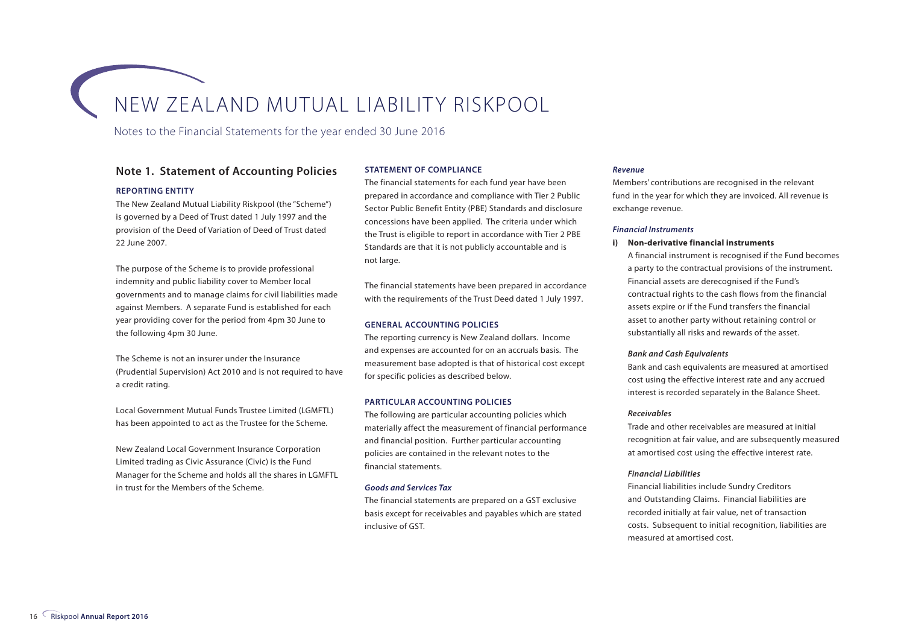Notes to the Financial Statements for the year ended 30 June 2016

#### **Note 1. Statement of Accounting Policies**

#### **REPORTING ENTITY**

The New Zealand Mutual Liability Riskpool (the "Scheme") is governed by a Deed of Trust dated 1 July 1997 and the provision of the Deed of Variation of Deed of Trust dated 22 June 2007.

The purpose of the Scheme is to provide professional indemnity and public liability cover to Member local governments and to manage claims for civil liabilities made against Members. A separate Fund is established for each year providing cover for the period from 4pm 30 June to the following 4pm 30 June.

The Scheme is not an insurer under the Insurance (Prudential Supervision) Act 2010 and is not required to have a credit rating.

Local Government Mutual Funds Trustee Limited (LGMFTL) has been appointed to act as the Trustee for the Scheme.

New Zealand Local Government Insurance Corporation Limited trading as Civic Assurance (Civic) is the Fund Manager for the Scheme and holds all the shares in LGMFTL in trust for the Members of the Scheme.

#### **STATEMENT OF COMPLIANCE**

The financial statements for each fund year have been prepared in accordance and compliance with Tier 2 Public Sector Public Benefit Entity (PBE) Standards and disclosure concessions have been applied. The criteria under which the Trust is eligible to report in accordance with Tier 2 PBE Standards are that it is not publicly accountable and is not large.

The financial statements have been prepared in accordance with the requirements of the Trust Deed dated 1 July 1997.

#### **GENERAL ACCOUNTING POLICIES**

The reporting currency is New Zealand dollars. Income and expenses are accounted for on an accruals basis. The measurement base adopted is that of historical cost except for specific policies as described below.

#### **PARTICULAR ACCOUNTING POLICIES**

The following are particular accounting policies which materially affect the measurement of financial performance and financial position. Further particular accounting policies are contained in the relevant notes to the financial statements.

#### *Goods and Services Tax*

The financial statements are prepared on a GST exclusive basis except for receivables and payables which are stated inclusive of GST.

#### *Revenue*

Members' contributions are recognised in the relevant fund in the year for which they are invoiced. All revenue is exchange revenue.

#### *Financial Instruments*

#### **i) Non-derivative financial instruments**

A financial instrument is recognised if the Fund becomes a party to the contractual provisions of the instrument. Financial assets are derecognised if the Fund's contractual rights to the cash flows from the financial assets expire or if the Fund transfers the financial asset to another party without retaining control or substantially all risks and rewards of the asset.

#### *Bank and Cash Equivalents*

Bank and cash equivalents are measured at amortised cost using the effective interest rate and any accrued interest is recorded separately in the Balance Sheet.

#### *Receivables*

Trade and other receivables are measured at initial recognition at fair value, and are subsequently measured at amortised cost using the effective interest rate.

#### *Financial Liabilities*

Financial liabilities include Sundry Creditors and Outstanding Claims. Financial liabilities are recorded initially at fair value, net of transaction costs. Subsequent to initial recognition, liabilities are measured at amortised cost.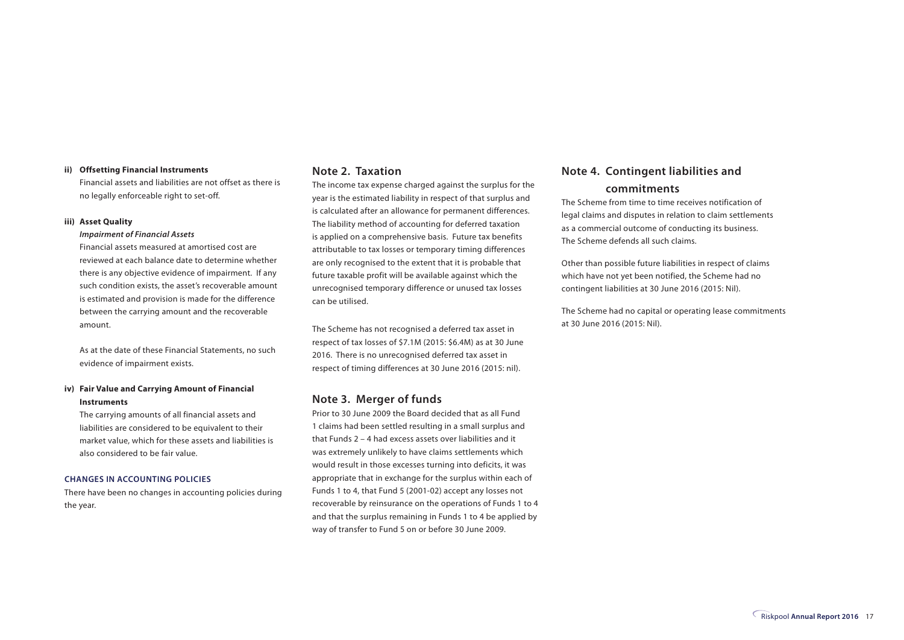#### **ii) Offsetting Financial Instruments**

Financial assets and liabilities are not offset as there is no legally enforceable right to set-off.

#### **iii) Asset Quality**

#### *Impairment of Financial Assets*

Financial assets measured at amortised cost are reviewed at each balance date to determine whether there is any objective evidence of impairment. If any such condition exists, the asset's recoverable amount is estimated and provision is made for the difference between the carrying amount and the recoverable amount.

As at the date of these Financial Statements, no such evidence of impairment exists.

#### **iv) Fair Value and Carrying Amount of Financial Instruments**

The carrying amounts of all financial assets and liabilities are considered to be equivalent to their market value, which for these assets and liabilities is also considered to be fair value.

#### **CHANGES IN ACCOUNTING POLICIES**

There have been no changes in accounting policies during the year.

#### **Note 2. Taxation**

The income tax expense charged against the surplus for the year is the estimated liability in respect of that surplus and is calculated after an allowance for permanent differences. The liability method of accounting for deferred taxation is applied on a comprehensive basis. Future tax benefits attributable to tax losses or temporary timing differences are only recognised to the extent that it is probable that future taxable profit will be available against which the unrecognised temporary difference or unused tax losses can be utilised.

The Scheme has not recognised a deferred tax asset in respect of tax losses of \$7.1M (2015: \$6.4M) as at 30 June 2016. There is no unrecognised deferred tax asset in respect of timing differences at 30 June 2016 (2015: nil).

#### **Note 3. Merger of funds**

Prior to 30 June 2009 the Board decided that as all Fund 1 claims had been settled resulting in a small surplus and that Funds 2 – 4 had excess assets over liabilities and it was extremely unlikely to have claims settlements which would result in those excesses turning into deficits, it was appropriate that in exchange for the surplus within each of Funds 1 to 4, that Fund 5 (2001-02) accept any losses not recoverable by reinsurance on the operations of Funds 1 to 4 and that the surplus remaining in Funds 1 to 4 be applied by way of transfer to Fund 5 on or before 30 June 2009.

#### **Note 4. Contingent liabilities and**

#### **commitments**

The Scheme from time to time receives notification of legal claims and disputes in relation to claim settlements as a commercial outcome of conducting its business. The Scheme defends all such claims.

Other than possible future liabilities in respect of claims which have not yet been notified, the Scheme had no contingent liabilities at 30 June 2016 (2015: Nil).

The Scheme had no capital or operating lease commitments at 30 June 2016 (2015: Nil).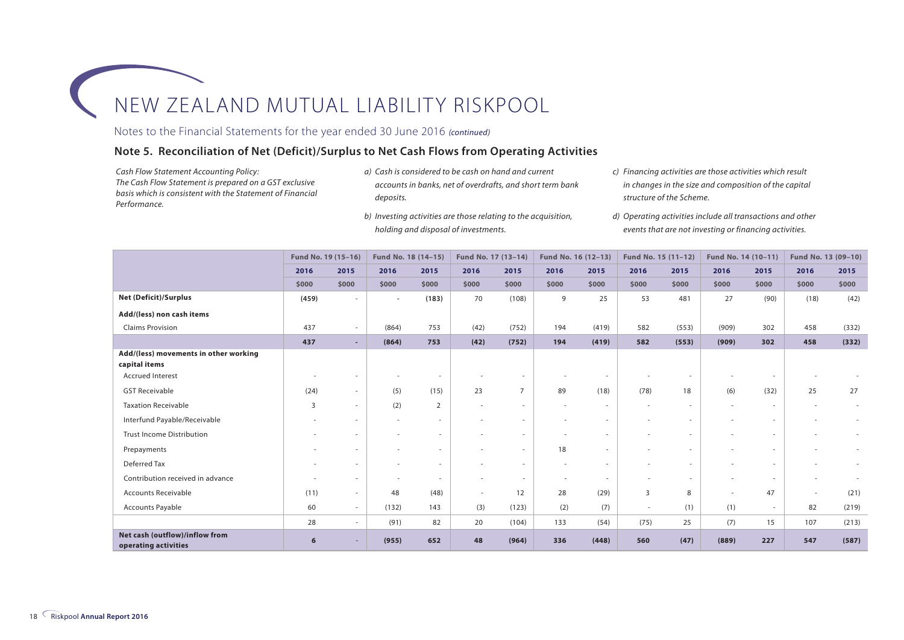#### Notes to the Financial Statements for the year ended 30 June 2016 *(continued)*

#### **Note 5. Reconciliation of Net (Deficit)/Surplus to Net Cash Flows from Operating Activities**

*Cash Flow Statement Accounting Policy: The Cash Flow Statement is prepared on a GST exclusive basis which is consistent with the Statement of Financial Performance.*

- *a) Cash is considered to be cash on hand and current accounts in banks, net of overdrafts, and short term bank deposits.*
- *b) Investing activities are those relating to the acquisition, holding and disposal of investments.*
- *c) Financing activities are those activities which result in changes in the size and composition of the capital structure of the Scheme.*
- *d) Operating activities include all transactions and other events that are not investing or financing activities.*

|                                                        | Fund No. 19 (15-16) |                          | Fund No. 18 (14-15) |                          | Fund No. 17 (13-14) |                | Fund No. 16 (12-13)      |                          | Fund No. 15 (11-12) |        | Fund No. 14 (10-11)      |                          | Fund No. 13 (09-10)      |       |
|--------------------------------------------------------|---------------------|--------------------------|---------------------|--------------------------|---------------------|----------------|--------------------------|--------------------------|---------------------|--------|--------------------------|--------------------------|--------------------------|-------|
|                                                        | 2016                | 2015                     | 2016                | 2015                     | 2016                | 2015           | 2016                     | 2015                     | 2016                | 2015   | 2016                     | 2015                     | 2016                     | 2015  |
|                                                        | \$000               | \$000                    | \$000               | \$000                    | \$000               | \$000          | \$000                    | \$000                    | \$000               | \$000  | \$000                    | \$000                    | \$000                    | \$000 |
| <b>Net (Deficit)/Surplus</b>                           | (459)               | $\sim$                   | $\sim$              | (183)                    | 70                  | (108)          | 9                        | 25                       | 53                  | 481    | 27                       | (90)                     | (18)                     | (42)  |
| Add/(less) non cash items                              |                     |                          |                     |                          |                     |                |                          |                          |                     |        |                          |                          |                          |       |
| <b>Claims Provision</b>                                | 437                 | $\overline{\phantom{a}}$ | (864)               | 753                      | (42)                | (752)          | 194                      | (419)                    | 582                 | (553)  | (909)                    | 302                      | 458                      | (332) |
|                                                        | 437                 | $\sim$                   | (864)               | 753                      | (42)                | (752)          | 194                      | (419)                    | 582                 | (553)  | (909)                    | 302                      | 458                      | (332) |
| Add/(less) movements in other working<br>capital items |                     |                          |                     |                          |                     |                |                          |                          |                     |        |                          |                          |                          |       |
| <b>Accrued Interest</b>                                | $\sim$              | $\overline{\phantom{a}}$ | $\sim$              | $\sim$                   |                     | $\sim$         |                          | $\overline{\phantom{a}}$ |                     | ٠      |                          | $\overline{\phantom{a}}$ |                          |       |
| <b>GST Receivable</b>                                  | (24)                | $\sim$                   | (5)                 | (15)                     | 23                  | $\overline{7}$ | 89                       | (18)                     | (78)                | 18     | (6)                      | (32)                     | 25                       | 27    |
| <b>Taxation Receivable</b>                             | 3                   | $\overline{\phantom{a}}$ | (2)                 | $\overline{2}$           | $\sim$              | $\sim$         | $\sim$                   | $\overline{\phantom{a}}$ | $\sim$              | $\sim$ | $\sim$                   | $\sim$                   | $\overline{\phantom{a}}$ |       |
| Interfund Payable/Receivable                           |                     | $\overline{\phantom{a}}$ | $\sim$              | $\overline{\phantom{a}}$ | $\sim$              | $\sim$         |                          | $\overline{\phantom{a}}$ |                     | $\sim$ |                          | $\overline{\phantom{a}}$ |                          |       |
| <b>Trust Income Distribution</b>                       |                     | $\sim$                   | $\sim$              | $\overline{\phantom{a}}$ | $\sim$              | $\sim$         |                          | ٠                        |                     | $\sim$ | $\sim$                   | $\sim$                   |                          |       |
| Prepayments                                            |                     | ٠                        |                     | ٠                        |                     | $\sim$         | 18                       | ٠                        |                     | $\sim$ |                          | $\sim$                   |                          |       |
| Deferred Tax                                           |                     | ×.                       |                     | $\overline{\phantom{a}}$ |                     | $\sim$         |                          | ٠                        |                     | ×.     |                          | ٠                        |                          |       |
| Contribution received in advance                       |                     | $\sim$                   | $\sim$              | $\overline{\phantom{a}}$ | $\sim$              | $\sim$         | $\overline{\phantom{a}}$ | $\sim$                   |                     | $\sim$ | $\overline{\phantom{a}}$ | $\sim$                   |                          |       |
| <b>Accounts Receivable</b>                             | (11)                | $\sim$                   | 48                  | (48)                     | $\sim$              | 12             | 28                       | (29)                     | $\overline{3}$      | 8      | $\sim$                   | 47                       | $\sim$                   | (21)  |
| Accounts Payable                                       | 60                  | $\sim$                   | (132)               | 143                      | (3)                 | (123)          | (2)                      | (7)                      | $\sim$              | (1)    | (1)                      | $\sim$                   | 82                       | (219) |
|                                                        | 28                  | $\sim$                   | (91)                | 82                       | 20                  | (104)          | 133                      | (54)                     | (75)                | 25     | (7)                      | 15                       | 107                      | (213) |
| Net cash (outflow)/inflow from<br>operating activities | 6                   | -                        | (955)               | 652                      | 48                  | (964)          | 336                      | (448)                    | 560                 | (47)   | (889)                    | 227                      | 547                      | (587) |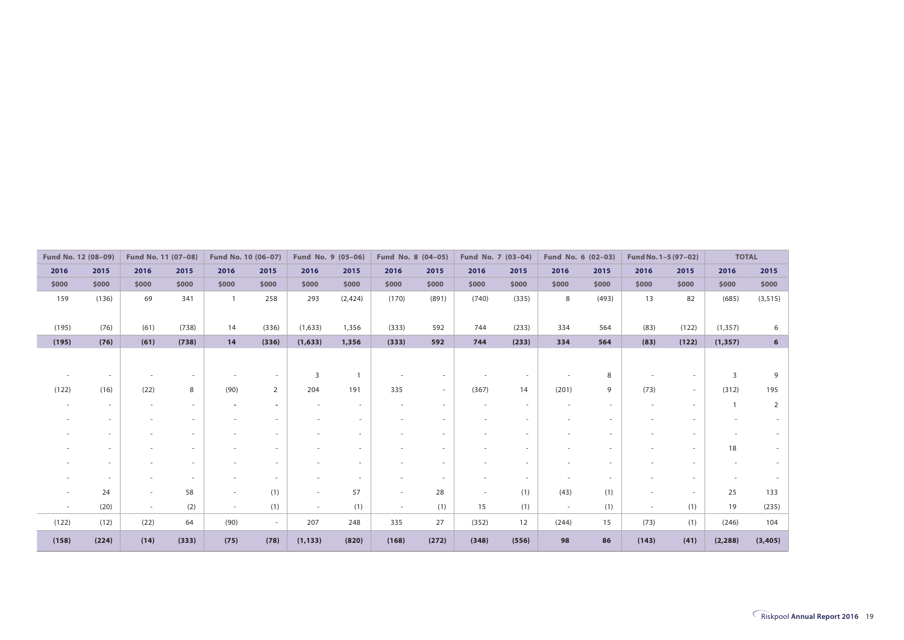|        | Fund No. 12 (08-09) | Fund No. 11 (07-08)      |        |                          | Fund No. 10 (06-07)      | Fund No. 9 (05-06)       |                          |                          | Fund No. 8 (04-05)       | Fund No. 7 (03-04) |       |        | Fund No. 6 (02-03) | Fund No. 1-5 (97-02)     |                          | <b>TOTAL</b> |                |
|--------|---------------------|--------------------------|--------|--------------------------|--------------------------|--------------------------|--------------------------|--------------------------|--------------------------|--------------------|-------|--------|--------------------|--------------------------|--------------------------|--------------|----------------|
| 2016   | 2015                | 2016                     | 2015   | 2016                     | 2015                     | 2016                     | 2015                     | 2016                     | 2015                     | 2016               | 2015  | 2016   | 2015               | 2016                     | 2015                     | 2016         | 2015           |
| \$000  | \$000               | \$000                    | \$000  | \$000                    | \$000                    | \$000                    | \$000                    | \$000                    | \$000                    | \$000              | \$000 | \$000  | \$000              | \$000                    | \$000                    | \$000        | \$000          |
| 159    | (136)               | 69                       | 341    |                          | 258                      | 293                      | (2,424)                  | (170)                    | (891)                    | (740)              | (335) | 8      | (493)              | 13                       | 82                       | (685)        | (3, 515)       |
| (195)  | (76)                | (61)                     | (738)  | 14                       | (336)                    | (1,633)                  | 1,356                    | (333)                    | 592                      | 744                | (233) | 334    | 564                | (83)                     | (122)                    | (1, 357)     | 6              |
| (195)  | (76)                | (61)                     | (738)  | 14                       | (336)                    | (1,633)                  | 1,356                    | (333)                    | 592                      | 744                | (233) | 334    | 564                | (83)                     | (122)                    | (1, 357)     | 6              |
|        |                     |                          |        |                          | $\overline{\phantom{a}}$ | 3                        | $\mathbf{1}$             |                          |                          |                    |       |        | 8                  |                          | $\overline{\phantom{a}}$ | 3            | 9              |
|        |                     |                          |        |                          |                          |                          |                          |                          |                          |                    |       |        |                    |                          |                          |              |                |
| (122)  | (16)                | (22)                     | 8      | (90)                     | $\overline{2}$           | 204                      | 191                      | 335                      | $\sim$                   | (367)              | 14    | (201)  | 9                  | (73)                     | $\overline{\phantom{a}}$ | (312)        | 195            |
|        | $\sim$              | $\sim$                   | $\sim$ |                          | $\overline{\phantom{a}}$ |                          | $\sim$                   |                          | $\sim$                   |                    | ٠     |        | $\sim$             | $\overline{\phantom{a}}$ | $\sim$                   |              | $\overline{2}$ |
|        | ٠                   |                          |        |                          | ٠                        |                          | $\sim$                   |                          | ٠                        |                    | ۰     |        | ٠                  |                          | $\overline{\phantom{a}}$ |              |                |
|        |                     |                          |        | $\overline{\phantom{a}}$ | $\sim$                   | $\overline{\phantom{a}}$ | $\sim$                   | $\overline{\phantom{a}}$ | ٠                        |                    |       |        | $\sim$             |                          | $\sim$                   |              |                |
|        |                     |                          |        |                          | ٠                        |                          | $\sim$                   |                          | $\overline{\phantom{a}}$ |                    |       |        | ٠                  |                          | $\sim$                   | 18           |                |
|        |                     |                          |        |                          |                          |                          | $\overline{\phantom{a}}$ |                          | ۰                        |                    |       |        |                    |                          | ٠                        |              |                |
|        |                     |                          |        |                          | $\sim$                   |                          | $\sim$                   |                          | $\sim$                   |                    |       |        |                    |                          |                          |              |                |
|        | 24                  | $\overline{\phantom{a}}$ | 58     | ٠                        | (1)                      | $\sim$                   | 57                       | $\overline{\phantom{a}}$ | 28                       | ۰                  | (1)   | (43)   | (1)                |                          | $\sim$                   | 25           | 133            |
| $\sim$ | (20)                | $\sim$                   | (2)    | $\sim$                   | (1)                      | $\sim$                   | (1)                      | $\sim$                   | (1)                      | 15                 | (1)   | $\sim$ | (1)                | $\sim$                   | (1)                      | 19           | (235)          |
| (122)  | (12)                | (22)                     | 64     | (90)                     | $\sim$                   | 207                      | 248                      | 335                      | 27                       | (352)              | 12    | (244)  | 15                 | (73)                     | (1)                      | (246)        | 104            |
| (158)  | (224)               | (14)                     | (333)  | (75)                     | (78)                     | (1, 133)                 | (820)                    | (168)                    | (272)                    | (348)              | (556) | 98     | 86                 | (143)                    | (41)                     | (2, 288)     | (3, 405)       |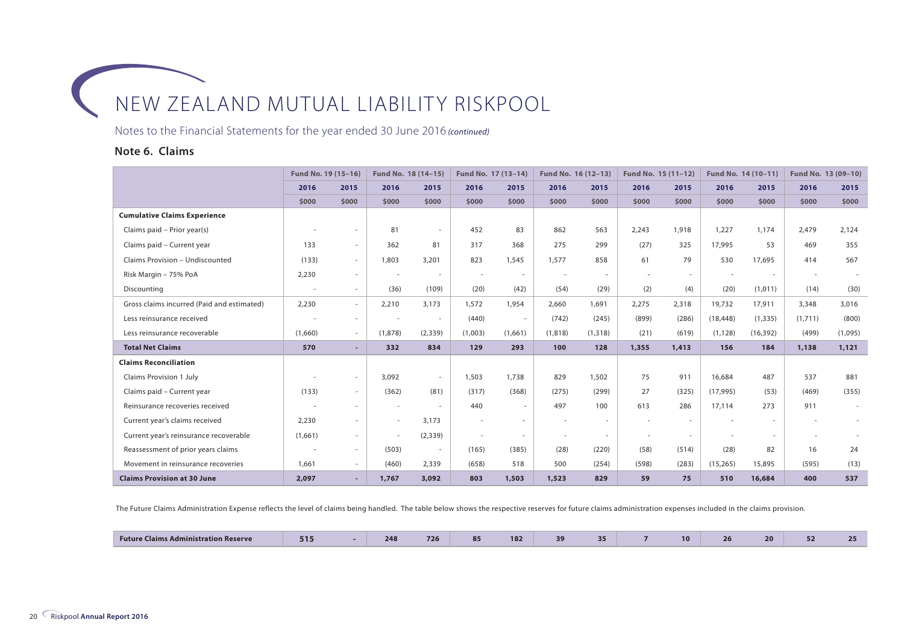Notes to the Financial Statements for the year ended 30 June 2016 *(continued)*

#### **Note 6. Claims**

|                                            | Fund No. 19 (15-16)      |                          | Fund No. 18 (14-15)      |          | Fund No. 17 (13-14) |                          | Fund No. 16 (12-13) |          | Fund No. 15 (11-12) |        | Fund No. 14 (10-11) |           | Fund No. 13 (09-10) |         |
|--------------------------------------------|--------------------------|--------------------------|--------------------------|----------|---------------------|--------------------------|---------------------|----------|---------------------|--------|---------------------|-----------|---------------------|---------|
|                                            | 2016                     | 2015                     | 2016                     | 2015     | 2016                | 2015                     | 2016                | 2015     | 2016                | 2015   | 2016                | 2015      | 2016                | 2015    |
|                                            | \$000                    | \$000                    | \$000                    | \$000    | \$000               | \$000                    | \$000               | \$000    | \$000               | \$000  | \$000               | \$000     | \$000               | \$000   |
| <b>Cumulative Claims Experience</b>        |                          |                          |                          |          |                     |                          |                     |          |                     |        |                     |           |                     |         |
| Claims paid - Prior year(s)                |                          | $\overline{\phantom{a}}$ | 81                       | $\sim$   | 452                 | 83                       | 862                 | 563      | 2,243               | 1,918  | 1,227               | 1,174     | 2,479               | 2,124   |
| Claims paid - Current year                 | 133                      | $\sim$                   | 362                      | 81       | 317                 | 368                      | 275                 | 299      | (27)                | 325    | 17,995              | 53        | 469                 | 355     |
| Claims Provision - Undiscounted            | (133)                    | $\sim$                   | 1,803                    | 3,201    | 823                 | 1,545                    | 1,577               | 858      | 61                  | 79     | 530                 | 17,695    | 414                 | 567     |
| Risk Margin - 75% PoA                      | 2,230                    | $\sim$                   |                          | $\sim$   | $\sim$              | $\sim$                   |                     |          |                     | $\sim$ |                     | $\sim$    |                     |         |
| Discounting                                | $\overline{\phantom{a}}$ | $\sim$                   | (36)                     | (109)    | (20)                | (42)                     | (54)                | (29)     | (2)                 | (4)    | (20)                | (1,011)   | (14)                | (30)    |
| Gross claims incurred (Paid and estimated) | 2,230                    | $\sim$                   | 2,210                    | 3.173    | 1,572               | 1,954                    | 2,660               | 1,691    | 2,275               | 2,318  | 19,732              | 17,911    | 3,348               | 3,016   |
| Less reinsurance received                  |                          | $\sim$                   |                          | $\sim$   | (440)               | $\overline{\phantom{a}}$ | (742)               | (245)    | (899)               | (286)  | (18, 448)           | (1, 335)  | (1,711)             | (800)   |
| Less reinsurance recoverable               | (1,660)                  | $\overline{\phantom{a}}$ | (1,878)                  | (2, 339) | (1,003)             | (1,661)                  | (1,818)             | (1, 318) | (21)                | (619)  | (1, 128)            | (16, 392) | (499)               | (1,095) |
| <b>Total Net Claims</b>                    | 570                      | ۰.                       | 332                      | 834      | 129                 | 293                      | 100                 | 128      | 1,355               | 1,413  | 156                 | 184       | 1,138               | 1,121   |
| <b>Claims Reconciliation</b>               |                          |                          |                          |          |                     |                          |                     |          |                     |        |                     |           |                     |         |
| <b>Claims Provision 1 July</b>             |                          | $\sim$                   | 3,092                    | $\sim$   | 1,503               | 1,738                    | 829                 | 1,502    | 75                  | 911    | 16.684              | 487       | 537                 | 881     |
| Claims paid - Current year                 | (133)                    | $\sim$                   | (362)                    | (81)     | (317)               | (368)                    | (275)               | (299)    | 27                  | (325)  | (17, 995)           | (53)      | (469)               | (355)   |
| Reinsurance recoveries received            |                          | $\sim$                   | $\overline{\phantom{a}}$ | $\sim$   | 440                 | $\overline{\phantom{a}}$ | 497                 | 100      | 613                 | 286    | 17,114              | 273       | 911                 | $\sim$  |
| Current year's claims received             | 2,230                    | $\overline{\phantom{a}}$ | $\sim$                   | 3,173    |                     | $\sim$                   |                     |          |                     |        |                     |           |                     |         |
| Current year's reinsurance recoverable     | (1,661)                  | $\sim$                   | $\overline{\phantom{a}}$ | (2, 339) | $\sim$              | $\sim$                   |                     | $\sim$   |                     | $\sim$ |                     |           |                     |         |
| Reassessment of prior years claims         | $\sim$                   | $\sim$                   | (503)                    | $\sim$   | (165)               | (385)                    | (28)                | (220)    | (58)                | (514)  | (28)                | 82        | 16                  | 24      |
| Movement in reinsurance recoveries         | 1,661                    | $\sim$                   | (460)                    | 2,339    | (658)               | 518                      | 500                 | (254)    | (598)               | (283)  | (15, 265)           | 15,895    | (595)               | (13)    |
| <b>Claims Provision at 30 June</b>         | 2,097                    | ۰.                       | 1,767                    | 3,092    | 803                 | 1,503                    | 1,523               | 829      | 59                  | 75     | 510                 | 16,684    | 400                 | 537     |

The Future Claims Administration Expense reflects the level of claims being handled. The table below shows the respective reserves for future claims administration expenses included in the claims provision.

| s Administration Reserve<br><b>Future</b><br>Ilaims | <b>PERSONA</b><br>$\sim$ |  | 248<br>______ | 726 |  | 182<br>$-$<br>___<br><b>STATE</b> | 39 |  |  | 10. |  | 20 | --<br>$-$ |  |
|-----------------------------------------------------|--------------------------|--|---------------|-----|--|-----------------------------------|----|--|--|-----|--|----|-----------|--|
|-----------------------------------------------------|--------------------------|--|---------------|-----|--|-----------------------------------|----|--|--|-----|--|----|-----------|--|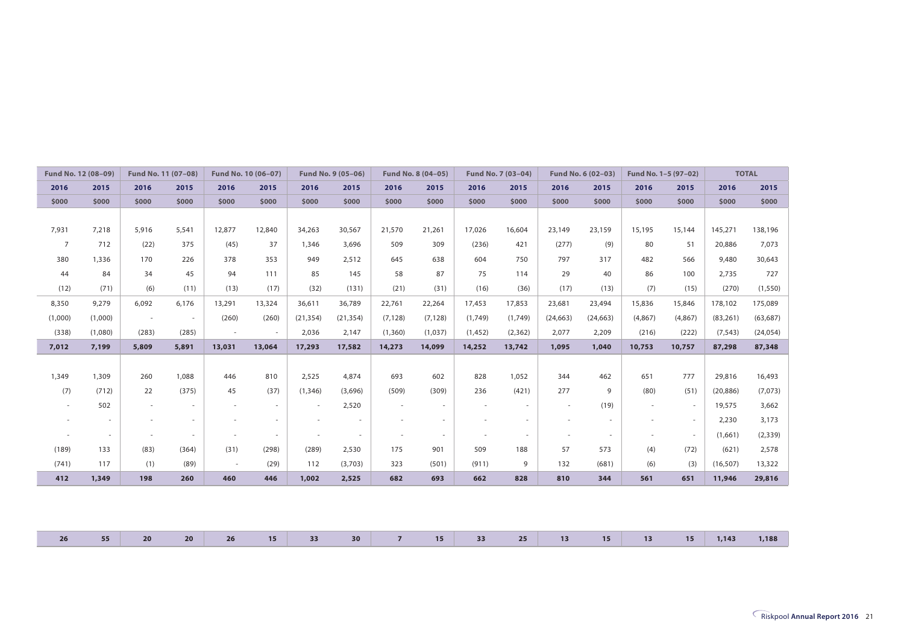| Fund No. 12 (08-09) |         | Fund No. 11 (07-08) |        |                          | Fund No. 10 (06-07) |           | Fund No. 9 (05-06) |                          | Fund No. 8 (04-05) |          | Fund No. 7 (03-04) |           | Fund No. 6 (02-03) |         | Fund No. 1-5 (97-02)     |           | <b>TOTAL</b> |
|---------------------|---------|---------------------|--------|--------------------------|---------------------|-----------|--------------------|--------------------------|--------------------|----------|--------------------|-----------|--------------------|---------|--------------------------|-----------|--------------|
| 2016                | 2015    | 2016                | 2015   | 2016                     | 2015                | 2016      | 2015               | 2016                     | 2015               | 2016     | 2015               | 2016      | 2015               | 2016    | 2015                     | 2016      | 2015         |
| \$000               | \$000   | \$000               | \$000  | \$000                    | \$000               | \$000     | \$000              | \$000                    | \$000              | \$000    | \$000              | \$000     | \$000              | \$000   | \$000                    | \$000     | \$000        |
|                     |         |                     |        |                          |                     |           |                    |                          |                    |          |                    |           |                    |         |                          |           |              |
| 7,931               | 7,218   | 5,916               | 5,541  | 12,877                   | 12,840              | 34,263    | 30,567             | 21,570                   | 21,261             | 17,026   | 16,604             | 23,149    | 23,159             | 15,195  | 15,144                   | 145,271   | 138,196      |
| $\overline{7}$      | 712     | (22)                | 375    | (45)                     | 37                  | 1,346     | 3,696              | 509                      | 309                | (236)    | 421                | (277)     | (9)                | 80      | 51                       | 20,886    | 7,073        |
| 380                 | 1,336   | 170                 | 226    | 378                      | 353                 | 949       | 2,512              | 645                      | 638                | 604      | 750                | 797       | 317                | 482     | 566                      | 9,480     | 30,643       |
| 44                  | 84      | 34                  | 45     | 94                       | 111                 | 85        | 145                | 58                       | 87                 | 75       | 114                | 29        | 40                 | 86      | 100                      | 2,735     | 727          |
| (12)                | (71)    | (6)                 | (11)   | (13)                     | (17)                | (32)      | (131)              | (21)                     | (31)               | (16)     | (36)               | (17)      | (13)               | (7)     | (15)                     | (270)     | (1, 550)     |
| 8,350               | 9,279   | 6,092               | 6,176  | 13,291                   | 13,324              | 36,611    | 36,789             | 22,761                   | 22,264             | 17,453   | 17,853             | 23,681    | 23,494             | 15,836  | 15,846                   | 178,102   | 175,089      |
| (1,000)             | (1,000) | $\sim$              | $\sim$ | (260)                    | (260)               | (21, 354) | (21, 354)          | (7, 128)                 | (7, 128)           | (1,749)  | (1,749)            | (24, 663) | (24, 663)          | (4,867) | (4,867)                  | (83, 261) | (63, 687)    |
| (338)               | (1,080) | (283)               | (285)  | $\sim$                   | $\sim$              | 2,036     | 2,147              | (1,360)                  | (1,037)            | (1, 452) | (2, 362)           | 2,077     | 2,209              | (216)   | (222)                    | (7, 543)  | (24, 054)    |
| 7,012               | 7,199   | 5,809               | 5,891  | 13,031                   | 13,064              | 17,293    | 17,582             | 14,273                   | 14,099             | 14,252   | 13,742             | 1,095     | 1,040              | 10,753  | 10,757                   | 87,298    | 87,348       |
|                     |         |                     |        |                          |                     |           |                    |                          |                    |          |                    |           |                    |         |                          |           |              |
| 1,349               | 1,309   | 260                 | 1,088  | 446                      | 810                 | 2,525     | 4,874              | 693                      | 602                | 828      | 1,052              | 344       | 462                | 651     | 777                      | 29,816    | 16,493       |
| (7)                 | (712)   | 22                  | (375)  | 45                       | (37)                | (1, 346)  | (3,696)            | (509)                    | (309)              | 236      | (421)              | 277       | 9                  | (80)    | (51)                     | (20, 886) | (7,073)      |
| $\sim$              | 502     | $\sim$              | $\sim$ | $\overline{\phantom{a}}$ | $\sim$              | $\sim$    | 2,520              | $\sim$                   | $\sim$             | $\sim$   | $\sim$             | $\sim$    | (19)               | $\sim$  | $\sim$                   | 19,575    | 3,662        |
| $\sim$              | $\sim$  | $\sim$              | $\sim$ | $\sim$                   | $\sim$              | $\sim$    | $\sim$             | $\overline{\phantom{a}}$ | $\sim$             | $\sim$   | $\sim$             | $\sim$    | $\sim$             | $\sim$  | $\overline{\phantom{a}}$ | 2,230     | 3,173        |
| $\sim$              | $\sim$  | $\sim$              | $\sim$ | $\overline{\phantom{a}}$ | $\sim$              | $\sim$    | $\sim$             | $\overline{\phantom{a}}$ | $\sim$             | $\sim$   | $\sim$             | $\sim$    | $\sim$             | $\sim$  | $\sim$                   | (1,661)   | (2, 339)     |
| (189)               | 133     | (83)                | (364)  | (31)                     | (298)               | (289)     | 2,530              | 175                      | 901                | 509      | 188                | 57        | 573                | (4)     | (72)                     | (621)     | 2,578        |
| (741)               | 117     | (1)                 | (89)   | $\sim$                   | (29)                | 112       | (3,703)            | 323                      | (501)              | (911)    | 9                  | 132       | (681)              | (6)     | (3)                      | (16, 507) | 13,322       |
| 412                 | 1,349   | 198                 | 260    | 460                      | 446                 | 1,002     | 2,525              | 682                      | 693                | 662      | 828                | 810       | 344                | 561     | 651                      | 11,946    | 29,816       |
|                     |         |                     |        |                          |                     |           |                    |                          |                    |          |                    |           |                    |         |                          |           |              |
|                     |         |                     |        |                          |                     |           |                    |                          |                    |          |                    |           |                    |         |                          |           |              |

| 26 55 20 |  |  | 20 26 15 33 30 7 15 33 25 13 15 13 15 1,143 1,188 |  |  |  |  |  |  |
|----------|--|--|---------------------------------------------------|--|--|--|--|--|--|
|          |  |  |                                                   |  |  |  |  |  |  |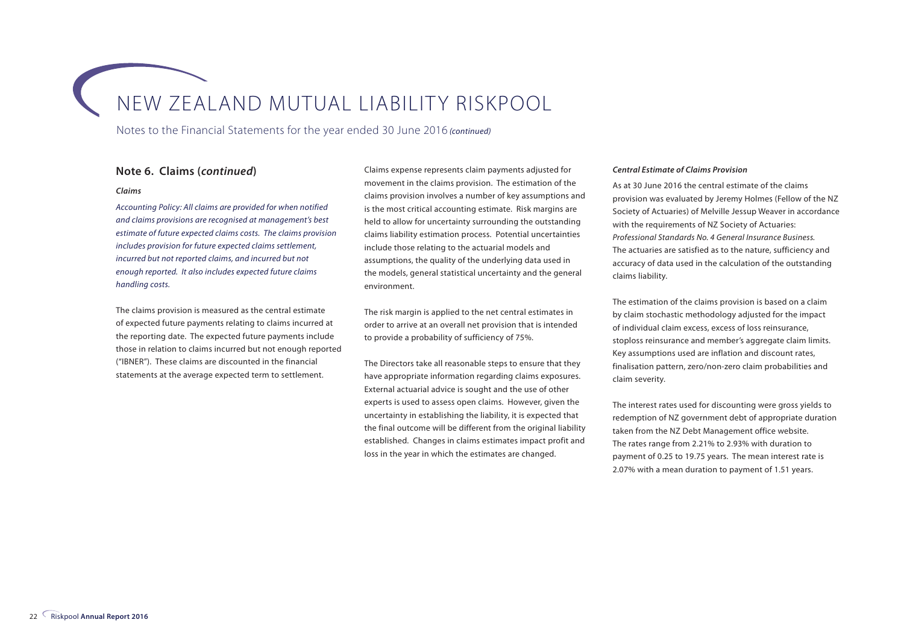Notes to the Financial Statements for the year ended 30 June 2016 *(continued)*

#### **Note 6. Claims (***continued***)**

#### *Claims*

*Accounting Policy: All claims are provided for when notified and claims provisions are recognised at management's best estimate of future expected claims costs. The claims provision includes provision for future expected claims settlement, incurred but not reported claims, and incurred but not enough reported. It also includes expected future claims handling costs.*

The claims provision is measured as the central estimate of expected future payments relating to claims incurred at the reporting date. The expected future payments include those in relation to claims incurred but not enough reported ("IBNER"). These claims are discounted in the financial statements at the average expected term to settlement.

Claims expense represents claim payments adjusted for movement in the claims provision. The estimation of the claims provision involves a number of key assumptions and is the most critical accounting estimate. Risk margins are held to allow for uncertainty surrounding the outstanding claims liability estimation process. Potential uncertainties include those relating to the actuarial models and assumptions, the quality of the underlying data used in the models, general statistical uncertainty and the general environment.

The risk margin is applied to the net central estimates in order to arrive at an overall net provision that is intended to provide a probability of sufficiency of 75%.

The Directors take all reasonable steps to ensure that they have appropriate information regarding claims exposures. External actuarial advice is sought and the use of other experts is used to assess open claims. However, given the uncertainty in establishing the liability, it is expected that the final outcome will be different from the original liability established. Changes in claims estimates impact profit and loss in the year in which the estimates are changed.

#### *Central Estimate of Claims Provision*

As at 30 June 2016 the central estimate of the claims provision was evaluated by Jeremy Holmes (Fellow of the NZ Society of Actuaries) of Melville Jessup Weaver in accordance with the requirements of NZ Society of Actuaries: *Professional Standards No. 4 General Insurance Business.*  The actuaries are satisfied as to the nature, sufficiency and accuracy of data used in the calculation of the outstanding claims liability.

The estimation of the claims provision is based on a claim by claim stochastic methodology adjusted for the impact of individual claim excess, excess of loss reinsurance, stoploss reinsurance and member's aggregate claim limits. Key assumptions used are inflation and discount rates, finalisation pattern, zero/non-zero claim probabilities and claim severity.

The interest rates used for discounting were gross yields to redemption of NZ government debt of appropriate duration taken from the NZ Debt Management office website. The rates range from 2.21% to 2.93% with duration to payment of 0.25 to 19.75 years. The mean interest rate is 2.07% with a mean duration to payment of 1.51 years.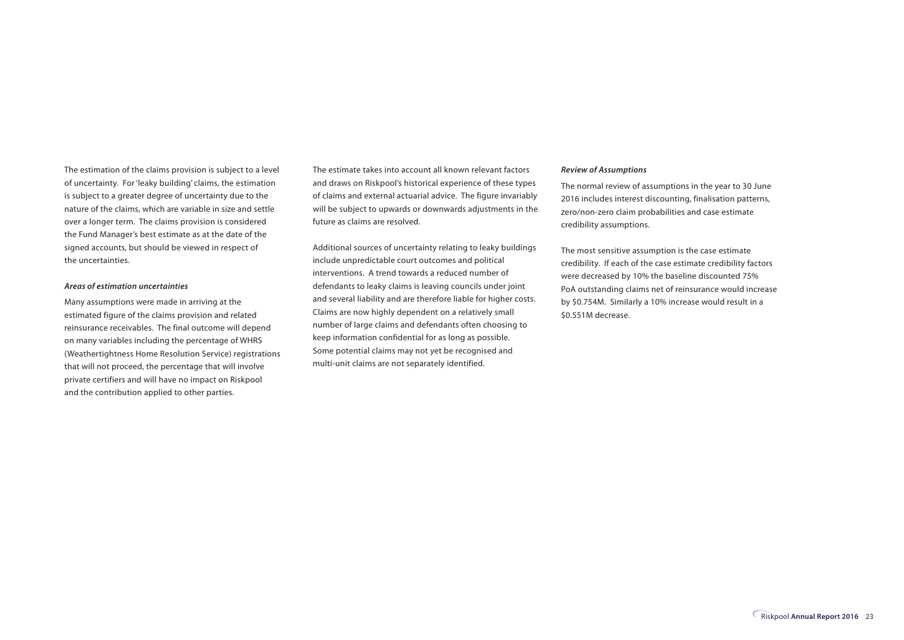The estimation of the claims provision is subject to a level of uncertainty. For 'leaky building' claims, the estimation is subject to a greater degree of uncertainty due to the nature of the claims, which are variable in size and settle over a longer term. The claims provision is considered the Fund Manager's best estimate as at the date of the signed accounts, but should be viewed in respect of the uncertainties.

#### *Areas of estimation uncertainties*

Many assumptions were made in arriving at the estimated figure of the claims provision and related reinsurance receivables. The final outcome will depend on many variables including the percentage of WHRS (Weathertightness Home Resolution Service) registrations that will not proceed, the percentage that will involve private certifiers and will have no impact on Riskpool and the contribution applied to other parties.

The estimate takes into account all known relevant factors and draws on Riskpool's historical experience of these types of claims and external actuarial advice. The figure invariably will be subject to upwards or downwards adjustments in the future as claims are resolved.

Additional sources of uncertainty relating to leaky buildings include unpredictable court outcomes and political interventions. A trend towards a reduced number of defendants to leaky claims is leaving councils under joint and several liability and are therefore liable for higher costs. Claims are now highly dependent on a relatively small number of large claims and defendants often choosing to keep information confidential for as long as possible. Some potential claims may not yet be recognised and multi-unit claims are not separately identified.

#### *Review of Assumptions*

The normal review of assumptions in the year to 30 June 2016 includes interest discounting, finalisation patterns, zero/non-zero claim probabilities and case estimate credibility assumptions.

The most sensitive assumption is the case estimate credibility. If each of the case estimate credibility factors were decreased by 10% the baseline discounted 75% PoA outstanding claims net of reinsurance would increase by \$0.754M. Similarly a 10% increase would result in a \$0.551M decrease.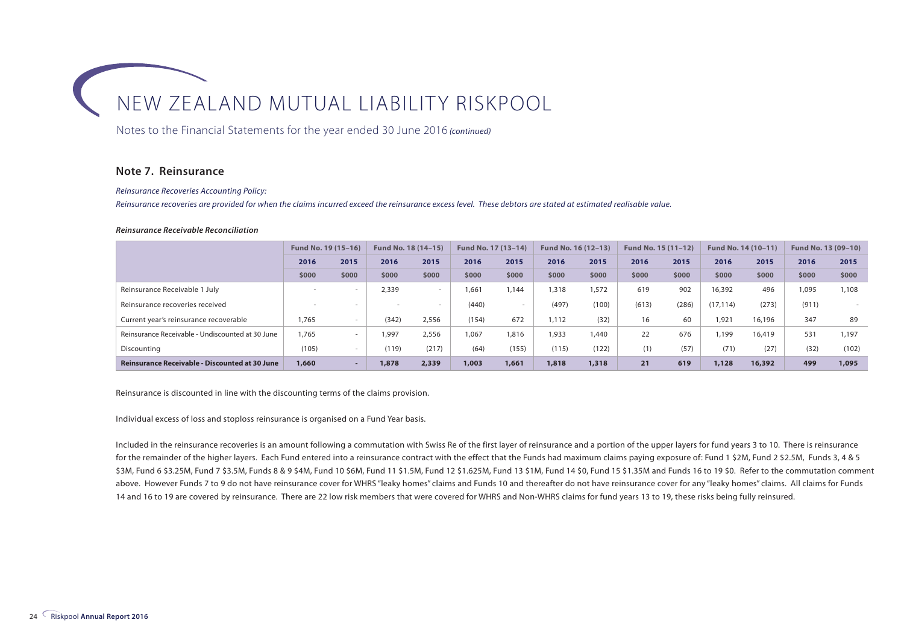Notes to the Financial Statements for the year ended 30 June 2016 *(continued)*

#### **Note 7. Reinsurance**

*Reinsurance Recoveries Accounting Policy:*

*Reinsurance recoveries are provided for when the claims incurred exceed the reinsurance excess level. These debtors are stated at estimated realisable value.*

#### *Reinsurance Receivable Reconciliation*

|                                                       | Fund No. 19 (15-16) |                          | Fund No. 18 (14-15)      |        | Fund No. 17 (13-14) |        | Fund No. 16 (12-13) |       | Fund No. 15 (11-12) |       | Fund No. 14 (10-11) |        | Fund No. 13 (09-10) |       |
|-------------------------------------------------------|---------------------|--------------------------|--------------------------|--------|---------------------|--------|---------------------|-------|---------------------|-------|---------------------|--------|---------------------|-------|
|                                                       | 2016                | 2015                     | 2016                     | 2015   | 2016                | 2015   | 2016                | 2015  | 2016                | 2015  | 2016                | 2015   | 2016                | 2015  |
|                                                       | \$000               | \$000                    | \$000                    | \$000  | \$000               | \$000  | \$000               | \$000 | \$000               | \$000 | \$000               | \$000  | \$000               | \$000 |
| Reinsurance Receivable 1 July                         |                     |                          | 2,339                    | $\sim$ | 1.661               | 1.144  | 1,318               | 1,572 | 619                 | 902   | 16,392              | 496    | 1.095               | 1,108 |
| Reinsurance recoveries received                       |                     | $\overline{\phantom{a}}$ | $\overline{\phantom{a}}$ | $\sim$ | (440)               | $\sim$ | (497)               | (100) | (613)               | (286) | (17, 114)           | (273)  | (911)               |       |
| Current year's reinsurance recoverable                | .765                |                          | (342)                    | 2,556  | (154)               | 672    | 1.112               | (32)  | 16                  | 60    | 1,921               | 16,196 | 347                 | 89    |
| Reinsurance Receivable - Undiscounted at 30 June      | ,765                |                          | 1.997                    | 2,556  | 1.067               | 1,816  | 1,933               | ,440  | 22                  | 676   | 1.199               | 16,419 | 531                 | 1,197 |
| Discounting                                           | (105)               | $\sim$                   | (119)                    | (217)  | (64)                | (155)  | (115)               | (122) | (1)                 | (57)  | (71)                | (27)   | (32)                | (102) |
| <b>Reinsurance Receivable - Discounted at 30 June</b> | 1,660               |                          | 1,878                    | 2,339  | 1,003               | 1,661  | 1,818               | 1,318 | 21                  | 619   | 1,128               | 16,392 | 499                 | 1,095 |

Reinsurance is discounted in line with the discounting terms of the claims provision.

Individual excess of loss and stoploss reinsurance is organised on a Fund Year basis.

Included in the reinsurance recoveries is an amount following a commutation with Swiss Re of the first layer of reinsurance and a portion of the upper layers for fund years 3 to 10. There is reinsurance for the remainder of the higher layers. Each Fund entered into a reinsurance contract with the effect that the Funds had maximum claims paying exposure of: Fund 1 \$2M, Fund 2 \$2.5M, Funds 3, 4 & 5 \$3M, Fund 6 \$3.25M, Fund 7 \$3.5M, Funds 8 & 9 \$4M, Fund 10 \$6M, Fund 11 \$1.5M, Fund 12 \$1.625M, Fund 13 \$1M, Fund 14 \$0, Fund 15 \$1.35M and Funds 16 to 19 \$0. Refer to the commutation comment above. However Funds 7 to 9 do not have reinsurance cover for WHRS "leaky homes" claims and Funds 10 and thereafter do not have reinsurance cover for any "leaky homes" claims. All claims for Funds 14 and 16 to 19 are covered by reinsurance. There are 22 low risk members that were covered for WHRS and Non-WHRS claims for fund years 13 to 19, these risks being fully reinsured.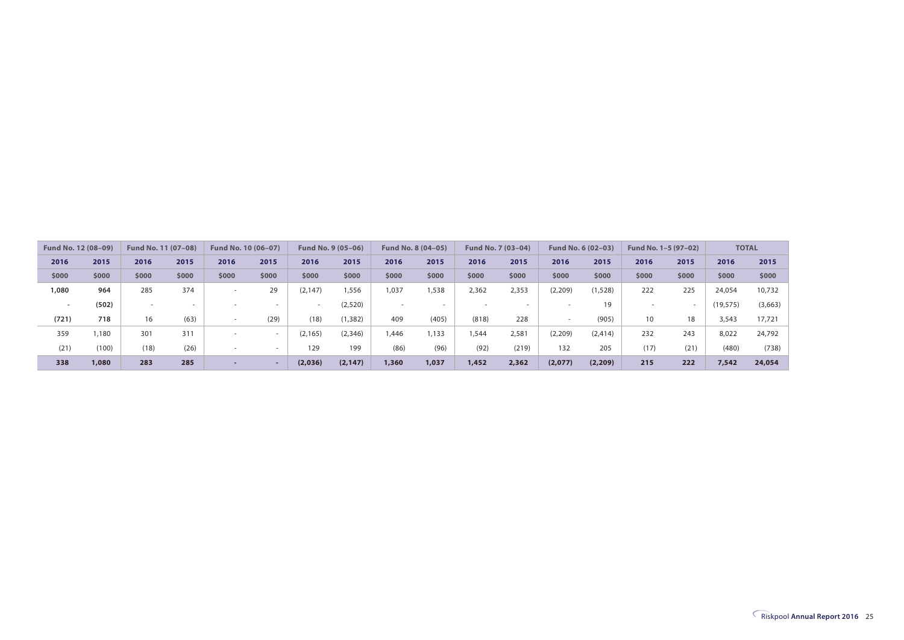| Fund No. 12 (08-09) |       | Fund No. 11 (07-08) |       | Fund No. 10 (06-07) |       |          | Fund No. 9 (05-06) |        | Fund No. 8 (04-05) |       | Fund No. 7 (03-04) |                          | <b>Fund No. 6 (02-03)</b> | Fund No. 1-5 (97-02) |       |           | <b>TOTAL</b> |
|---------------------|-------|---------------------|-------|---------------------|-------|----------|--------------------|--------|--------------------|-------|--------------------|--------------------------|---------------------------|----------------------|-------|-----------|--------------|
| 2016                | 2015  | 2016                | 2015  | 2016                | 2015  | 2016     | 2015               | 2016   | 2015               | 2016  | 2015               | 2016                     | 2015                      | 2016                 | 2015  | 2016      | 2015         |
| \$000               | \$000 | \$000               | \$000 | \$000               | \$000 | \$000    | \$000              | \$000  | \$000              | \$000 | \$000              | \$000                    | \$000                     | \$000                | \$000 | \$000     | \$000        |
| 1,080               | 964   | 285                 | 374   |                     | 29    | (2, 147) | 556,               | 1,037  | 1,538              | 2,362 | 2,353              | (2, 209)                 | (1, 528)                  | 222                  | 225   | 24.054    | 10,732       |
|                     | (502) | $\sim$              |       |                     |       | ۰        | (2,520)            | $\sim$ |                    |       |                    |                          | 19                        |                      |       | (19, 575) | (3,663)      |
| (721)               | 718   | 16                  | (63)  |                     | (29)  | (18)     | (1, 382)           | 409    | (405)              | (818) | 228                | $\overline{\phantom{a}}$ | (905)                     | 10 <sup>°</sup>      | 18    | 3,543     | 17,721       |
| 359                 | 1,180 | 301                 | 311   |                     |       | (2, 165) | (2, 346)           | 1,446  | 1,133              | ,544  | 2,581              | (2,209)                  | (2, 414)                  | 232                  | 243   | 8,022     | 24,792       |
| (21)                | (100) | (18)                | (26)  |                     |       | 129      | 199                | (86)   | (96)               | (92)  | (219)              | 132                      | 205                       | (17)                 | (21)  | (480)     | (738)        |
| 338                 | 1,080 | 283                 | 285   |                     |       | (2,036)  | (2, 147)           | 1,360  | 1,037              | 1,452 | 2,362              | (2,077)                  | (2, 209)                  | 215                  | 222   | 7,542     | 24,054       |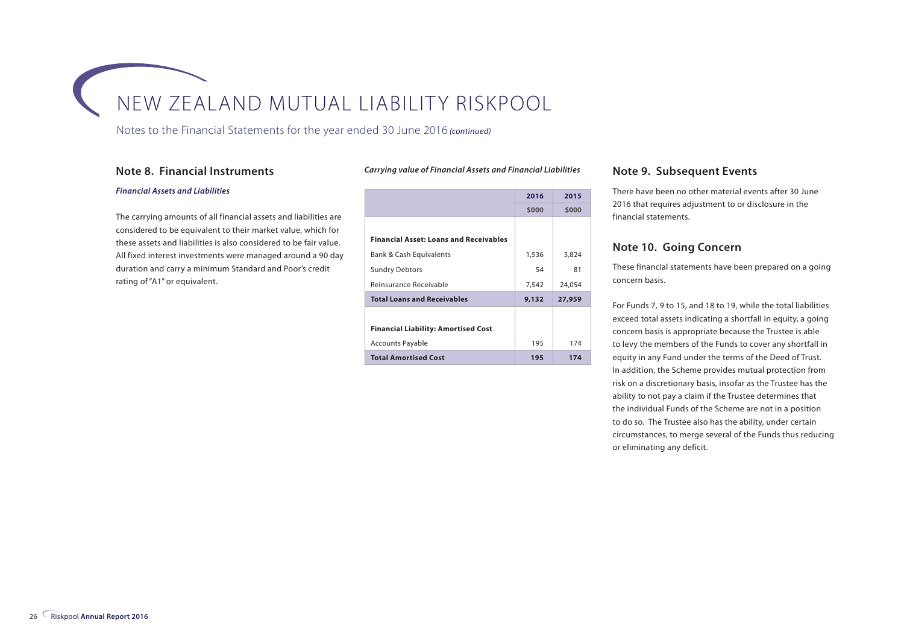Notes to the Financial Statements for the year ended 30 June 2016 *(continued)*

#### **Note 8. Financial Instruments**

#### *Carrying value of Financial Assets and Financial Liabilities*

#### *Financial Assets and Liabilities*

The carrying amounts of all financial assets and liabilities are considered to be equivalent to their market value, which for these assets and liabilities is also considered to be fair value. All fixed interest investments were managed around a 90 day duration and carry a minimum Standard and Poor's credit rating of "A1" or equivalent.

|                                               | 2016  | 2015   |
|-----------------------------------------------|-------|--------|
|                                               | \$000 | \$000  |
|                                               |       |        |
| <b>Financial Asset: Loans and Receivables</b> |       |        |
| Bank & Cash Equivalents                       | 1,536 | 3,824  |
| <b>Sundry Debtors</b>                         | 54    | 81     |
| Reinsurance Receivable                        | 7,542 | 24,054 |
| <b>Total Loans and Receivables</b>            | 9,132 | 27,959 |
|                                               |       |        |
| <b>Financial Liability: Amortised Cost</b>    |       |        |
| <b>Accounts Payable</b>                       | 195   | 174    |
| <b>Total Amortised Cost</b>                   | 195   | 174    |

#### **Note 9. Subsequent Events**

There have been no other material events after 30 June 2016 that requires adjustment to or disclosure in the financial statements.

#### **Note 10. Going Concern**

These financial statements have been prepared on a going concern basis.

For Funds 7, 9 to 15, and 18 to 19, while the total liabilities exceed total assets indicating a shortfall in equity, a going concern basis is appropriate because the Trustee is able to levy the members of the Funds to cover any shortfall in equity in any Fund under the terms of the Deed of Trust. In addition, the Scheme provides mutual protection from risk on a discretionary basis, insofar as the Trustee has the ability to not pay a claim if the Trustee determines that the individual Funds of the Scheme are not in a position to do so. The Trustee also has the ability, under certain circumstances, to merge several of the Funds thus reducing or eliminating any deficit.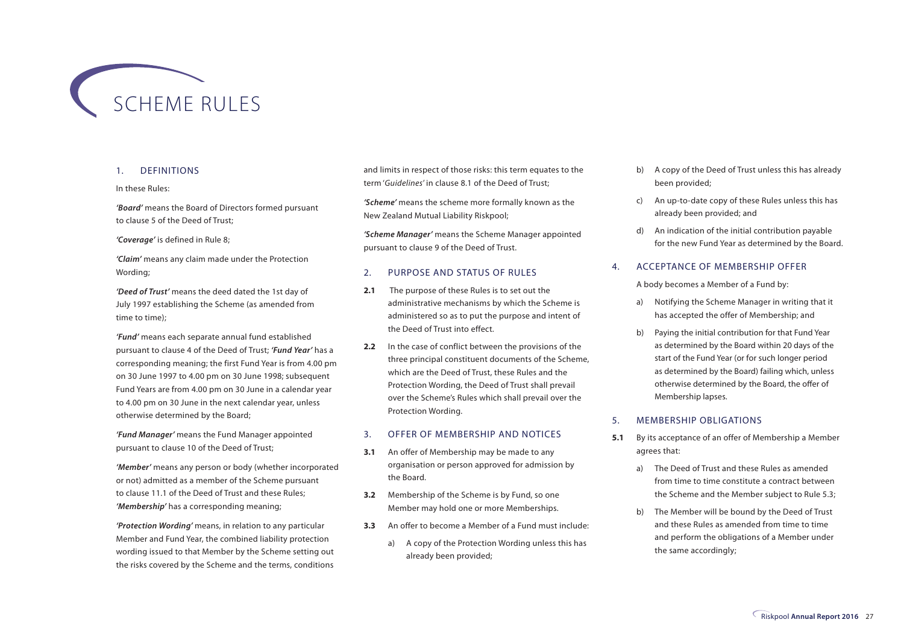

#### 1. DEFINITIONS

#### In these Rules:

*'Board'* means the Board of Directors formed pursuant to clause 5 of the Deed of Trust;

#### *'Coverage'* is defined in Rule 8;

*'Claim'* means any claim made under the Protection Wording;

*'Deed of Trust'* means the deed dated the 1st day of July 1997 establishing the Scheme (as amended from time to time);

*'Fund'* means each separate annual fund established pursuant to clause 4 of the Deed of Trust; *'Fund Year'* has a corresponding meaning; the first Fund Year is from 4.00 pm on 30 June 1997 to 4.00 pm on 30 June 1998; subsequent Fund Years are from 4.00 pm on 30 June in a calendar year to 4.00 pm on 30 June in the next calendar year, unless otherwise determined by the Board;

*'Fund Manager'* means the Fund Manager appointed pursuant to clause 10 of the Deed of Trust;

*'Member'* means any person or body (whether incorporated or not) admitted as a member of the Scheme pursuant to clause 11.1 of the Deed of Trust and these Rules; *'Membership'* has a corresponding meaning;

*'Protection Wording'* means, in relation to any particular Member and Fund Year, the combined liability protection wording issued to that Member by the Scheme setting out the risks covered by the Scheme and the terms, conditions

and limits in respect of those risks: this term equates to the term '*Guidelines*' in clause 8.1 of the Deed of Trust;

*'Scheme'* means the scheme more formally known as the New Zealand Mutual Liability Riskpool;

*'Scheme Manager'* means the Scheme Manager appointed pursuant to clause 9 of the Deed of Trust.

#### 2. PURPOSE AND STATUS OF RULES

- **2.1** The purpose of these Rules is to set out the administrative mechanisms by which the Scheme is administered so as to put the purpose and intent of the Deed of Trust into effect.
- **2.2** In the case of conflict between the provisions of the three principal constituent documents of the Scheme, which are the Deed of Trust, these Rules and the Protection Wording, the Deed of Trust shall prevail over the Scheme's Rules which shall prevail over the Protection Wording.

#### 3. OFFER OF MEMBERSHIP AND NOTICES

- **3.1** An offer of Membership may be made to any organisation or person approved for admission by the Board.
- **3.2** Membership of the Scheme is by Fund, so one Member may hold one or more Memberships.
- **3.3** An offer to become a Member of a Fund must include:
	- a) A copy of the Protection Wording unless this has already been provided;
- b) A copy of the Deed of Trust unless this has already been provided;
- c) An up-to-date copy of these Rules unless this has already been provided; and
- d) An indication of the initial contribution payable for the new Fund Year as determined by the Board.

#### 4. ACCEPTANCE OF MEMBERSHIP OFFER

A body becomes a Member of a Fund by:

- a) Notifying the Scheme Manager in writing that it has accepted the offer of Membership; and
- b) Paying the initial contribution for that Fund Year as determined by the Board within 20 days of the start of the Fund Year (or for such longer period as determined by the Board) failing which, unless otherwise determined by the Board, the offer of Membership lapses.

#### 5. MEMBERSHIP OBLIGATIONS

- **5.1** By its acceptance of an offer of Membership a Member agrees that:
	- a) The Deed of Trust and these Rules as amended from time to time constitute a contract between the Scheme and the Member subject to Rule 5.3;
	- b) The Member will be bound by the Deed of Trust and these Rules as amended from time to time and perform the obligations of a Member under the same accordingly;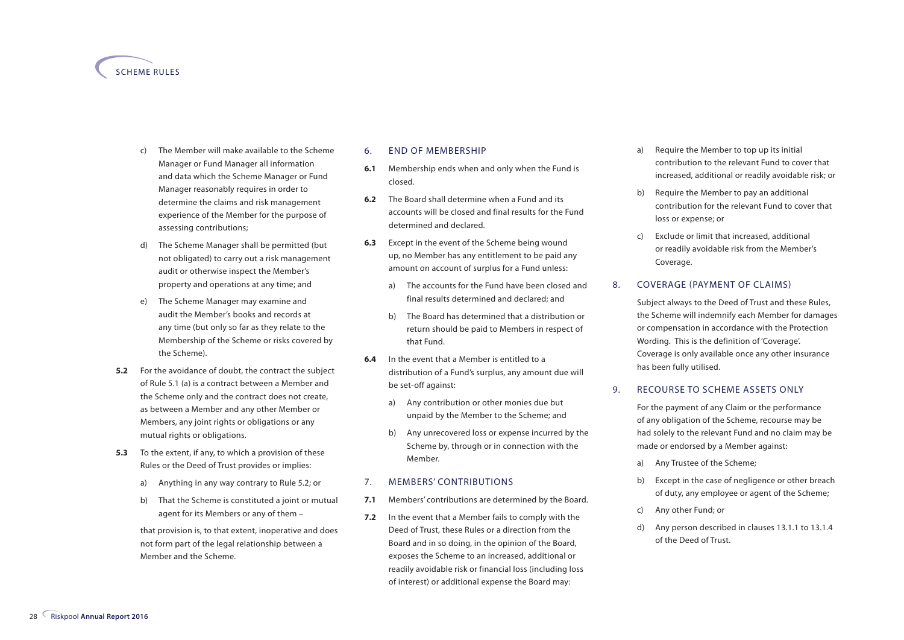#### SCHEME RULES

- The Member will make available to the Scheme Manager or Fund Manager all information and data which the Scheme Manager or Fund Manager reasonably requires in order to determine the claims and risk management experience of the Member for the purpose of assessing contributions;
- d) The Scheme Manager shall be permitted (but not obligated) to carry out a risk management audit or otherwise inspect the Member's property and operations at any time; and
- e) The Scheme Manager may examine and audit the Member's books and records at any time (but only so far as they relate to the Membership of the Scheme or risks covered by the Scheme).
- **5.2** For the avoidance of doubt, the contract the subject of Rule 5.1 (a) is a contract between a Member and the Scheme only and the contract does not create, as between a Member and any other Member or Members, any joint rights or obligations or any mutual rights or obligations.
- **5.3** To the extent, if any, to which a provision of these Rules or the Deed of Trust provides or implies:
	- a) Anything in any way contrary to Rule 5.2; or
	- b) That the Scheme is constituted a joint or mutual agent for its Members or any of them –

that provision is, to that extent, inoperative and does not form part of the legal relationship between a Member and the Scheme.

#### 6. END OF MEMBERSHIP

- **6.1** Membership ends when and only when the Fund is closed.
- **6.2** The Board shall determine when a Fund and its accounts will be closed and final results for the Fund determined and declared.
- **6.3** Except in the event of the Scheme being wound up, no Member has any entitlement to be paid any amount on account of surplus for a Fund unless:
	- a) The accounts for the Fund have been closed and final results determined and declared; and
	- b) The Board has determined that a distribution or return should be paid to Members in respect of that Fund.
- **6.4** In the event that a Member is entitled to a distribution of a Fund's surplus, any amount due will be set-off against:
	- a) Any contribution or other monies due but unpaid by the Member to the Scheme; and
	- b) Any unrecovered loss or expense incurred by the Scheme by, through or in connection with the Member.

#### 7. MEMBERS' CONTRIBUTIONS

- **7.1** Members' contributions are determined by the Board.
- **7.2** In the event that a Member fails to comply with the Deed of Trust, these Rules or a direction from the Board and in so doing, in the opinion of the Board, exposes the Scheme to an increased, additional or readily avoidable risk or financial loss (including loss of interest) or additional expense the Board may:
- a) Require the Member to top up its initial contribution to the relevant Fund to cover that increased, additional or readily avoidable risk; or
- b) Require the Member to pay an additional contribution for the relevant Fund to cover that loss or expense; or
- c) Exclude or limit that increased, additional or readily avoidable risk from the Member's Coverage.

#### 8. COVERAGE (PAYMENT OF CLAIMS)

Subject always to the Deed of Trust and these Rules, the Scheme will indemnify each Member for damages or compensation in accordance with the Protection Wording. This is the definition of 'Coverage'. Coverage is only available once any other insurance has been fully utilised.

#### 9. RECOURSE TO SCHEME ASSETS ONLY

For the payment of any Claim or the performance of any obligation of the Scheme, recourse may be had solely to the relevant Fund and no claim may be made or endorsed by a Member against:

- a) Any Trustee of the Scheme;
- b) Except in the case of negligence or other breach of duty, any employee or agent of the Scheme;
- c) Any other Fund; or
- d) Any person described in clauses 13.1.1 to 13.1.4 of the Deed of Trust.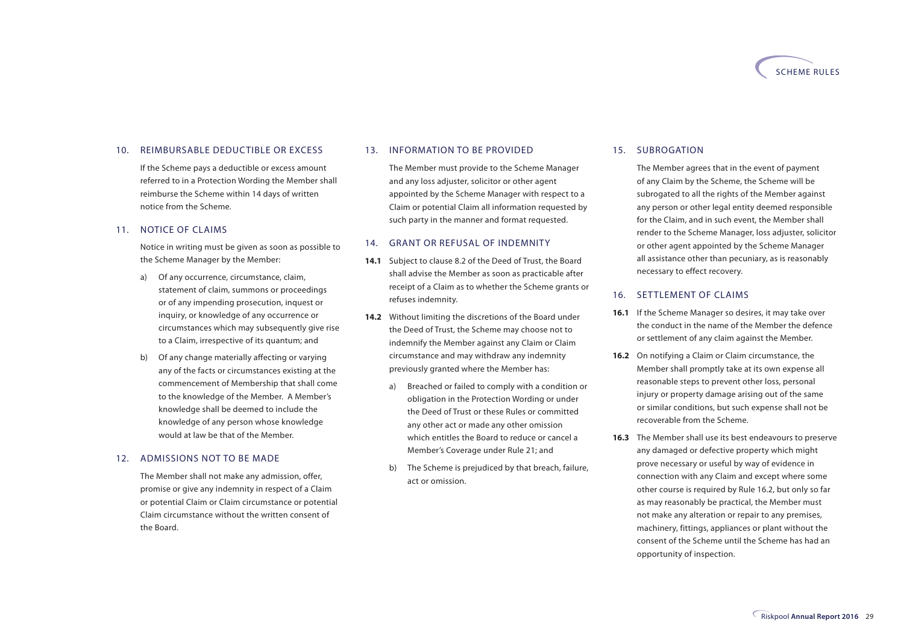

#### 10. REIMBURSABLE DEDUCTIBLE OR EXCESS

If the Scheme pays a deductible or excess amount referred to in a Protection Wording the Member shall reimburse the Scheme within 14 days of written notice from the Scheme.

#### 11. NOTICE OF CLAIMS

Notice in writing must be given as soon as possible to the Scheme Manager by the Member:

- a) Of any occurrence, circumstance, claim, statement of claim, summons or proceedings or of any impending prosecution, inquest or inquiry, or knowledge of any occurrence or circumstances which may subsequently give rise to a Claim, irrespective of its quantum; and
- b) Of any change materially affecting or varying any of the facts or circumstances existing at the commencement of Membership that shall come to the knowledge of the Member. A Member's knowledge shall be deemed to include the knowledge of any person whose knowledge would at law be that of the Member.

#### 12. ADMISSIONS NOT TO BE MADE

The Member shall not make any admission, offer, promise or give any indemnity in respect of a Claim or potential Claim or Claim circumstance or potential Claim circumstance without the written consent of the Board.

#### 13. INFORMATION TO BE PROVIDED

The Member must provide to the Scheme Manager and any loss adjuster, solicitor or other agent appointed by the Scheme Manager with respect to a Claim or potential Claim all information requested by such party in the manner and format requested.

#### 14. GRANT OR REFUSAL OF INDEMNITY

- **14.1** Subject to clause 8.2 of the Deed of Trust, the Board shall advise the Member as soon as practicable after receipt of a Claim as to whether the Scheme grants or refuses indemnity.
- **14.2** Without limiting the discretions of the Board under the Deed of Trust, the Scheme may choose not to indemnify the Member against any Claim or Claim circumstance and may withdraw any indemnity previously granted where the Member has:
	- a) Breached or failed to comply with a condition or obligation in the Protection Wording or under the Deed of Trust or these Rules or committed any other act or made any other omission which entitles the Board to reduce or cancel a Member's Coverage under Rule 21; and
	- b) The Scheme is prejudiced by that breach, failure, act or omission.

#### 15. SUBROGATION

The Member agrees that in the event of payment of any Claim by the Scheme, the Scheme will be subrogated to all the rights of the Member against any person or other legal entity deemed responsible for the Claim, and in such event, the Member shall render to the Scheme Manager, loss adjuster, solicitor or other agent appointed by the Scheme Manager all assistance other than pecuniary, as is reasonably necessary to effect recovery.

#### 16. SETTLEMENT OF CLAIMS

- **16.1** If the Scheme Manager so desires, it may take over the conduct in the name of the Member the defence or settlement of any claim against the Member.
- **16.2** On notifying a Claim or Claim circumstance, the Member shall promptly take at its own expense all reasonable steps to prevent other loss, personal injury or property damage arising out of the same or similar conditions, but such expense shall not be recoverable from the Scheme.
- **16.3** The Member shall use its best endeavours to preserve any damaged or defective property which might prove necessary or useful by way of evidence in connection with any Claim and except where some other course is required by Rule 16.2, but only so far as may reasonably be practical, the Member must not make any alteration or repair to any premises, machinery, fittings, appliances or plant without the consent of the Scheme until the Scheme has had an opportunity of inspection.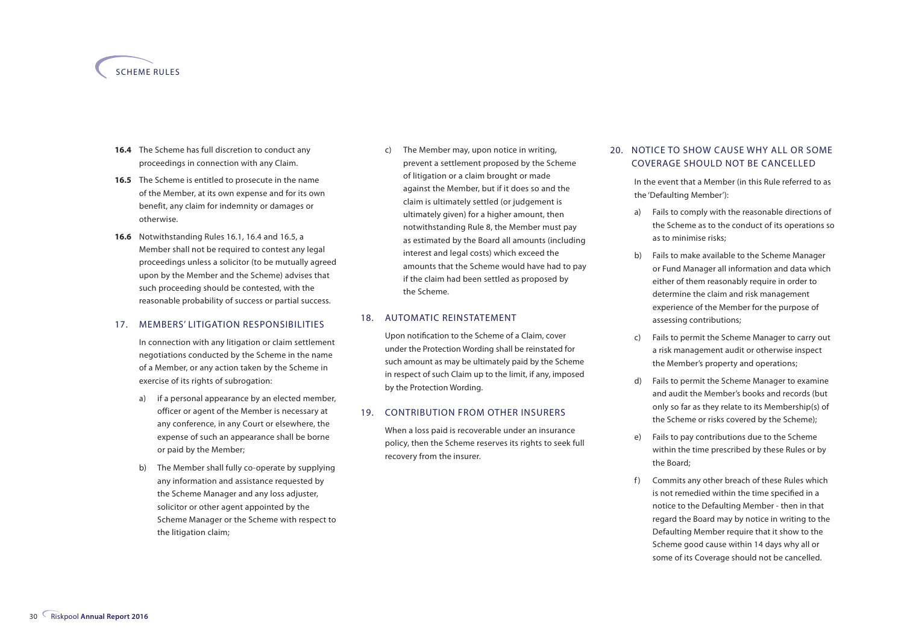#### SCHEME RULES

- **16.4** The Scheme has full discretion to conduct any proceedings in connection with any Claim.
- **16.5** The Scheme is entitled to prosecute in the name of the Member, at its own expense and for its own benefit, any claim for indemnity or damages or otherwise.
- **16.6** Notwithstanding Rules 16.1, 16.4 and 16.5, a Member shall not be required to contest any legal proceedings unless a solicitor (to be mutually agreed upon by the Member and the Scheme) advises that such proceeding should be contested, with the reasonable probability of success or partial success.

#### 17. MEMBERS' LITIGATION RESPONSIBILITIES

In connection with any litigation or claim settlement negotiations conducted by the Scheme in the name of a Member, or any action taken by the Scheme in exercise of its rights of subrogation:

- a) if a personal appearance by an elected member, officer or agent of the Member is necessary at any conference, in any Court or elsewhere, the expense of such an appearance shall be borne or paid by the Member;
- b) The Member shall fully co-operate by supplying any information and assistance requested by the Scheme Manager and any loss adjuster, solicitor or other agent appointed by the Scheme Manager or the Scheme with respect to the litigation claim;

c) The Member may, upon notice in writing, prevent a settlement proposed by the Scheme of litigation or a claim brought or made against the Member, but if it does so and the claim is ultimately settled (or judgement is ultimately given) for a higher amount, then notwithstanding Rule 8, the Member must pay as estimated by the Board all amounts (including interest and legal costs) which exceed the amounts that the Scheme would have had to pay if the claim had been settled as proposed by the Scheme.

#### 18. AUTOMATIC REINSTATEMENT

Upon notification to the Scheme of a Claim, cover under the Protection Wording shall be reinstated for such amount as may be ultimately paid by the Scheme in respect of such Claim up to the limit, if any, imposed by the Protection Wording.

#### 19. CONTRIBUTION FROM OTHER INSURERS

When a loss paid is recoverable under an insurance policy, then the Scheme reserves its rights to seek full recovery from the insurer.

#### 20. NOTICE TO SHOW CAUSE WHY ALL OR SOME COVERAGE SHOULD NOT BE CANCELLED

In the event that a Member (in this Rule referred to as the 'Defaulting Member'):

- a) Fails to comply with the reasonable directions of the Scheme as to the conduct of its operations so as to minimise risks;
- b) Fails to make available to the Scheme Manager or Fund Manager all information and data which either of them reasonably require in order to determine the claim and risk management experience of the Member for the purpose of assessing contributions;
- c) Fails to permit the Scheme Manager to carry out a risk management audit or otherwise inspect the Member's property and operations;
- d) Fails to permit the Scheme Manager to examine and audit the Member's books and records (but only so far as they relate to its Membership(s) of the Scheme or risks covered by the Scheme);
- e) Fails to pay contributions due to the Scheme within the time prescribed by these Rules or by the Board;
- f) Commits any other breach of these Rules which is not remedied within the time specified in a notice to the Defaulting Member - then in that regard the Board may by notice in writing to the Defaulting Member require that it show to the Scheme good cause within 14 days why all or some of its Coverage should not be cancelled.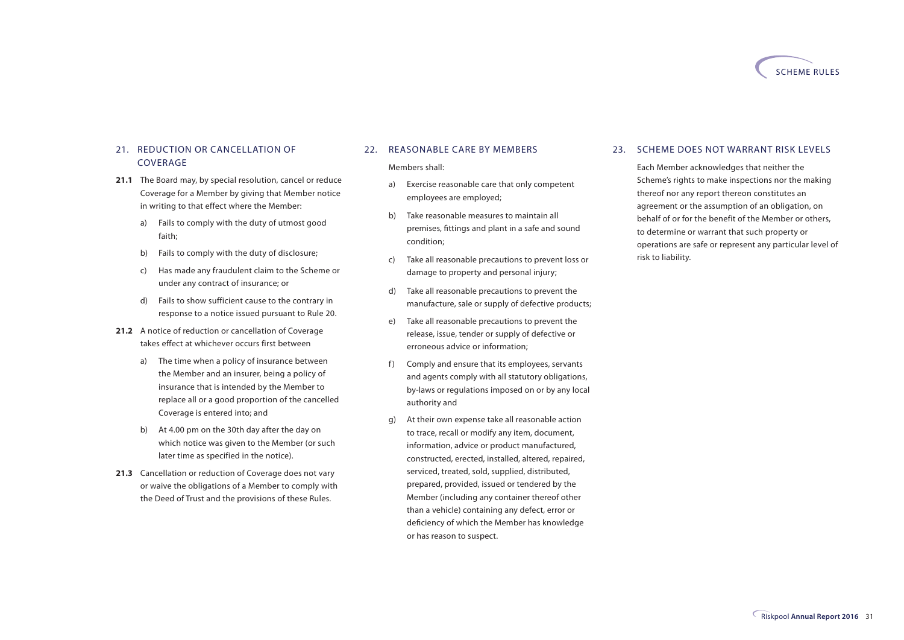

#### 21. REDUCTION OR CANCELLATION OF COVERAGE

- **21.1** The Board may, by special resolution, cancel or reduce Coverage for a Member by giving that Member notice in writing to that effect where the Member:
	- a) Fails to comply with the duty of utmost good faith;
	- b) Fails to comply with the duty of disclosure;
	- c) Has made any fraudulent claim to the Scheme or under any contract of insurance; or
	- d) Fails to show sufficient cause to the contrary in response to a notice issued pursuant to Rule 20.
- 21.2 A notice of reduction or cancellation of Coverage takes effect at whichever occurs first between
	- a) The time when a policy of insurance between the Member and an insurer, being a policy of insurance that is intended by the Member to replace all or a good proportion of the cancelled Coverage is entered into; and
	- b) At 4.00 pm on the 30th day after the day on which notice was given to the Member (or such later time as specified in the notice).
- **21.3** Cancellation or reduction of Coverage does not vary or waive the obligations of a Member to comply with the Deed of Trust and the provisions of these Rules.

#### 22. REASONABLE CARE BY MEMBERS

#### Members shall:

- a) Exercise reasonable care that only competent employees are employed;
- b) Take reasonable measures to maintain all premises, fittings and plant in a safe and sound condition;
- c) Take all reasonable precautions to prevent loss or damage to property and personal injury;
- d) Take all reasonable precautions to prevent the manufacture, sale or supply of defective products;
- e) Take all reasonable precautions to prevent the release, issue, tender or supply of defective or erroneous advice or information;
- f) Comply and ensure that its employees, servants and agents comply with all statutory obligations, by-laws or regulations imposed on or by any local authority and
- g) At their own expense take all reasonable action to trace, recall or modify any item, document, information, advice or product manufactured, constructed, erected, installed, altered, repaired, serviced, treated, sold, supplied, distributed, prepared, provided, issued or tendered by the Member (including any container thereof other than a vehicle) containing any defect, error or deficiency of which the Member has knowledge or has reason to suspect.

#### 23. SCHEME DOES NOT WARRANT RISK LEVELS

Each Member acknowledges that neither the Scheme's rights to make inspections nor the making thereof nor any report thereon constitutes an agreement or the assumption of an obligation, on behalf of or for the benefit of the Member or others, to determine or warrant that such property or operations are safe or represent any particular level of risk to liability.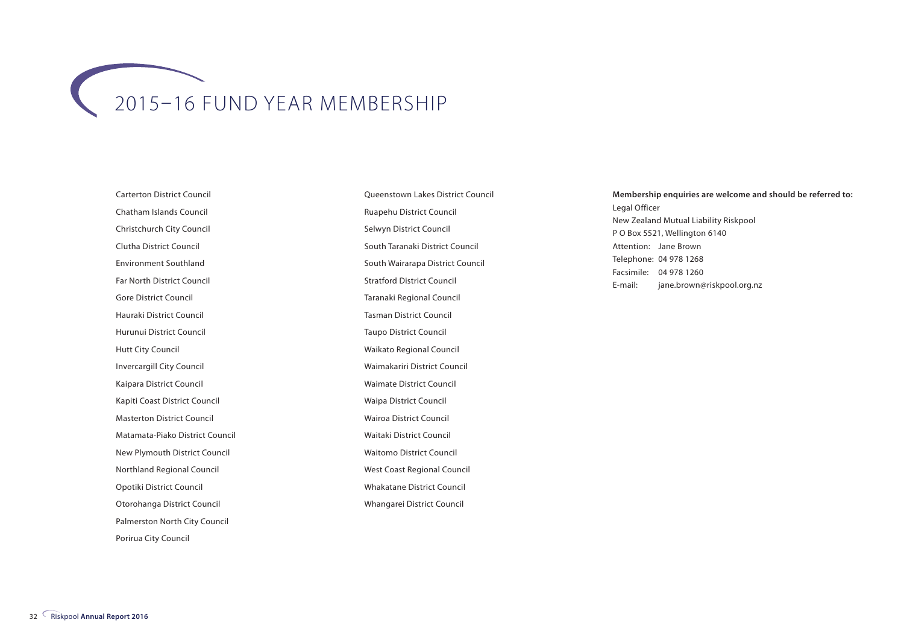## 2015–16 FUND YEAR MEMBERSHIP

Carterton District Council Chatham Islands Council Christchurch City Council Clutha District Council Environment Southland Far North District Council Gore District Council Hauraki District Council Hurunui District Council Hutt City Council Invercargill City Council Kaipara District Council Kapiti Coast District Council Masterton District Council Matamata-Piako District Council New Plymouth District Council Northland Regional Council Opotiki District Council Otorohanga District Council Palmerston North City Council Porirua City Council

Queenstown Lakes District Council Ruapehu District Council Selwyn District Council South Taranaki District Council South Wairarapa District Council Stratford District Council Taranaki Regional Council Tasman District Council Taupo District Council Waikato Regional Council Waimakariri District Council Waimate District Council Waipa District Council Wairoa District Council Waitaki District Council Waitomo District Council West Coast Regional Council Whakatane District Council Whangarei District Council

#### **Membership enquiries are welcome and should be referred to:** Legal Officer New Zealand Mutual Liability Riskpool P O Box 5521, Wellington 6140 Attention: Jane Brown Telephone: 04 978 1268 Facsimile: 04 978 1260 E-mail: jane.brown@riskpool.org.nz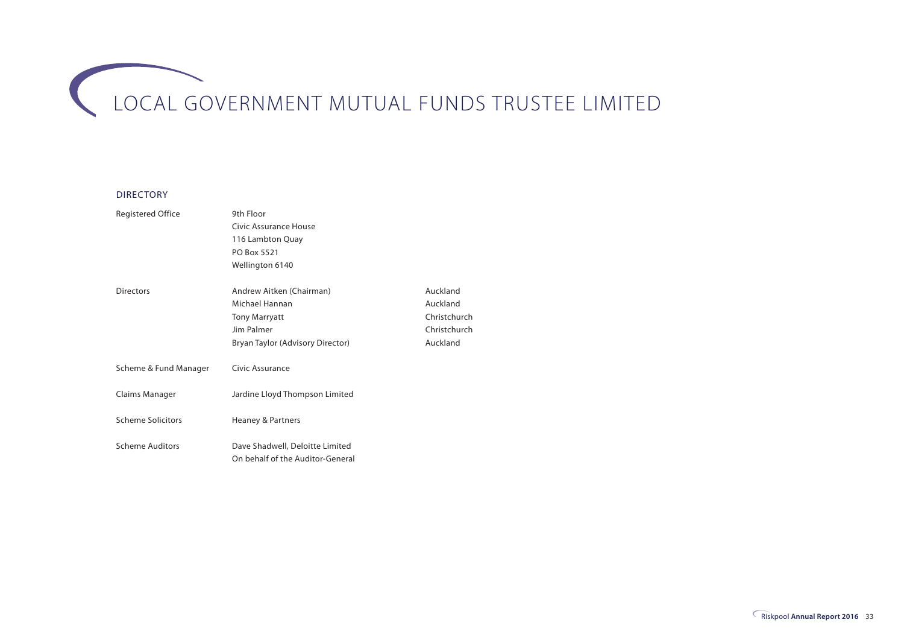# LOCAL GOVERNMENT MUTUAL FUNDS TRUSTEE LIMITED

#### DIRECTORY

| <b>Registered Office</b> | 9th Floor                                                           |              |
|--------------------------|---------------------------------------------------------------------|--------------|
|                          | Civic Assurance House                                               |              |
|                          | 116 Lambton Quay                                                    |              |
|                          | PO Box 5521                                                         |              |
|                          | Wellington 6140                                                     |              |
| Directors                | Andrew Aitken (Chairman)                                            | Auckland     |
|                          | Michael Hannan                                                      | Auckland     |
|                          | <b>Tony Marryatt</b>                                                | Christchurch |
|                          | Jim Palmer                                                          | Christchurch |
|                          | Bryan Taylor (Advisory Director)                                    | Auckland     |
| Scheme & Fund Manager    | Civic Assurance                                                     |              |
| Claims Manager           | Jardine Lloyd Thompson Limited                                      |              |
| <b>Scheme Solicitors</b> | Heaney & Partners                                                   |              |
| <b>Scheme Auditors</b>   | Dave Shadwell, Deloitte Limited<br>On behalf of the Auditor-General |              |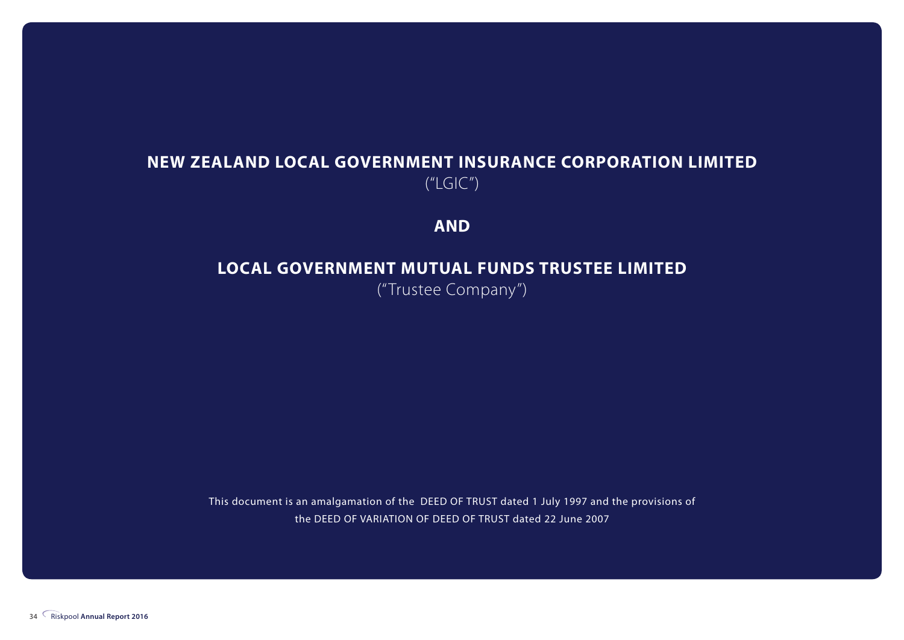#### **NEW ZEALAND LOCAL GOVERNMENT INSURANCE CORPORATION LIMITED**  $(''LGIC'')$

**AND**

#### **LOCAL GOVERNMENT MUTUAL FUNDS TRUSTEE LIMITED**

("Trustee Company")

This document is an amalgamation of the DEED OF TRUST dated 1 July 1997 and the provisions of the DEED OF VARIATION OF DEED OF TRUST dated 22 June 2007

34 Riskpool **Annual Report 2016**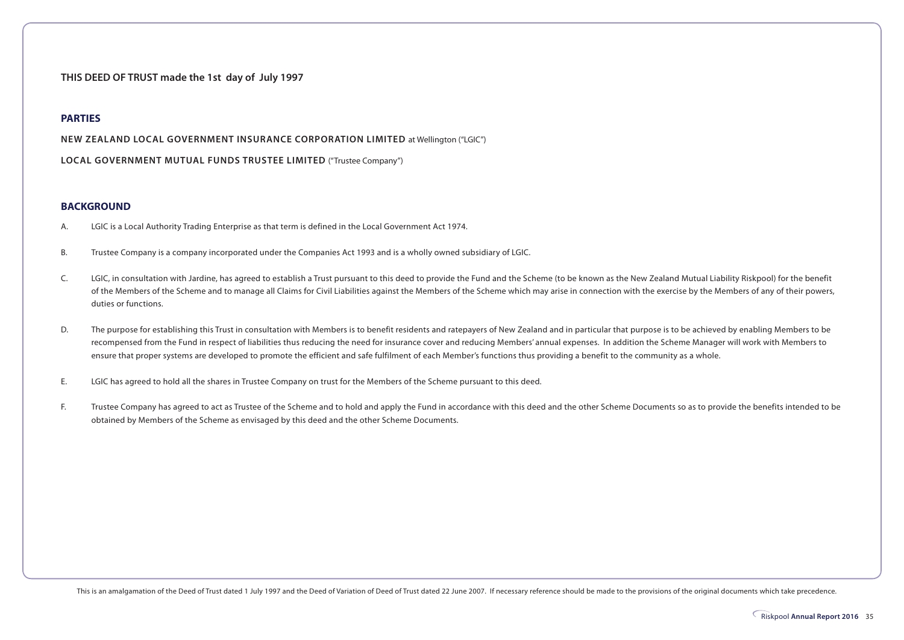**THIS DEED OF TRUST made the 1st day of July 1997**

#### **PARTIES**

**NEW ZEALAND LOCAL GOVERNMENT INSURANCE CORPORATION LIMITED** at Wellington ("LGIC")

**LOCAL GOVERNMENT MUTUAL FUNDS TRUSTEE LIMITED** ("Trustee Company")

#### **BACKGROUND**

- A. LGIC is a Local Authority Trading Enterprise as that term is defined in the Local Government Act 1974.
- B. Trustee Company is a company incorporated under the Companies Act 1993 and is a wholly owned subsidiary of LGIC.
- C. LGIC, in consultation with Jardine, has agreed to establish a Trust pursuant to this deed to provide the Fund and the Scheme (to be known as the New Zealand Mutual Liability Riskpool) for the benefit of the Members of the Scheme and to manage all Claims for Civil Liabilities against the Members of the Scheme which may arise in connection with the exercise by the Members of any of their powers, duties or functions.
- D. The purpose for establishing this Trust in consultation with Members is to benefit residents and ratepayers of New Zealand and in particular that purpose is to be achieved by enabling Members to be recompensed from the Fund in respect of liabilities thus reducing the need for insurance cover and reducing Members' annual expenses. In addition the Scheme Manager will work with Members to ensure that proper systems are developed to promote the efficient and safe fulfilment of each Member's functions thus providing a benefit to the community as a whole.
- E. LGIC has agreed to hold all the shares in Trustee Company on trust for the Members of the Scheme pursuant to this deed.
- F. Trustee Company has agreed to act as Trustee of the Scheme and to hold and apply the Fund in accordance with this deed and the other Scheme Documents so as to provide the benefits intended to be obtained by Members of the Scheme as envisaged by this deed and the other Scheme Documents.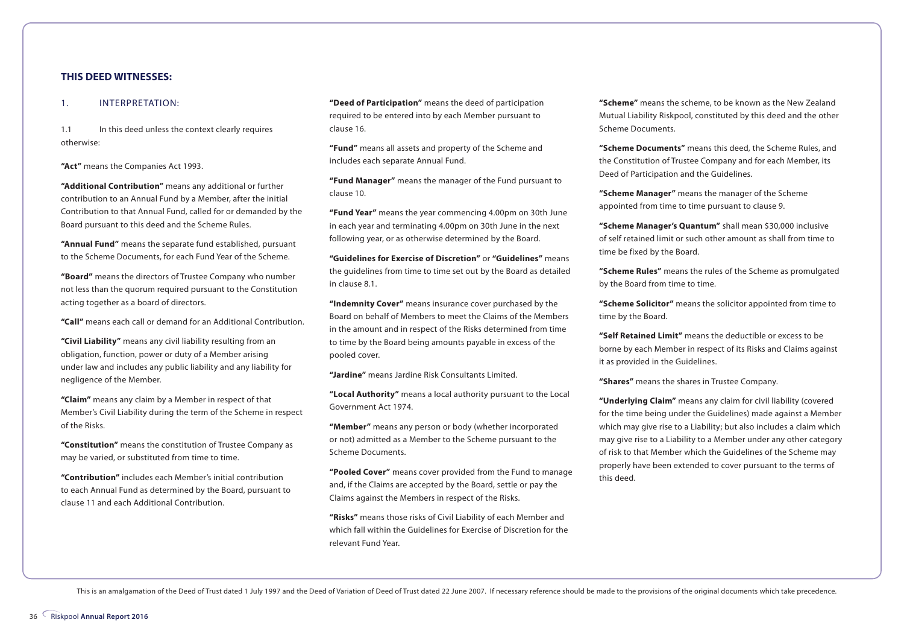#### **THIS DEED WITNESSES:**

#### 1. INTERPRETATION:

1.1 In this deed unless the context clearly requires otherwise:

**"Act"** means the Companies Act 1993.

**"Additional Contribution"** means any additional or further contribution to an Annual Fund by a Member, after the initial Contribution to that Annual Fund, called for or demanded by the Board pursuant to this deed and the Scheme Rules.

**"Annual Fund"** means the separate fund established, pursuant to the Scheme Documents, for each Fund Year of the Scheme.

**"Board"** means the directors of Trustee Company who number not less than the quorum required pursuant to the Constitution acting together as a board of directors.

**"Call"** means each call or demand for an Additional Contribution.

**"Civil Liability"** means any civil liability resulting from an obligation, function, power or duty of a Member arising under law and includes any public liability and any liability for negligence of the Member.

**"Claim"** means any claim by a Member in respect of that Member's Civil Liability during the term of the Scheme in respect of the Risks.

**"Constitution"** means the constitution of Trustee Company as may be varied, or substituted from time to time.

**"Contribution"** includes each Member's initial contribution to each Annual Fund as determined by the Board, pursuant to clause 11 and each Additional Contribution.

**"Deed of Participation"** means the deed of participation required to be entered into by each Member pursuant to clause 16.

**"Fund"** means all assets and property of the Scheme and includes each separate Annual Fund.

**"Fund Manager"** means the manager of the Fund pursuant to clause 10.

**"Fund Year"** means the year commencing 4.00pm on 30th June in each year and terminating 4.00pm on 30th June in the next following year, or as otherwise determined by the Board.

**"Guidelines for Exercise of Discretion"** or **"Guidelines"** means the guidelines from time to time set out by the Board as detailed in clause 8.1.

**"Indemnity Cover"** means insurance cover purchased by the Board on behalf of Members to meet the Claims of the Members in the amount and in respect of the Risks determined from time to time by the Board being amounts payable in excess of the pooled cover.

**"Jardine"** means Jardine Risk Consultants Limited.

**"Local Authority"** means a local authority pursuant to the Local Government Act 1974.

**"Member"** means any person or body (whether incorporated or not) admitted as a Member to the Scheme pursuant to the Scheme Documents.

**"Pooled Cover"** means cover provided from the Fund to manage and, if the Claims are accepted by the Board, settle or pay the Claims against the Members in respect of the Risks.

**"Risks"** means those risks of Civil Liability of each Member and which fall within the Guidelines for Exercise of Discretion for the relevant Fund Year.

**"Scheme"** means the scheme, to be known as the New Zealand Mutual Liability Riskpool, constituted by this deed and the other Scheme Documents.

**"Scheme Documents"** means this deed, the Scheme Rules, and the Constitution of Trustee Company and for each Member, its Deed of Participation and the Guidelines.

**"Scheme Manager"** means the manager of the Scheme appointed from time to time pursuant to clause 9.

**"Scheme Manager's Quantum"** shall mean \$30,000 inclusive of self retained limit or such other amount as shall from time to time be fixed by the Board.

**"Scheme Rules"** means the rules of the Scheme as promulgated by the Board from time to time.

**"Scheme Solicitor"** means the solicitor appointed from time to time by the Board.

**"Self Retained Limit"** means the deductible or excess to be borne by each Member in respect of its Risks and Claims against it as provided in the Guidelines.

**"Shares"** means the shares in Trustee Company.

**"Underlying Claim"** means any claim for civil liability (covered for the time being under the Guidelines) made against a Member which may give rise to a Liability; but also includes a claim which may give rise to a Liability to a Member under any other category of risk to that Member which the Guidelines of the Scheme may properly have been extended to cover pursuant to the terms of this deed.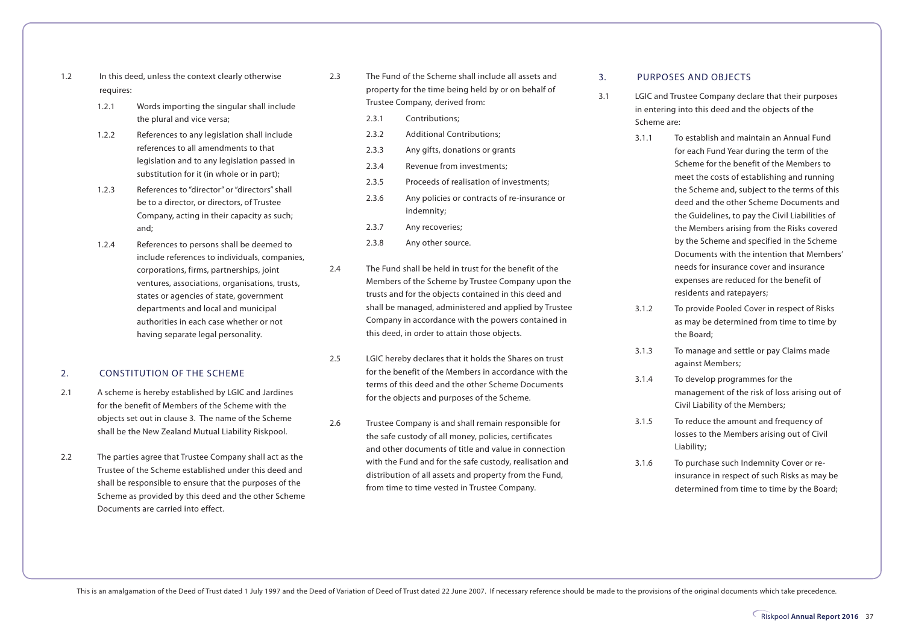- 1.2 In this deed, unless the context clearly otherwise requires:
	- 1.2.1 Words importing the singular shall include the plural and vice versa;
	- 1.2.2 References to any legislation shall include references to all amendments to that legislation and to any legislation passed in substitution for it (in whole or in part);
	- 1.2.3 References to "director" or "directors" shall be to a director, or directors, of Trustee Company, acting in their capacity as such; and;
	- 1.2.4 References to persons shall be deemed to include references to individuals, companies, corporations, firms, partnerships, joint ventures, associations, organisations, trusts, states or agencies of state, government departments and local and municipal authorities in each case whether or not having separate legal personality.

#### 2. CONSTITUTION OF THE SCHEME

- 2.1 A scheme is hereby established by LGIC and Jardines for the benefit of Members of the Scheme with the objects set out in clause 3. The name of the Scheme shall be the New Zealand Mutual Liability Riskpool.
- 2.2 The parties agree that Trustee Company shall act as the Trustee of the Scheme established under this deed and shall be responsible to ensure that the purposes of the Scheme as provided by this deed and the other Scheme Documents are carried into effect.
- 2.3 The Fund of the Scheme shall include all assets and property for the time being held by or on behalf of Trustee Company, derived from:
	- 2.3.1 Contributions;
	- 2.3.2 Additional Contributions:
	- 2.3.3 Any gifts, donations or grants
	- 2.3.4 Revenue from investments;
	- 2.3.5 Proceeds of realisation of investments;
	- 2.3.6 Any policies or contracts of re-insurance or indemnity;
	- 2.3.7 Any recoveries;
	- 2.3.8 Any other source.
- 2.4 The Fund shall be held in trust for the benefit of the Members of the Scheme by Trustee Company upon the trusts and for the objects contained in this deed and shall be managed, administered and applied by Trustee Company in accordance with the powers contained in this deed, in order to attain those objects.
- 2.5 LGIC hereby declares that it holds the Shares on trust for the benefit of the Members in accordance with the terms of this deed and the other Scheme Documents for the objects and purposes of the Scheme.
- 2.6 Trustee Company is and shall remain responsible for the safe custody of all money, policies, certificates and other documents of title and value in connection with the Fund and for the safe custody, realisation and distribution of all assets and property from the Fund, from time to time vested in Trustee Company.

#### 3. PURPOSES AND OBJECTS

- 3.1 LGIC and Trustee Company declare that their purposes in entering into this deed and the objects of the Scheme are:
	- 3.1.1 To establish and maintain an Annual Fund for each Fund Year during the term of the Scheme for the benefit of the Members to meet the costs of establishing and running the Scheme and, subject to the terms of this deed and the other Scheme Documents and the Guidelines, to pay the Civil Liabilities of the Members arising from the Risks covered by the Scheme and specified in the Scheme Documents with the intention that Members' needs for insurance cover and insurance expenses are reduced for the benefit of residents and ratepayers;
	- 3.1.2 To provide Pooled Cover in respect of Risks as may be determined from time to time by the Board;
	- 3.1.3 To manage and settle or pay Claims made against Members;
	- 3.1.4 To develop programmes for the management of the risk of loss arising out of Civil Liability of the Members;
	- 3.1.5 To reduce the amount and frequency of losses to the Members arising out of Civil Liability;
	- 3.1.6 To purchase such Indemnity Cover or reinsurance in respect of such Risks as may be determined from time to time by the Board;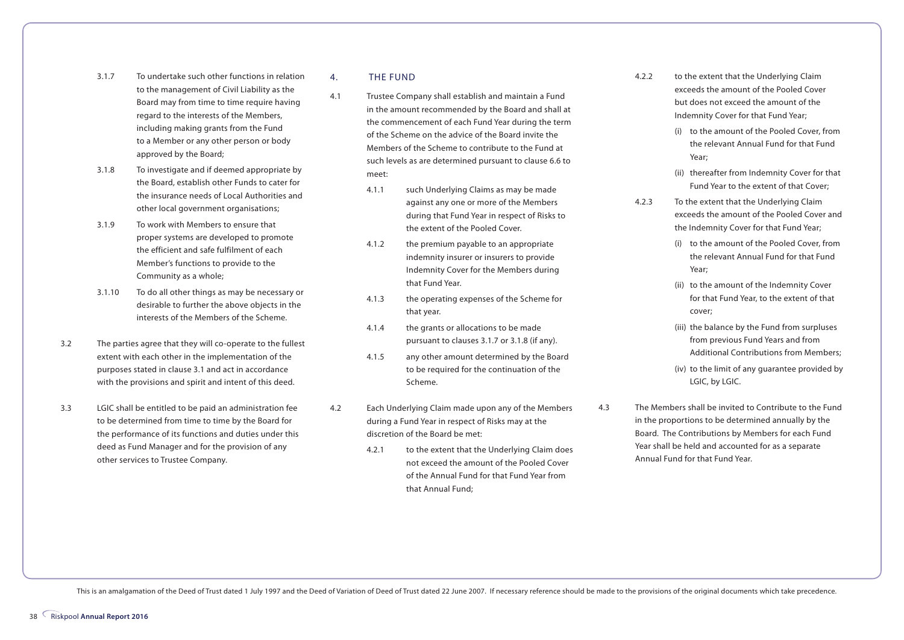- 3.1.7 To undertake such other functions in relation to the management of Civil Liability as the Board may from time to time require having regard to the interests of the Members, including making grants from the Fund to a Member or any other person or body approved by the Board;
- 3.1.8 To investigate and if deemed appropriate by the Board, establish other Funds to cater for the insurance needs of Local Authorities and other local government organisations;
- 3.1.9 To work with Members to ensure that proper systems are developed to promote the efficient and safe fulfilment of each Member's functions to provide to the Community as a whole;
- 3.1.10 To do all other things as may be necessary or desirable to further the above objects in the interests of the Members of the Scheme.
- 3.2 The parties agree that they will co-operate to the fullest extent with each other in the implementation of the purposes stated in clause 3.1 and act in accordance with the provisions and spirit and intent of this deed.
- 3.3 LGIC shall be entitled to be paid an administration fee to be determined from time to time by the Board for the performance of its functions and duties under this deed as Fund Manager and for the provision of any other services to Trustee Company.

4. THE FUND

- 4.1 Trustee Company shall establish and maintain a Fund in the amount recommended by the Board and shall at the commencement of each Fund Year during the term of the Scheme on the advice of the Board invite the Members of the Scheme to contribute to the Fund at such levels as are determined pursuant to clause 6.6 to meet:
	- 4.1.1 such Underlying Claims as may be made against any one or more of the Members during that Fund Year in respect of Risks to the extent of the Pooled Cover.
	- 4.1.2 the premium payable to an appropriate indemnity insurer or insurers to provide Indemnity Cover for the Members during that Fund Year.
	- 4.1.3 the operating expenses of the Scheme for that year.
	- 4.1.4 the grants or allocations to be made pursuant to clauses 3.1.7 or 3.1.8 (if any).
	- 4.1.5 any other amount determined by the Board to be required for the continuation of the Scheme.
- 4.2 Each Underlying Claim made upon any of the Members during a Fund Year in respect of Risks may at the discretion of the Board be met:
	- 4.2.1 to the extent that the Underlying Claim does not exceed the amount of the Pooled Cover of the Annual Fund for that Fund Year from that Annual Fund;
- 4.2.2 to the extent that the Underlying Claim exceeds the amount of the Pooled Cover but does not exceed the amount of the Indemnity Cover for that Fund Year;
	- (i) to the amount of the Pooled Cover, from the relevant Annual Fund for that Fund Year;
	- (ii) thereafter from Indemnity Cover for that Fund Year to the extent of that Cover;
- 4.2.3 To the extent that the Underlying Claim exceeds the amount of the Pooled Cover and the Indemnity Cover for that Fund Year;
	- (i) to the amount of the Pooled Cover, from the relevant Annual Fund for that Fund Year;
	- (ii) to the amount of the Indemnity Cover for that Fund Year, to the extent of that cover;
	- (iii) the balance by the Fund from surpluses from previous Fund Years and from Additional Contributions from Members;
	- (iv) to the limit of any guarantee provided by LGIC, by LGIC.
- 
- 4.3 The Members shall be invited to Contribute to the Fund in the proportions to be determined annually by the Board. The Contributions by Members for each Fund Year shall be held and accounted for as a separate Annual Fund for that Fund Year.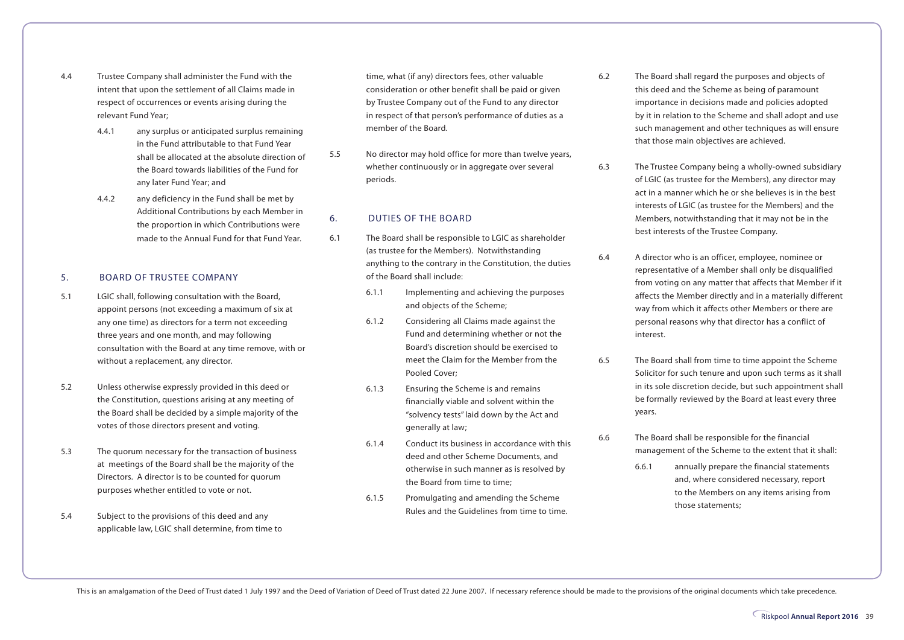- 4.4 Trustee Company shall administer the Fund with the intent that upon the settlement of all Claims made in respect of occurrences or events arising during the relevant Fund Year;
	- 4.4.1 any surplus or anticipated surplus remaining in the Fund attributable to that Fund Year shall be allocated at the absolute direction of the Board towards liabilities of the Fund for any later Fund Year; and
	- 4.4.2 any deficiency in the Fund shall be met by Additional Contributions by each Member in the proportion in which Contributions were made to the Annual Fund for that Fund Year.

#### 5. BOARD OF TRUSTEE COMPANY

- 5.1 LGIC shall, following consultation with the Board, appoint persons (not exceeding a maximum of six at any one time) as directors for a term not exceeding three years and one month, and may following consultation with the Board at any time remove, with or without a replacement, any director.
- 5.2 Unless otherwise expressly provided in this deed or the Constitution, questions arising at any meeting of the Board shall be decided by a simple majority of the votes of those directors present and voting.
- 5.3 The quorum necessary for the transaction of business at meetings of the Board shall be the majority of the Directors. A director is to be counted for quorum purposes whether entitled to vote or not.
- 5.4 Subject to the provisions of this deed and any applicable law, LGIC shall determine, from time to

time, what (if any) directors fees, other valuable consideration or other benefit shall be paid or given by Trustee Company out of the Fund to any director in respect of that person's performance of duties as a member of the Board.

5.5 No director may hold office for more than twelve years, whether continuously or in aggregate over several periods.

#### 6. DUTIES OF THE BOARD

- 6.1 The Board shall be responsible to LGIC as shareholder (as trustee for the Members). Notwithstanding anything to the contrary in the Constitution, the duties of the Board shall include:
	- 6.1.1 Implementing and achieving the purposes and objects of the Scheme;
	- 6.1.2 Considering all Claims made against the Fund and determining whether or not the Board's discretion should be exercised to meet the Claim for the Member from the Pooled Cover;
	- 6.1.3 Ensuring the Scheme is and remains financially viable and solvent within the "solvency tests" laid down by the Act and generally at law;
	- 6.1.4 Conduct its business in accordance with this deed and other Scheme Documents, and otherwise in such manner as is resolved by the Board from time to time;
	- 6.1.5 Promulgating and amending the Scheme Rules and the Guidelines from time to time.
- 6.2 The Board shall regard the purposes and objects of this deed and the Scheme as being of paramount importance in decisions made and policies adopted by it in relation to the Scheme and shall adopt and use such management and other techniques as will ensure that those main objectives are achieved.
- 6.3 The Trustee Company being a wholly-owned subsidiary of LGIC (as trustee for the Members), any director may act in a manner which he or she believes is in the best interests of LGIC (as trustee for the Members) and the Members, notwithstanding that it may not be in the best interests of the Trustee Company.
- 6.4 A director who is an officer, employee, nominee or representative of a Member shall only be disqualified from voting on any matter that affects that Member if it affects the Member directly and in a materially different way from which it affects other Members or there are personal reasons why that director has a conflict of interest.
- 6.5 The Board shall from time to time appoint the Scheme Solicitor for such tenure and upon such terms as it shall in its sole discretion decide, but such appointment shall be formally reviewed by the Board at least every three years.
- 6.6 The Board shall be responsible for the financial management of the Scheme to the extent that it shall:
	- 6.6.1 annually prepare the financial statements and, where considered necessary, report to the Members on any items arising from those statements;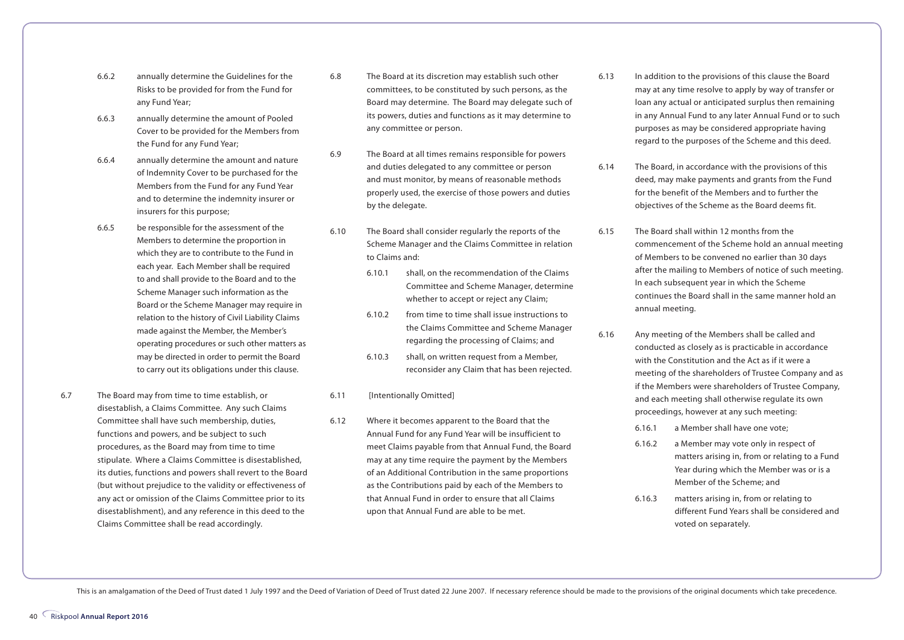- 6.6.2 annually determine the Guidelines for the Risks to be provided for from the Fund for any Fund Year;
- 6.6.3 annually determine the amount of Pooled Cover to be provided for the Members from the Fund for any Fund Year;
- 6.6.4 annually determine the amount and nature of Indemnity Cover to be purchased for the Members from the Fund for any Fund Year and to determine the indemnity insurer or insurers for this purpose;
- 6.6.5 be responsible for the assessment of the Members to determine the proportion in which they are to contribute to the Fund in each year. Each Member shall be required to and shall provide to the Board and to the Scheme Manager such information as the Board or the Scheme Manager may require in relation to the history of Civil Liability Claims made against the Member, the Member's operating procedures or such other matters as may be directed in order to permit the Board to carry out its obligations under this clause.
- 6.7 The Board may from time to time establish, or disestablish, a Claims Committee. Any such Claims Committee shall have such membership, duties, functions and powers, and be subject to such procedures, as the Board may from time to time stipulate. Where a Claims Committee is disestablished, its duties, functions and powers shall revert to the Board (but without prejudice to the validity or effectiveness of any act or omission of the Claims Committee prior to its disestablishment), and any reference in this deed to the Claims Committee shall be read accordingly.
- 6.8 The Board at its discretion may establish such other committees, to be constituted by such persons, as the Board may determine. The Board may delegate such of its powers, duties and functions as it may determine to any committee or person.
- 6.9 The Board at all times remains responsible for powers and duties delegated to any committee or person and must monitor, by means of reasonable methods properly used, the exercise of those powers and duties by the delegate.
- 6.10 The Board shall consider regularly the reports of the Scheme Manager and the Claims Committee in relation to Claims and:
	- 6.10.1 shall, on the recommendation of the Claims Committee and Scheme Manager, determine whether to accept or reject any Claim;
	- 6.10.2 from time to time shall issue instructions to the Claims Committee and Scheme Manager regarding the processing of Claims; and
	- 6.10.3 shall, on written request from a Member, reconsider any Claim that has been rejected.

#### 6.11 [Intentionally Omitted]

6.12 Where it becomes apparent to the Board that the Annual Fund for any Fund Year will be insufficient to meet Claims payable from that Annual Fund, the Board may at any time require the payment by the Members of an Additional Contribution in the same proportions as the Contributions paid by each of the Members to that Annual Fund in order to ensure that all Claims upon that Annual Fund are able to be met.

- 6.13 In addition to the provisions of this clause the Board may at any time resolve to apply by way of transfer or loan any actual or anticipated surplus then remaining in any Annual Fund to any later Annual Fund or to such purposes as may be considered appropriate having regard to the purposes of the Scheme and this deed.
- 6.14 The Board, in accordance with the provisions of this deed, may make payments and grants from the Fund for the benefit of the Members and to further the objectives of the Scheme as the Board deems fit.
- 6.15 The Board shall within 12 months from the commencement of the Scheme hold an annual meeting of Members to be convened no earlier than 30 days after the mailing to Members of notice of such meeting. In each subsequent year in which the Scheme continues the Board shall in the same manner hold an annual meeting.
- 6.16 Any meeting of the Members shall be called and conducted as closely as is practicable in accordance with the Constitution and the Act as if it were a meeting of the shareholders of Trustee Company and as if the Members were shareholders of Trustee Company, and each meeting shall otherwise regulate its own proceedings, however at any such meeting:
	- 6.16.1 a Member shall have one vote;
	- 6.16.2 a Member may vote only in respect of matters arising in, from or relating to a Fund Year during which the Member was or is a Member of the Scheme; and
	- 6.16.3 matters arising in, from or relating to different Fund Years shall be considered and voted on separately.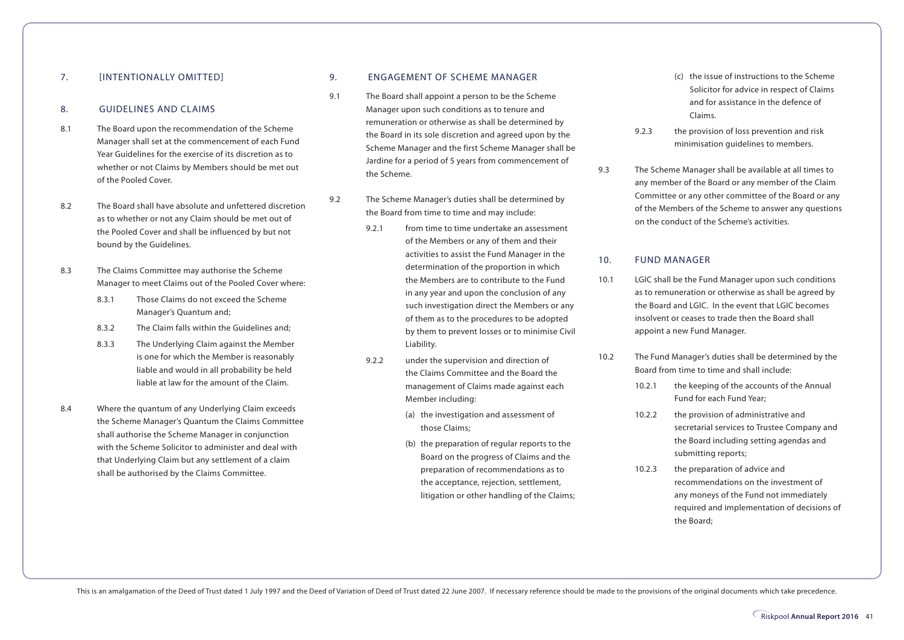#### 7. **[INTENTIONALLY OMITTED]**

#### 8. GUIDELINES AND CLAIMS

- 8.1 The Board upon the recommendation of the Scheme Manager shall set at the commencement of each Fund Year Guidelines for the exercise of its discretion as to whether or not Claims by Members should be met out of the Pooled Cover.
- 8.2 The Board shall have absolute and unfettered discretion as to whether or not any Claim should be met out of the Pooled Cover and shall be influenced by but not bound by the Guidelines.
- 8.3 The Claims Committee may authorise the Scheme Manager to meet Claims out of the Pooled Cover where:
	- 8.3.1 Those Claims do not exceed the Scheme Manager's Quantum and;
	- 8.3.2 The Claim falls within the Guidelines and;
	- 8.3.3 The Underlying Claim against the Member is one for which the Member is reasonably liable and would in all probability be held liable at law for the amount of the Claim.
- 8.4 Where the quantum of any Underlying Claim exceeds the Scheme Manager's Quantum the Claims Committee shall authorise the Scheme Manager in conjunction with the Scheme Solicitor to administer and deal with that Underlying Claim but any settlement of a claim shall be authorised by the Claims Committee.

#### 9. ENGAGEMENT OF SCHEME MANAGER

- 9.1 The Board shall appoint a person to be the Scheme Manager upon such conditions as to tenure and remuneration or otherwise as shall be determined by the Board in its sole discretion and agreed upon by the Scheme Manager and the first Scheme Manager shall be Jardine for a period of 5 years from commencement of the Scheme.
- 9.2 The Scheme Manager's duties shall be determined by the Board from time to time and may include:
	- 9.2.1 from time to time undertake an assessment of the Members or any of them and their activities to assist the Fund Manager in the determination of the proportion in which the Members are to contribute to the Fund in any year and upon the conclusion of any such investigation direct the Members or any of them as to the procedures to be adopted by them to prevent losses or to minimise Civil Liability.
	- 9.2.2 under the supervision and direction of the Claims Committee and the Board the management of Claims made against each Member including:
		- (a) the investigation and assessment of those Claims;
		- (b) the preparation of regular reports to the Board on the progress of Claims and the preparation of recommendations as to the acceptance, rejection, settlement, litigation or other handling of the Claims;
- (c) the issue of instructions to the Scheme Solicitor for advice in respect of Claims and for assistance in the defence of Claims.
- 9.2.3 the provision of loss prevention and risk minimisation guidelines to members.
- 9.3 The Scheme Manager shall be available at all times to any member of the Board or any member of the Claim Committee or any other committee of the Board or any of the Members of the Scheme to answer any questions on the conduct of the Scheme's activities.

#### 10. FUND MANAGER

- 10.1 LGIC shall be the Fund Manager upon such conditions as to remuneration or otherwise as shall be agreed by the Board and LGIC. In the event that LGIC becomes insolvent or ceases to trade then the Board shall appoint a new Fund Manager.
- 10.2 The Fund Manager's duties shall be determined by the Board from time to time and shall include:
	- 10.2.1 the keeping of the accounts of the Annual Fund for each Fund Year;
	- 10.2.2 the provision of administrative and secretarial services to Trustee Company and the Board including setting agendas and submitting reports;
	- 10.2.3 the preparation of advice and recommendations on the investment of any moneys of the Fund not immediately required and implementation of decisions of the Board;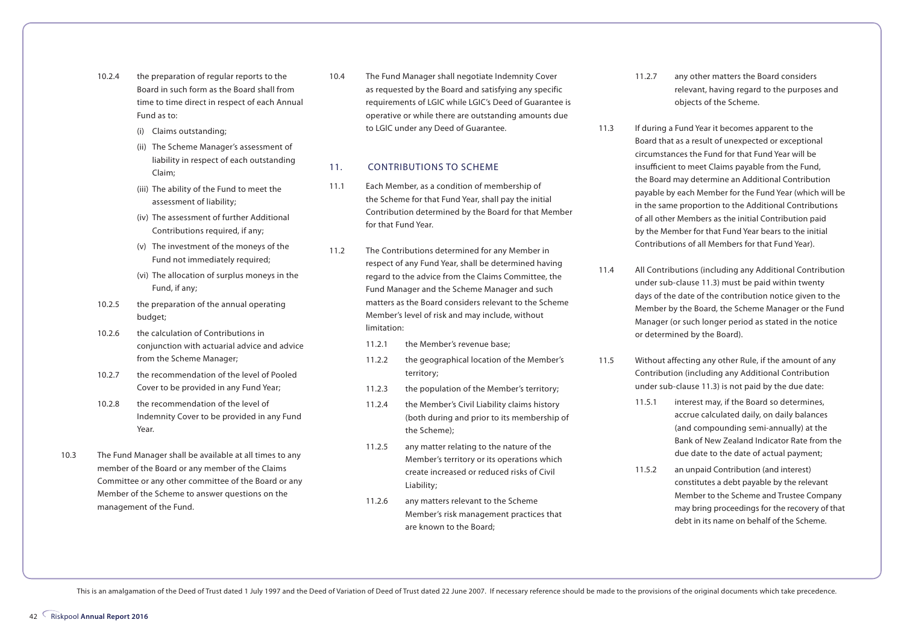- 10.2.4 the preparation of regular reports to the Board in such form as the Board shall from time to time direct in respect of each Annual Fund as to:
	- (i) Claims outstanding;
	- (ii) The Scheme Manager's assessment of liability in respect of each outstanding Claim;
	- (iii) The ability of the Fund to meet the assessment of liability;
	- (iv) The assessment of further Additional Contributions required, if any;
	- (v) The investment of the moneys of the Fund not immediately required;
	- (vi) The allocation of surplus moneys in the Fund, if any;
- 10.2.5 the preparation of the annual operating budget;
- 10.2.6 the calculation of Contributions in conjunction with actuarial advice and advice from the Scheme Manager;
- 10.2.7 the recommendation of the level of Pooled Cover to be provided in any Fund Year;
- 10.2.8 the recommendation of the level of Indemnity Cover to be provided in any Fund Year.
- 10.3 The Fund Manager shall be available at all times to any member of the Board or any member of the Claims Committee or any other committee of the Board or any Member of the Scheme to answer questions on the management of the Fund.

10.4 The Fund Manager shall negotiate Indemnity Cover as requested by the Board and satisfying any specific requirements of LGIC while LGIC's Deed of Guarantee is operative or while there are outstanding amounts due to LGIC under any Deed of Guarantee.

#### 11. CONTRIBUTIONS TO SCHEME

- 11.1 Each Member, as a condition of membership of the Scheme for that Fund Year, shall pay the initial Contribution determined by the Board for that Member for that Fund Year.
- 11.2 The Contributions determined for any Member in respect of any Fund Year, shall be determined having regard to the advice from the Claims Committee, the Fund Manager and the Scheme Manager and such matters as the Board considers relevant to the Scheme Member's level of risk and may include, without limitation:
	- 11.2.1 the Member's revenue base;
	- 11.2.2 the geographical location of the Member's territory;
	- 11.2.3 the population of the Member's territory;
	- 11.2.4 the Member's Civil Liability claims history (both during and prior to its membership of the Scheme);
	- 11.2.5 any matter relating to the nature of the Member's territory or its operations which create increased or reduced risks of Civil Liability;
	- 11.2.6 any matters relevant to the Scheme Member's risk management practices that are known to the Board;
- 11.2.7 any other matters the Board considers relevant, having regard to the purposes and objects of the Scheme.
- 11.3 If during a Fund Year it becomes apparent to the Board that as a result of unexpected or exceptional circumstances the Fund for that Fund Year will be insufficient to meet Claims payable from the Fund, the Board may determine an Additional Contribution payable by each Member for the Fund Year (which will be in the same proportion to the Additional Contributions of all other Members as the initial Contribution paid by the Member for that Fund Year bears to the initial Contributions of all Members for that Fund Year).
- 11.4 All Contributions (including any Additional Contribution under sub-clause 11.3) must be paid within twenty days of the date of the contribution notice given to the Member by the Board, the Scheme Manager or the Fund Manager (or such longer period as stated in the notice or determined by the Board).
- 11.5 Without affecting any other Rule, if the amount of any Contribution (including any Additional Contribution under sub-clause 11.3) is not paid by the due date:
	- 11.5.1 interest may, if the Board so determines, accrue calculated daily, on daily balances (and compounding semi-annually) at the Bank of New Zealand Indicator Rate from the due date to the date of actual payment;
	- 11.5.2 an unpaid Contribution (and interest) constitutes a debt payable by the relevant Member to the Scheme and Trustee Company may bring proceedings for the recovery of that debt in its name on behalf of the Scheme.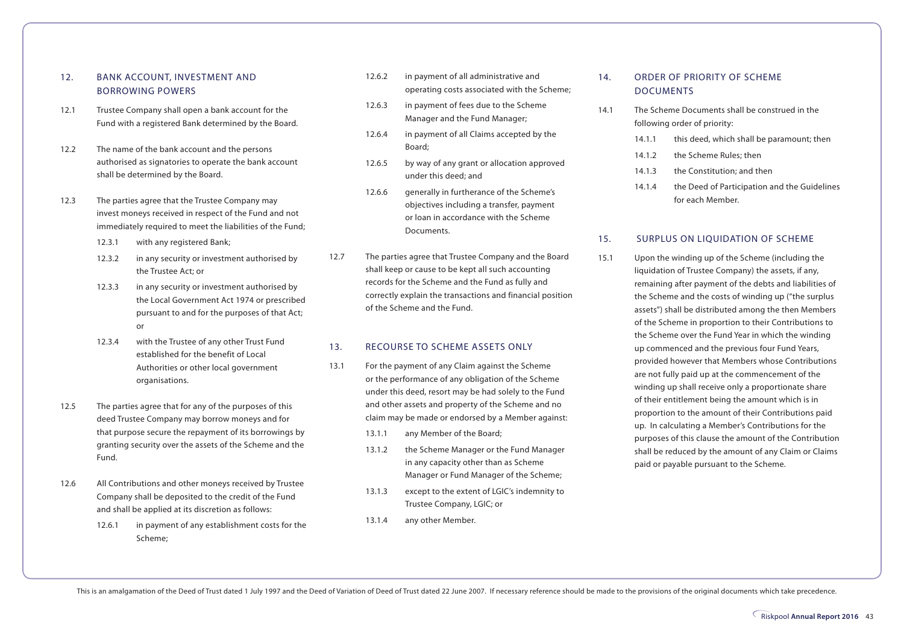#### 12. BANK ACCOUNT, INVESTMENT AND BORROWING POWERS

- 12.1 Trustee Company shall open a bank account for the Fund with a registered Bank determined by the Board.
- 12.2 The name of the bank account and the persons authorised as signatories to operate the bank account shall be determined by the Board.
- 12.3 The parties agree that the Trustee Company may invest moneys received in respect of the Fund and not immediately required to meet the liabilities of the Fund;
	- 12.3.1 with any registered Bank;
	- 12.3.2 in any security or investment authorised by the Trustee Act; or
	- 12.3.3 in any security or investment authorised by the Local Government Act 1974 or prescribed pursuant to and for the purposes of that Act; or
	- 12.3.4 with the Trustee of any other Trust Fund established for the benefit of Local Authorities or other local government organisations.
- 12.5 The parties agree that for any of the purposes of this deed Trustee Company may borrow moneys and for that purpose secure the repayment of its borrowings by granting security over the assets of the Scheme and the Fund.
- 12.6 All Contributions and other moneys received by Trustee Company shall be deposited to the credit of the Fund and shall be applied at its discretion as follows:
	- 12.6.1 in payment of any establishment costs for the Scheme;
- 12.6.2 in payment of all administrative and operating costs associated with the Scheme;
- 12.6.3 in payment of fees due to the Scheme Manager and the Fund Manager;
- 12.6.4 in payment of all Claims accepted by the Board;
- 12.6.5 by way of any grant or allocation approved under this deed; and
- 12.6.6 generally in furtherance of the Scheme's objectives including a transfer, payment or loan in accordance with the Scheme Documents.
- 12.7 The parties agree that Trustee Company and the Board shall keep or cause to be kept all such accounting records for the Scheme and the Fund as fully and correctly explain the transactions and financial position of the Scheme and the Fund.

#### 13. RECOURSE TO SCHEME ASSETS ONLY

- 13.1 For the payment of any Claim against the Scheme or the performance of any obligation of the Scheme under this deed, resort may be had solely to the Fund and other assets and property of the Scheme and no claim may be made or endorsed by a Member against:
	- 13.1.1 any Member of the Board;
	- 13.1.2 the Scheme Manager or the Fund Manager in any capacity other than as Scheme Manager or Fund Manager of the Scheme;
	- 13.1.3 except to the extent of LGIC's indemnity to Trustee Company, LGIC; or
	- 13.1.4 any other Member.

#### 14. ORDER OF PRIORITY OF SCHEME DOCUMENTS

- 14.1 The Scheme Documents shall be construed in the following order of priority:
	- 14.1.1 this deed, which shall be paramount; then
	- 14.1.2 the Scheme Rules; then
	- 14.1.3 the Constitution; and then
	- 14.1.4 the Deed of Participation and the Guidelines for each Member.

#### 15. SURPLUS ON LIQUIDATION OF SCHEME

15.1 Upon the winding up of the Scheme (including the liquidation of Trustee Company) the assets, if any, remaining after payment of the debts and liabilities of the Scheme and the costs of winding up ("the surplus assets") shall be distributed among the then Members of the Scheme in proportion to their Contributions to the Scheme over the Fund Year in which the winding up commenced and the previous four Fund Years, provided however that Members whose Contributions are not fully paid up at the commencement of the winding up shall receive only a proportionate share of their entitlement being the amount which is in proportion to the amount of their Contributions paid up. In calculating a Member's Contributions for the purposes of this clause the amount of the Contribution shall be reduced by the amount of any Claim or Claims paid or payable pursuant to the Scheme.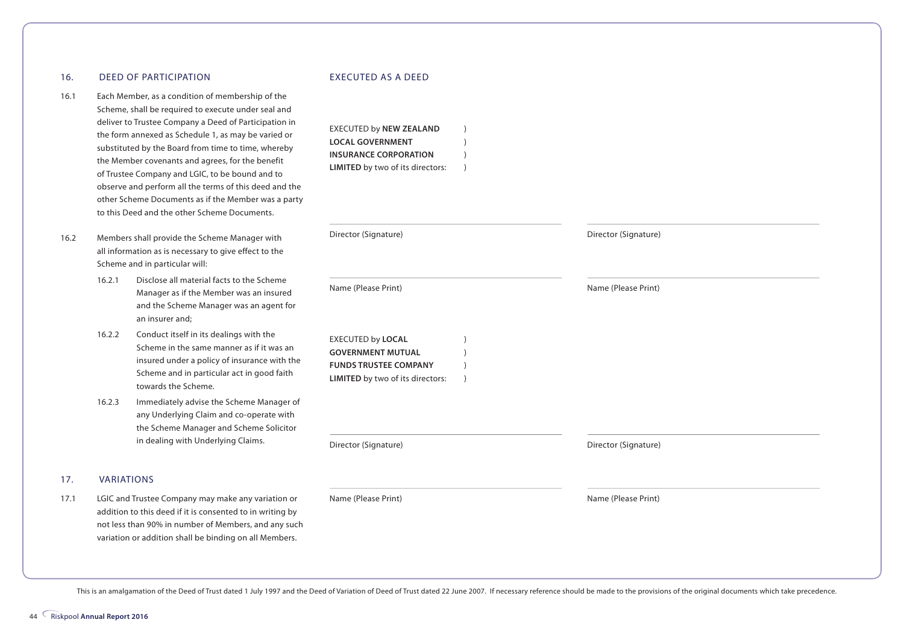#### 16. DEED OF PARTICIPATION

- 16.1 Each Member, as a condition of membership of the Scheme, shall be required to execute under seal and deliver to Trustee Company a Deed of Participation in the form annexed as Schedule 1, as may be varied or substituted by the Board from time to time, whereby the Member covenants and agrees, for the benefit of Trustee Company and LGIC, to be bound and to observe and perform all the terms of this deed and the other Scheme Documents as if the Member was a party to this Deed and the other Scheme Documents.
- 16.2 Members shall provide the Scheme Manager with all information as is necessary to give effect to the Scheme and in particular will:
	- 16.2.1 Disclose all material facts to the Scheme Manager as if the Member was an insured and the Scheme Manager was an agent for an insurer and;
	- 16.2.2 Conduct itself in its dealings with the Scheme in the same manner as if it was an insured under a policy of insurance with the Scheme and in particular act in good faith towards the Scheme.
	- 16.2.3 Immediately advise the Scheme Manager of any Underlying Claim and co-operate with the Scheme Manager and Scheme Solicitor in dealing with Underlying Claims.

#### 17. VARIATIONS

17.1 LGIC and Trustee Company may make any variation or addition to this deed if it is consented to in writing by not less than 90% in number of Members, and any such variation or addition shall be binding on all Members.

#### EXECUTED AS A DEED

EXECUTED by **NEW ZEALAND** ) **LOCAL GOVERNMENT** ) **INSURANCE CORPORATION** 

| LIMITED by two of its directors:                                                                                  | $\lambda$ |                      |  |
|-------------------------------------------------------------------------------------------------------------------|-----------|----------------------|--|
|                                                                                                                   |           |                      |  |
| Director (Signature)                                                                                              |           | Director (Signature) |  |
| Name (Please Print)                                                                                               |           | Name (Please Print)  |  |
| EXECUTED by LOCAL<br><b>GOVERNMENT MUTUAL</b><br><b>FUNDS TRUSTEE COMPANY</b><br>LIMITED by two of its directors: | $\lambda$ |                      |  |
| Director (Signature)                                                                                              |           | Director (Signature) |  |
| Name (Please Print)                                                                                               |           | Name (Please Print)  |  |
|                                                                                                                   |           |                      |  |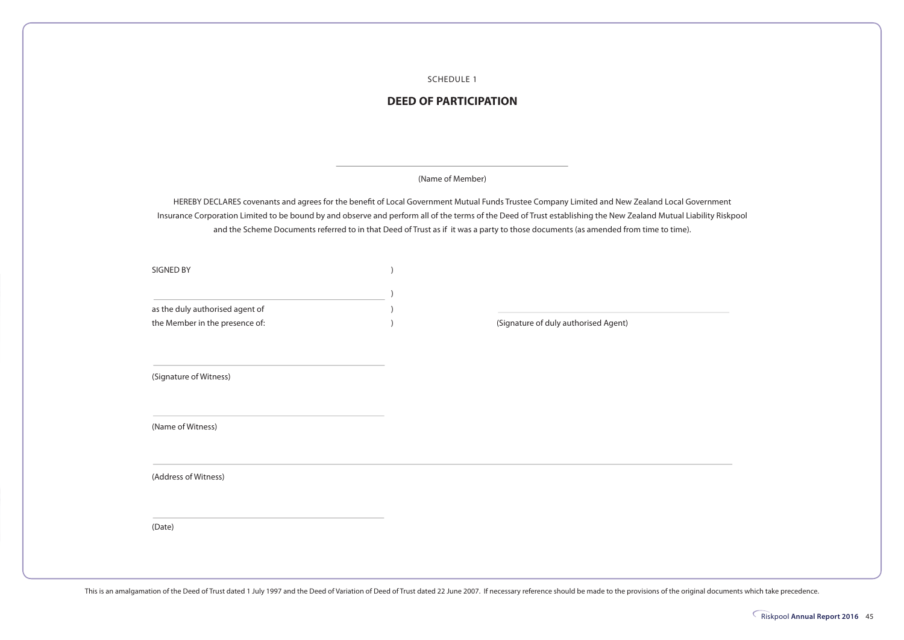SCHEDULE 1

#### **DEED OF PARTICIPATION**

(Name of Member)

HEREBY DECLARES covenants and agrees for the benefit of Local Government Mutual Funds Trustee Company Limited and New Zealand Local Government Insurance Corporation Limited to be bound by and observe and perform all of the terms of the Deed of Trust establishing the New Zealand Mutual Liability Riskpool and the Scheme Documents referred to in that Deed of Trust as if it was a party to those documents (as amended from time to time).

SIGNED BY

| as the duly authorised agent of |                                      |
|---------------------------------|--------------------------------------|
| the Member in the presence of:  | (Signature of duly authorised Agent) |

) and the contract of  $\mathcal{O}(n)$ 

(Signature of Witness)

(Name of Witness)

(Address of Witness)

(Date)